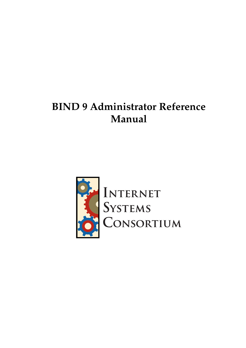# <span id="page-0-0"></span>**BIND 9 Administrator Reference Manual**

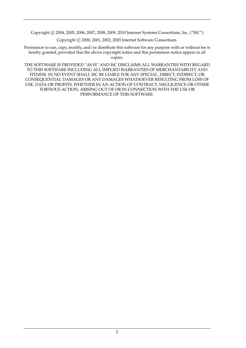Copyright © 2004, 2005, 2006, 2007, 2008, 2009, 2010 Internet Systems Consortium, Inc. ("ISC")

Copyright © 2000, 2001, 2002, 2003 Internet Software Consortium.

Permission to use, copy, modify, and/or distribute this software for any purpose with or without fee is hereby granted, provided that the above copyright notice and this permission notice appear in all copies.

THE SOFTWARE IS PROVIDED "AS IS" AND ISC DISCLAIMS ALL WARRANTIES WITH REGARD TO THIS SOFTWARE INCLUDING ALL IMPLIED WARRANTIES OF MERCHANTABILITY AND FITNESS. IN NO EVENT SHALL ISC BE LIABLE FOR ANY SPECIAL, DIRECT, INDIRECT, OR CONSEQUENTIAL DAMAGES OR ANY DAMAGES WHATSOEVER RESULTING FROM LOSS OF USE, DATA OR PROFITS, WHETHER IN AN ACTION OF CONTRACT, NEGLIGENCE OR OTHER TORTIOUS ACTION, ARISING OUT OF OR IN CONNECTION WITH THE USE OR PERFORMANCE OF THIS SOFTWARE.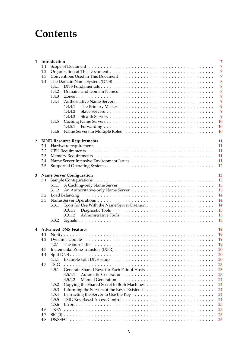# **Contents**

| $\mathbf{1}$ |     | Introduction                                                                                                                | 7              |
|--------------|-----|-----------------------------------------------------------------------------------------------------------------------------|----------------|
|              |     |                                                                                                                             |                |
|              | 1.1 |                                                                                                                             | $\overline{7}$ |
|              | 1.2 |                                                                                                                             | 7              |
|              | 1.3 |                                                                                                                             | $\overline{7}$ |
|              | 1.4 |                                                                                                                             | 8              |
|              |     | 1.4.1                                                                                                                       | 8              |
|              |     | 1.4.2                                                                                                                       | 8              |
|              |     | 1.4.3                                                                                                                       | 8              |
|              |     |                                                                                                                             |                |
|              |     | 1.4.4                                                                                                                       | 9              |
|              |     | 1.4.4.1                                                                                                                     | 9              |
|              |     | 1.4.4.2                                                                                                                     | 9              |
|              |     | 1.4.4.3                                                                                                                     | 9              |
|              |     | 1.4.5                                                                                                                       | 10             |
|              |     | 1.4.5.1                                                                                                                     | 10             |
|              |     |                                                                                                                             |                |
|              |     | 1.4.6                                                                                                                       | 10             |
|              |     |                                                                                                                             |                |
| $\mathbf{2}$ |     | <b>BIND Resource Requirements</b>                                                                                           | 11             |
|              | 2.1 |                                                                                                                             | 11             |
|              | 2.2 |                                                                                                                             | 11             |
|              | 2.3 |                                                                                                                             | 11             |
|              | 2.4 |                                                                                                                             | 11             |
|              | 2.5 |                                                                                                                             | 12             |
|              |     |                                                                                                                             |                |
| 3            |     | Name Server Configuration                                                                                                   | 13             |
|              | 3.1 |                                                                                                                             | 13             |
|              |     | 3.1.1                                                                                                                       | 13             |
|              |     |                                                                                                                             | 13             |
|              |     | 3.1.2                                                                                                                       |                |
|              | 3.2 |                                                                                                                             | 14             |
|              | 3.3 |                                                                                                                             | 14             |
|              |     | 3.3.1                                                                                                                       | 14             |
|              |     | 3.3.1.1                                                                                                                     | 15             |
|              |     | 3.3.1.2                                                                                                                     | 15             |
|              |     | 3.3.2                                                                                                                       | 18             |
|              |     |                                                                                                                             |                |
| 4            |     | <b>Advanced DNS Features</b>                                                                                                | 19             |
|              | 4.1 |                                                                                                                             | 19             |
|              | 4.2 |                                                                                                                             | 19             |
|              |     | 4.2.1<br>The journal file $\dots \dots \dots \dots \dots \dots \dots \dots \dots \dots \dots \dots \dots \dots \dots \dots$ | 19             |
|              |     |                                                                                                                             |                |
|              | 4.3 |                                                                                                                             | 20             |
|              | 4.4 |                                                                                                                             | 20             |
|              |     | 4.4.1                                                                                                                       | 20             |
|              | 4.5 | <b>TSIG</b>                                                                                                                 | 23             |
|              |     | 4.5.1                                                                                                                       | 23             |
|              |     | 4.5.1.1                                                                                                                     | 23             |
|              |     | 4.5.1.2                                                                                                                     | 24             |
|              |     |                                                                                                                             |                |
|              |     | 4.5.2                                                                                                                       | 24             |
|              |     | 4.5.3                                                                                                                       | 24             |
|              |     | 4.5.4                                                                                                                       | 24             |
|              |     | TSIG Key Based Access Control<br>4.5.5                                                                                      | 24             |
|              |     | 4.5.6                                                                                                                       | 25             |
|              | 4.6 |                                                                                                                             | 25             |
|              | 4.7 |                                                                                                                             | 25             |
|              | 4.8 |                                                                                                                             | 26             |
|              |     |                                                                                                                             |                |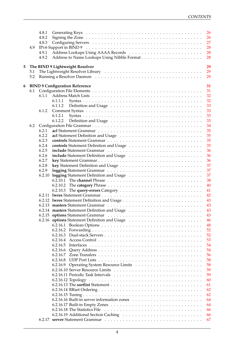|   |     | 4.8.1  |          |                                               | 26 |
|---|-----|--------|----------|-----------------------------------------------|----|
|   |     | 4.8.2  |          |                                               | 26 |
|   |     | 4.8.3  |          |                                               | 27 |
|   | 4.9 |        |          |                                               | 28 |
|   |     | 4.9.1  |          |                                               | 28 |
|   |     | 4.9.2  |          | Address to Name Lookups Using Nibble Format   | 28 |
|   |     |        |          |                                               |    |
| 5 |     |        |          | The BIND 9 Lightweight Resolver               | 29 |
|   | 5.1 |        |          |                                               | 29 |
|   | 5.2 |        |          |                                               | 29 |
|   |     |        |          |                                               |    |
| 6 |     |        |          | <b>BIND 9 Configuration Reference</b>         | 31 |
|   | 6.1 |        |          |                                               | 31 |
|   |     | 6.1.1  |          |                                               | 32 |
|   |     |        | 6.1.1.1  |                                               | 32 |
|   |     |        | 6.1.1.2  |                                               | 33 |
|   |     | 6.1.2  |          |                                               | 33 |
|   |     |        | 6.1.2.1  |                                               | 33 |
|   |     |        | 6.1.2.2  |                                               | 33 |
|   | 6.2 |        |          |                                               | 34 |
|   |     | 6.2.1  |          |                                               | 35 |
|   |     | 6.2.2  |          |                                               | 35 |
|   |     | 6.2.3  |          |                                               | 35 |
|   |     | 6.2.4  |          |                                               | 35 |
|   |     | 6.2.5  |          |                                               | 36 |
|   |     | 6.2.6  |          | include Statement Definition and Usage        | 36 |
|   |     | 6.2.7  |          |                                               | 36 |
|   |     | 6.2.8  |          |                                               | 37 |
|   |     | 6.2.9  |          |                                               | 37 |
|   |     | 6.2.10 |          |                                               | 37 |
|   |     |        |          |                                               | 38 |
|   |     |        |          |                                               | 40 |
|   |     |        |          |                                               |    |
|   |     |        | 6.2.10.3 |                                               | 41 |
|   |     |        |          |                                               | 42 |
|   |     |        |          |                                               | 43 |
|   |     |        |          |                                               | 43 |
|   |     |        |          | 6.2.14 masters Statement Definition and Usage | 43 |
|   |     |        |          |                                               | 43 |
|   |     |        |          |                                               | 46 |
|   |     |        | 6.2.16.1 |                                               | 48 |
|   |     |        |          |                                               | 52 |
|   |     |        | 6.2.16.3 |                                               | 52 |
|   |     |        | 6.2.16.4 |                                               | 53 |
|   |     |        | 6.2.16.5 |                                               | 54 |
|   |     |        | 6.2.16.6 |                                               | 54 |
|   |     |        |          |                                               | 56 |
|   |     |        | 6.2.16.8 |                                               | 58 |
|   |     |        |          |                                               | 58 |
|   |     |        |          |                                               | 59 |
|   |     |        |          |                                               | 59 |
|   |     |        |          |                                               | 60 |
|   |     |        |          |                                               | 61 |
|   |     |        |          |                                               | 62 |
|   |     |        |          |                                               | 62 |
|   |     |        |          |                                               | 64 |
|   |     |        |          |                                               | 64 |
|   |     |        |          |                                               | 66 |
|   |     |        |          |                                               | 66 |
|   |     | 6.2.17 |          |                                               | 67 |
|   |     |        |          |                                               |    |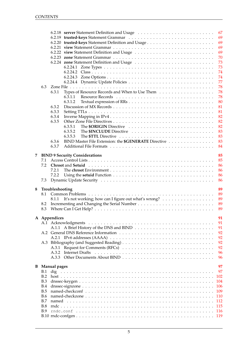|   |            |                       |                                                      |  |  |  |  |  |  |  |  |  |  |  |  |  |  |  |  |  |  |  |  |  |  |  |  |  |  |  | 67<br>69 |
|---|------------|-----------------------|------------------------------------------------------|--|--|--|--|--|--|--|--|--|--|--|--|--|--|--|--|--|--|--|--|--|--|--|--|--|--|--|----------|
|   |            |                       |                                                      |  |  |  |  |  |  |  |  |  |  |  |  |  |  |  |  |  |  |  |  |  |  |  |  |  |  |  | 69       |
|   |            |                       |                                                      |  |  |  |  |  |  |  |  |  |  |  |  |  |  |  |  |  |  |  |  |  |  |  |  |  |  |  | 69       |
|   |            |                       |                                                      |  |  |  |  |  |  |  |  |  |  |  |  |  |  |  |  |  |  |  |  |  |  |  |  |  |  |  | 69       |
|   |            |                       |                                                      |  |  |  |  |  |  |  |  |  |  |  |  |  |  |  |  |  |  |  |  |  |  |  |  |  |  |  | 70       |
|   |            |                       |                                                      |  |  |  |  |  |  |  |  |  |  |  |  |  |  |  |  |  |  |  |  |  |  |  |  |  |  |  | 73       |
|   |            |                       |                                                      |  |  |  |  |  |  |  |  |  |  |  |  |  |  |  |  |  |  |  |  |  |  |  |  |  |  |  | 73       |
|   |            |                       |                                                      |  |  |  |  |  |  |  |  |  |  |  |  |  |  |  |  |  |  |  |  |  |  |  |  |  |  |  | 74       |
|   |            |                       |                                                      |  |  |  |  |  |  |  |  |  |  |  |  |  |  |  |  |  |  |  |  |  |  |  |  |  |  |  | 74       |
|   |            |                       |                                                      |  |  |  |  |  |  |  |  |  |  |  |  |  |  |  |  |  |  |  |  |  |  |  |  |  |  |  | 77       |
|   |            |                       |                                                      |  |  |  |  |  |  |  |  |  |  |  |  |  |  |  |  |  |  |  |  |  |  |  |  |  |  |  | 78       |
|   | 6.3        |                       |                                                      |  |  |  |  |  |  |  |  |  |  |  |  |  |  |  |  |  |  |  |  |  |  |  |  |  |  |  |          |
|   |            | 6.3.1                 |                                                      |  |  |  |  |  |  |  |  |  |  |  |  |  |  |  |  |  |  |  |  |  |  |  |  |  |  |  | 78       |
|   |            |                       | 6.3.1.1                                              |  |  |  |  |  |  |  |  |  |  |  |  |  |  |  |  |  |  |  |  |  |  |  |  |  |  |  | 78       |
|   |            |                       | 6.3.1.2                                              |  |  |  |  |  |  |  |  |  |  |  |  |  |  |  |  |  |  |  |  |  |  |  |  |  |  |  | 80       |
|   |            | 6.3.2                 |                                                      |  |  |  |  |  |  |  |  |  |  |  |  |  |  |  |  |  |  |  |  |  |  |  |  |  |  |  | 81       |
|   |            | 6.3.3                 |                                                      |  |  |  |  |  |  |  |  |  |  |  |  |  |  |  |  |  |  |  |  |  |  |  |  |  |  |  | 81       |
|   |            | 6.3.4                 |                                                      |  |  |  |  |  |  |  |  |  |  |  |  |  |  |  |  |  |  |  |  |  |  |  |  |  |  |  | 82       |
|   |            | 6.3.5                 |                                                      |  |  |  |  |  |  |  |  |  |  |  |  |  |  |  |  |  |  |  |  |  |  |  |  |  |  |  | 82       |
|   |            |                       | 6.3.5.1                                              |  |  |  |  |  |  |  |  |  |  |  |  |  |  |  |  |  |  |  |  |  |  |  |  |  |  |  | 82       |
|   |            |                       | 6.3.5.2                                              |  |  |  |  |  |  |  |  |  |  |  |  |  |  |  |  |  |  |  |  |  |  |  |  |  |  |  | 83       |
|   |            |                       | 6.3.5.3                                              |  |  |  |  |  |  |  |  |  |  |  |  |  |  |  |  |  |  |  |  |  |  |  |  |  |  |  | 83       |
|   |            | 6.3.6                 | BIND Master File Extension: the \$GENERATE Directive |  |  |  |  |  |  |  |  |  |  |  |  |  |  |  |  |  |  |  |  |  |  |  |  |  |  |  | 83       |
|   |            | 6.3.7                 |                                                      |  |  |  |  |  |  |  |  |  |  |  |  |  |  |  |  |  |  |  |  |  |  |  |  |  |  |  | 84       |
|   |            |                       |                                                      |  |  |  |  |  |  |  |  |  |  |  |  |  |  |  |  |  |  |  |  |  |  |  |  |  |  |  |          |
| 7 |            |                       | <b>BIND 9 Security Considerations</b>                |  |  |  |  |  |  |  |  |  |  |  |  |  |  |  |  |  |  |  |  |  |  |  |  |  |  |  | 85       |
|   | 7.1        |                       |                                                      |  |  |  |  |  |  |  |  |  |  |  |  |  |  |  |  |  |  |  |  |  |  |  |  |  |  |  | 85       |
|   | 7.2        |                       |                                                      |  |  |  |  |  |  |  |  |  |  |  |  |  |  |  |  |  |  |  |  |  |  |  |  |  |  |  | 86       |
|   |            | 7.2.1                 |                                                      |  |  |  |  |  |  |  |  |  |  |  |  |  |  |  |  |  |  |  |  |  |  |  |  |  |  |  | 86       |
|   |            | 7.2.2                 |                                                      |  |  |  |  |  |  |  |  |  |  |  |  |  |  |  |  |  |  |  |  |  |  |  |  |  |  |  | 86       |
|   | 7.3        |                       |                                                      |  |  |  |  |  |  |  |  |  |  |  |  |  |  |  |  |  |  |  |  |  |  |  |  |  |  |  | 86       |
|   |            |                       |                                                      |  |  |  |  |  |  |  |  |  |  |  |  |  |  |  |  |  |  |  |  |  |  |  |  |  |  |  |          |
| 8 |            | Troubleshooting       |                                                      |  |  |  |  |  |  |  |  |  |  |  |  |  |  |  |  |  |  |  |  |  |  |  |  |  |  |  | 89       |
|   | 8.1        |                       |                                                      |  |  |  |  |  |  |  |  |  |  |  |  |  |  |  |  |  |  |  |  |  |  |  |  |  |  |  | 89       |
|   |            | 8.1.1                 | It's not working; how can I figure out what's wrong? |  |  |  |  |  |  |  |  |  |  |  |  |  |  |  |  |  |  |  |  |  |  |  |  |  |  |  | 89       |
|   | 8.2        |                       |                                                      |  |  |  |  |  |  |  |  |  |  |  |  |  |  |  |  |  |  |  |  |  |  |  |  |  |  |  | 89       |
|   | 8.3        |                       |                                                      |  |  |  |  |  |  |  |  |  |  |  |  |  |  |  |  |  |  |  |  |  |  |  |  |  |  |  | 89       |
|   |            |                       |                                                      |  |  |  |  |  |  |  |  |  |  |  |  |  |  |  |  |  |  |  |  |  |  |  |  |  |  |  |          |
|   |            | A Appendices          |                                                      |  |  |  |  |  |  |  |  |  |  |  |  |  |  |  |  |  |  |  |  |  |  |  |  |  |  |  | 91       |
|   |            |                       |                                                      |  |  |  |  |  |  |  |  |  |  |  |  |  |  |  |  |  |  |  |  |  |  |  |  |  |  |  | 91       |
|   |            |                       |                                                      |  |  |  |  |  |  |  |  |  |  |  |  |  |  |  |  |  |  |  |  |  |  |  |  |  |  |  | 91       |
|   |            |                       |                                                      |  |  |  |  |  |  |  |  |  |  |  |  |  |  |  |  |  |  |  |  |  |  |  |  |  |  |  | 92       |
|   |            |                       |                                                      |  |  |  |  |  |  |  |  |  |  |  |  |  |  |  |  |  |  |  |  |  |  |  |  |  |  |  | 92       |
|   |            |                       |                                                      |  |  |  |  |  |  |  |  |  |  |  |  |  |  |  |  |  |  |  |  |  |  |  |  |  |  |  | 92       |
|   |            |                       |                                                      |  |  |  |  |  |  |  |  |  |  |  |  |  |  |  |  |  |  |  |  |  |  |  |  |  |  |  | 92       |
|   |            |                       |                                                      |  |  |  |  |  |  |  |  |  |  |  |  |  |  |  |  |  |  |  |  |  |  |  |  |  |  |  | 96       |
|   |            |                       |                                                      |  |  |  |  |  |  |  |  |  |  |  |  |  |  |  |  |  |  |  |  |  |  |  |  |  |  |  | 96       |
|   |            |                       |                                                      |  |  |  |  |  |  |  |  |  |  |  |  |  |  |  |  |  |  |  |  |  |  |  |  |  |  |  |          |
|   |            | <b>B</b> Manual pages |                                                      |  |  |  |  |  |  |  |  |  |  |  |  |  |  |  |  |  |  |  |  |  |  |  |  |  |  |  | 97       |
|   | B.1        |                       |                                                      |  |  |  |  |  |  |  |  |  |  |  |  |  |  |  |  |  |  |  |  |  |  |  |  |  |  |  | 97       |
|   | B.2        |                       |                                                      |  |  |  |  |  |  |  |  |  |  |  |  |  |  |  |  |  |  |  |  |  |  |  |  |  |  |  | 102      |
|   | <b>B.3</b> |                       |                                                      |  |  |  |  |  |  |  |  |  |  |  |  |  |  |  |  |  |  |  |  |  |  |  |  |  |  |  | 104      |
|   | <b>B.4</b> |                       |                                                      |  |  |  |  |  |  |  |  |  |  |  |  |  |  |  |  |  |  |  |  |  |  |  |  |  |  |  | 106      |
|   | B.5        |                       |                                                      |  |  |  |  |  |  |  |  |  |  |  |  |  |  |  |  |  |  |  |  |  |  |  |  |  |  |  | 109      |
|   | <b>B.6</b> |                       |                                                      |  |  |  |  |  |  |  |  |  |  |  |  |  |  |  |  |  |  |  |  |  |  |  |  |  |  |  |          |
|   | B.7        |                       |                                                      |  |  |  |  |  |  |  |  |  |  |  |  |  |  |  |  |  |  |  |  |  |  |  |  |  |  |  |          |
|   | B.8        |                       |                                                      |  |  |  |  |  |  |  |  |  |  |  |  |  |  |  |  |  |  |  |  |  |  |  |  |  |  |  |          |
|   | B.9        |                       |                                                      |  |  |  |  |  |  |  |  |  |  |  |  |  |  |  |  |  |  |  |  |  |  |  |  |  |  |  |          |
|   |            |                       |                                                      |  |  |  |  |  |  |  |  |  |  |  |  |  |  |  |  |  |  |  |  |  |  |  |  |  |  |  |          |
|   |            |                       |                                                      |  |  |  |  |  |  |  |  |  |  |  |  |  |  |  |  |  |  |  |  |  |  |  |  |  |  |  |          |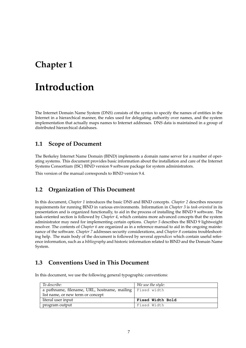## <span id="page-6-0"></span>**Chapter 1**

## **Introduction**

The Internet Domain Name System (DNS) consists of the syntax to specify the names of entities in the Internet in a hierarchical manner, the rules used for delegating authority over names, and the system implementation that actually maps names to Internet addresses. DNS data is maintained in a group of distributed hierarchical databases.

## <span id="page-6-1"></span>**1.1 Scope of Document**

The Berkeley Internet Name Domain (BIND) implements a domain name server for a number of operating systems. This document provides basic information about the installation and care of the Internet Systems Consortium (ISC) BIND version 9 software package for system administrators.

This version of the manual corresponds to BIND version 9.4.

## <span id="page-6-2"></span>**1.2 Organization of This Document**

In this document, *Chapter 1* introduces the basic DNS and BIND concepts. *Chapter 2* describes resource requirements for running BIND in various environments. Information in *Chapter 3* is *task-oriented* in its presentation and is organized functionally, to aid in the process of installing the BIND 9 software. The task-oriented section is followed by *Chapter 4*, which contains more advanced concepts that the system administrator may need for implementing certain options. *Chapter 5* describes the BIND 9 lightweight resolver. The contents of *Chapter 6* are organized as in a reference manual to aid in the ongoing maintenance of the software. *Chapter 7* addresses security considerations, and *Chapter 8* contains troubleshooting help. The main body of the document is followed by several *appendices* which contain useful reference information, such as a *bibliography* and historic information related to BIND and the Domain Name System.

## <span id="page-6-3"></span>**1.3 Conventions Used in This Document**

In this document, we use the following general typographic conventions:

| To describe:                                               | We use the style: |
|------------------------------------------------------------|-------------------|
| a pathname, filename, URL, hostname, mailing   Fixed width |                   |
| list name, or new term or concept                          |                   |
| literal user input                                         | Fixed Width Bold  |
| program output                                             | Fixed Width       |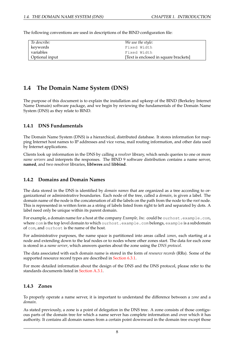The following conventions are used in descriptions of the BIND configuration file:

| To describe:   | We use the style:                     |
|----------------|---------------------------------------|
| keywords       | Fixed Width                           |
| variables      | Fixed Width                           |
| Optional input | [Text is enclosed in square brackets] |

## <span id="page-7-0"></span>**1.4 The Domain Name System (DNS)**

The purpose of this document is to explain the installation and upkeep of the BIND (Berkeley Internet Name Domain) software package, and we begin by reviewing the fundamentals of the Domain Name System (DNS) as they relate to BIND.

## <span id="page-7-1"></span>**1.4.1 DNS Fundamentals**

The Domain Name System (DNS) is a hierarchical, distributed database. It stores information for mapping Internet host names to IP addresses and vice versa, mail routing information, and other data used by Internet applications.

Clients look up information in the DNS by calling a *resolver* library, which sends queries to one or more *name servers* and interprets the responses. The BIND 9 software distribution contains a name server, **named**, and two resolver libraries, **liblwres** and **libbind**.

## <span id="page-7-2"></span>**1.4.2 Domains and Domain Names**

The data stored in the DNS is identified by *domain names* that are organized as a tree according to organizational or administrative boundaries. Each node of the tree, called a *domain*, is given a label. The domain name of the node is the concatenation of all the labels on the path from the node to the *root* node. This is represented in written form as a string of labels listed from right to left and separated by dots. A label need only be unique within its parent domain.

For example, a domain name for a host at the company *Example, Inc.* could be ourhost.example.com, where com is the top level domain to which ourhost.example.com belongs, example is a subdomain of com, and ourhost is the name of the host.

For administrative purposes, the name space is partitioned into areas called *zones*, each starting at a node and extending down to the leaf nodes or to nodes where other zones start. The data for each zone is stored in a *name server*, which answers queries about the zone using the *DNS protocol*.

The data associated with each domain name is stored in the form of *resource records* (RRs). Some of the supported resource record types are described in [Section 6.3.1.](#page-77-3)

For more detailed information about the design of the DNS and the DNS protocol, please refer to the standards documents listed in [Section A.3.1.](#page-91-4)

## <span id="page-7-3"></span>**1.4.3 Zones**

To properly operate a name server, it is important to understand the difference between a *zone* and a *domain*.

As stated previously, a zone is a point of delegation in the DNS tree. A zone consists of those contiguous parts of the domain tree for which a name server has complete information and over which it has authority. It contains all domain names from a certain point downward in the domain tree except those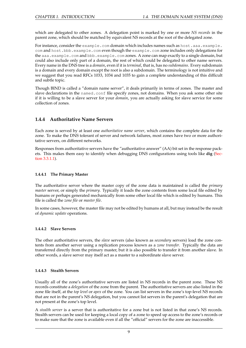which are delegated to other zones. A delegation point is marked by one or more *NS records* in the parent zone, which should be matched by equivalent NS records at the root of the delegated zone.

For instance, consider the example.com domain which includes names such as host.aaa.example. com and host.bbb.example.com even though the example.com zone includes only delegations for the aaa.example.com and bbb.example.com zones. A zone can map exactly to a single domain, but could also include only part of a domain, the rest of which could be delegated to other name servers. Every name in the DNS tree is a *domain*, even if it is *terminal*, that is, has no *subdomains*. Every subdomain is a domain and every domain except the root is also a subdomain. The terminology is not intuitive and we suggest that you read RFCs 1033, 1034 and 1035 to gain a complete understanding of this difficult and subtle topic.

Though BIND is called a "domain name server", it deals primarily in terms of zones. The master and slave declarations in the named.conf file specify zones, not domains. When you ask some other site if it is willing to be a slave server for your *domain*, you are actually asking for slave service for some collection of zones.

## <span id="page-8-0"></span>**1.4.4 Authoritative Name Servers**

Each zone is served by at least one *authoritative name server*, which contains the complete data for the zone. To make the DNS tolerant of server and network failures, most zones have two or more authoritative servers, on different networks.

Responses from authoritative servers have the "authoritative answer" (AA) bit set in the response packets. This makes them easy to identify when debugging DNS configurations using tools like **dig** [\(Sec](#page-14-2)[tion 3.3.1.1\)](#page-14-2).

#### <span id="page-8-1"></span>**1.4.4.1 The Primary Master**

The authoritative server where the master copy of the zone data is maintained is called the *primary master* server, or simply the *primary*. Typically it loads the zone contents from some local file edited by humans or perhaps generated mechanically from some other local file which is edited by humans. This file is called the *zone file* or *master file*.

In some cases, however, the master file may not be edited by humans at all, but may instead be the result of *dynamic update* operations.

#### <span id="page-8-2"></span>**1.4.4.2 Slave Servers**

The other authoritative servers, the *slave* servers (also known as *secondary* servers) load the zone contents from another server using a replication process known as a *zone transfer*. Typically the data are transferred directly from the primary master, but it is also possible to transfer it from another slave. In other words, a slave server may itself act as a master to a subordinate slave server.

#### <span id="page-8-3"></span>**1.4.4.3 Stealth Servers**

Usually all of the zone's authoritative servers are listed in NS records in the parent zone. These NS records constitute a *delegation* of the zone from the parent. The authoritative servers are also listed in the zone file itself, at the *top level* or *apex* of the zone. You can list servers in the zone's top-level NS records that are not in the parent's NS delegation, but you cannot list servers in the parent's delegation that are not present at the zone's top level.

A *stealth server* is a server that is authoritative for a zone but is not listed in that zone's NS records. Stealth servers can be used for keeping a local copy of a zone to speed up access to the zone's records or to make sure that the zone is available even if all the "official" servers for the zone are inaccessible.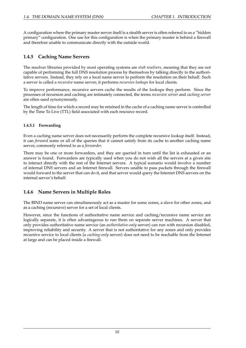A configuration where the primary master server itself is a stealth server is often referred to as a "hidden primary" configuration. One use for this configuration is when the primary master is behind a firewall and therefore unable to communicate directly with the outside world.

## <span id="page-9-0"></span>**1.4.5 Caching Name Servers**

The resolver libraries provided by most operating systems are *stub resolvers*, meaning that they are not capable of performing the full DNS resolution process by themselves by talking directly to the authoritative servers. Instead, they rely on a local name server to perform the resolution on their behalf. Such a server is called a *recursive* name server; it performs *recursive lookups* for local clients.

To improve performance, recursive servers cache the results of the lookups they perform. Since the processes of recursion and caching are intimately connected, the terms *recursive server* and *caching server* are often used synonymously.

The length of time for which a record may be retained in the cache of a caching name server is controlled by the Time To Live (TTL) field associated with each resource record.

#### <span id="page-9-1"></span>**1.4.5.1 Forwarding**

Even a caching name server does not necessarily perform the complete recursive lookup itself. Instead, it can *forward* some or all of the queries that it cannot satisfy from its cache to another caching name server, commonly referred to as a *forwarder*.

There may be one or more forwarders, and they are queried in turn until the list is exhausted or an answer is found. Forwarders are typically used when you do not wish all the servers at a given site to interact directly with the rest of the Internet servers. A typical scenario would involve a number of internal DNS servers and an Internet firewall. Servers unable to pass packets through the firewall would forward to the server that can do it, and that server would query the Internet DNS servers on the internal server's behalf.

## <span id="page-9-2"></span>**1.4.6 Name Servers in Multiple Roles**

The BIND name server can simultaneously act as a master for some zones, a slave for other zones, and as a caching (recursive) server for a set of local clients.

However, since the functions of authoritative name service and caching/recursive name service are logically separate, it is often advantageous to run them on separate server machines. A server that only provides authoritative name service (an *authoritative-only* server) can run with recursion disabled, improving reliability and security. A server that is not authoritative for any zones and only provides recursive service to local clients (a *caching-only* server) does not need to be reachable from the Internet at large and can be placed inside a firewall.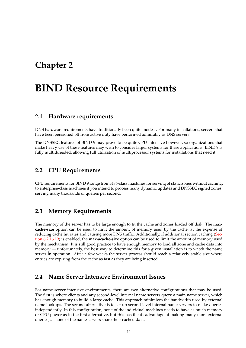## <span id="page-10-0"></span>**Chapter 2**

## **BIND Resource Requirements**

## <span id="page-10-1"></span>**2.1 Hardware requirements**

DNS hardware requirements have traditionally been quite modest. For many installations, servers that have been pensioned off from active duty have performed admirably as DNS servers.

The DNSSEC features of BIND 9 may prove to be quite CPU intensive however, so organizations that make heavy use of these features may wish to consider larger systems for these applications. BIND 9 is fully multithreaded, allowing full utilization of multiprocessor systems for installations that need it.

## <span id="page-10-2"></span>**2.2 CPU Requirements**

CPU requirements for BIND 9 range from i486-class machines for serving of static zones without caching, to enterprise-class machines if you intend to process many dynamic updates and DNSSEC signed zones, serving many thousands of queries per second.

## <span id="page-10-3"></span>**2.3 Memory Requirements**

The memory of the server has to be large enough to fit the cache and zones loaded off disk. The **maxcache-size** option can be used to limit the amount of memory used by the cache, at the expense of reducing cache hit rates and causing more DNS traffic. Additionally, if additional section caching [\(Sec](#page-65-2)[tion 6.2.16.19\)](#page-65-2) is enabled, the **max-acache-size** option can be used to limit the amount of memory used by the mechanism. It is still good practice to have enough memory to load all zone and cache data into memory — unfortunately, the best way to determine this for a given installation is to watch the name server in operation. After a few weeks the server process should reach a relatively stable size where entries are expiring from the cache as fast as they are being inserted.

## <span id="page-10-4"></span>**2.4 Name Server Intensive Environment Issues**

For name server intensive environments, there are two alternative configurations that may be used. The first is where clients and any second-level internal name servers query a main name server, which has enough memory to build a large cache. This approach minimizes the bandwidth used by external name lookups. The second alternative is to set up second-level internal name servers to make queries independently. In this configuration, none of the individual machines needs to have as much memory or CPU power as in the first alternative, but this has the disadvantage of making many more external queries, as none of the name servers share their cached data.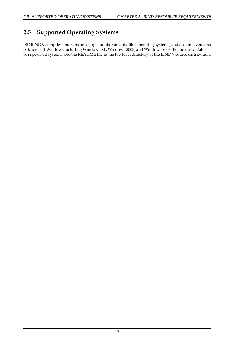## <span id="page-11-0"></span>**2.5 Supported Operating Systems**

ISC BIND 9 compiles and runs on a large number of Unix-like operating systems, and on some versions of Microsoft Windows including Windows XP, Windows 2003, and Windows 2008. For an up-to-date list of supported systems, see the README file in the top level directory of the BIND 9 source distribution.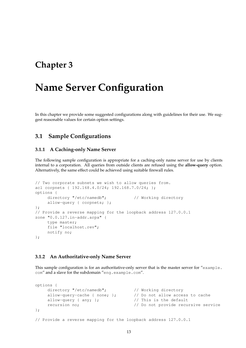## <span id="page-12-0"></span>**Chapter 3**

# **Name Server Configuration**

In this chapter we provide some suggested configurations along with guidelines for their use. We suggest reasonable values for certain option settings.

## <span id="page-12-1"></span>**3.1 Sample Configurations**

#### <span id="page-12-2"></span>**3.1.1 A Caching-only Name Server**

The following sample configuration is appropriate for a caching-only name server for use by clients internal to a corporation. All queries from outside clients are refused using the **allow-query** option. Alternatively, the same effect could be achieved using suitable firewall rules.

```
// Two corporate subnets we wish to allow queries from.
acl corpnets { 192.168.4.0/24; 192.168.7.0/24; };
options {
    directory "/etc/namedb"; // Working directory
    allow-query { corpnets; };
};
// Provide a reverse mapping for the loopback address 127.0.0.1
zone "0.0.127.in-addr.arpa" {
    type master;
    file "localhost.rev";
    notify no;
};
```
#### <span id="page-12-3"></span>**3.1.2 An Authoritative-only Name Server**

This sample configuration is for an authoritative-only server that is the master server for "example. com" and a slave for the subdomain "eng.example.com".

```
options {
    directory "/etc/namedb"; // Working directory
    allow-query-cache { none; }; // Do not allow access to cache
    allow-query { any; }; \frac{1}{2} // This is the default
    recursion no; // Do not provide recursive service
};
// Provide a reverse mapping for the loopback address 127.0.0.1
```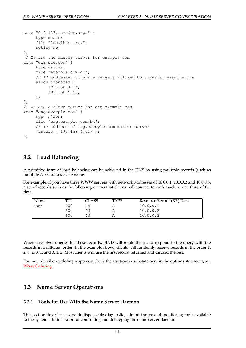```
zone "0.0.127.in-addr.arpa" {
    type master;
     file "localhost.rev";
    notify no;
};
// We are the master server for example.com
zone "example.com" {
     type master;
     file "example.com.db";
     // IP addresses of slave servers allowed to transfer example.com
     allow-transfer {
          192.168.4.14;
          192.168.5.53;
     };
};
// We are a slave server for eng.example.com
zone "eng.example.com" {
    type slave;
     file "eng.example.com.bk";
     // IP address of eng.example.com master server
     masters { 192.168.4.12; };
};
```
## <span id="page-13-0"></span>**3.2 Load Balancing**

A primitive form of load balancing can be achieved in the DNS by using multiple records (such as multiple A records) for one name.

For example, if you have three WWW servers with network addresses of 10.0.0.1, 10.0.0.2 and 10.0.0.3, a set of records such as the following means that clients will connect to each machine one third of the time:

| Name |     | CLASS | TYPF      | Resource Record (RR) Data |
|------|-----|-------|-----------|---------------------------|
| WWW  | 600 | I N   | $\forall$ | 10.0.0.1                  |
|      | 600 | T N   | А         | 10.0.0.2                  |
|      | 600 |       | А         | 10.0.0.3                  |

When a resolver queries for these records, BIND will rotate them and respond to the query with the records in a different order. In the example above, clients will randomly receive records in the order 1, 2, 3; 2, 3, 1; and 3, 1, 2. Most clients will use the first record returned and discard the rest.

For more detail on ordering responses, check the **rrset-order** substatement in the **options** statement, see [RRset Ordering.](#page-61-2)

## <span id="page-13-1"></span>**3.3 Name Server Operations**

## <span id="page-13-2"></span>**3.3.1 Tools for Use With the Name Server Daemon**

This section describes several indispensable diagnostic, administrative and monitoring tools available to the system administrator for controlling and debugging the name server daemon.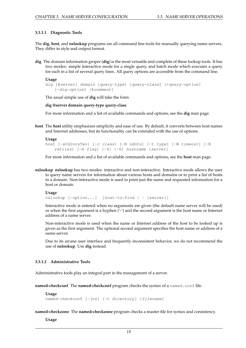#### <span id="page-14-0"></span>**3.3.1.1 Diagnostic Tools**

<span id="page-14-2"></span>The **dig**, **host**, and **nslookup** programs are all command line tools for manually querying name servers. They differ in style and output format.

**dig** The domain information groper (**dig**) is the most versatile and complete of these lookup tools. It has two modes: simple interactive mode for a single query, and batch mode which executes a query for each in a list of several query lines. All query options are accessible from the command line.

**Usage**

```
dig [@server] domain [query-type] [query-class] [+query-option]
   [-dig-option] [%comment]
```
The usual simple use of **dig** will take the form

**dig @server domain query-type query-class**

For more information and a list of available commands and options, see the **dig** man page.

**host** The **host** utility emphasizes simplicity and ease of use. By default, it converts between host names and Internet addresses, but its functionality can be extended with the use of options.

**Usage**

```
host [-aCdlnrsTwv] [-c class] [-N ndots] [-t type] [-W timeout] [-R
   retries] [-m flag] [-4] [-6] hostname [server]
```
For more information and a list of available commands and options, see the **host** man page.

**nslookup nslookup** has two modes: interactive and non-interactive. Interactive mode allows the user to query name servers for information about various hosts and domains or to print a list of hosts in a domain. Non-interactive mode is used to print just the name and requested information for a host or domain.

**Usage**

nslookup [-option...] [host-to-find | - [server]]

Interactive mode is entered when no arguments are given (the default name server will be used) or when the first argument is a hyphen ('-') and the second argument is the host name or Internet address of a name server.

Non-interactive mode is used when the name or Internet address of the host to be looked up is given as the first argument. The optional second argument specifies the host name or address of a name server.

Due to its arcane user interface and frequently inconsistent behavior, we do not recommend the use of **nslookup**. Use **dig** instead.

#### <span id="page-14-1"></span>**3.3.1.2 Administrative Tools**

<span id="page-14-3"></span>Administrative tools play an integral part in the management of a server.

**named-checkconf** The **named-checkconf** program checks the syntax of a named.conf file.

```
Usage
named-checkconf [-jvz] [-t directory] [filename]
```
**named-checkzone** The **named-checkzone** program checks a master file for syntax and consistency.

**Usage**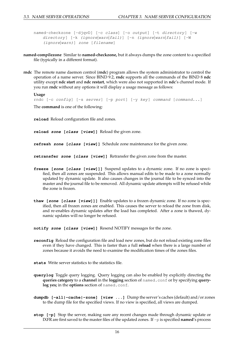```
named-checkzone [-djqvD] [-c class] [-o output] [-t directory] [-w
   directory] [-k (ignore|warn|fail)] [-n (ignore|warn|fail)] [-W
   (ignore|warn)] zone [filename]
```
- **named-compilezone** Similar to **named-checkzone,** but it always dumps the zone content to a specified file (typically in a different format).
- **rndc** The remote name daemon control (**rndc**) program allows the system administrator to control the operation of a name server. Since BIND 9.2, **rndc** supports all the commands of the BIND 8 **ndc** utility except **ndc start** and **ndc restart**, which were also not supported in **ndc**'s channel mode. If you run **rndc** without any options it will display a usage message as follows:

```
Usage
```
rndc [-c config] [-s server] [-p port] [-y key] command [command...]

The **command** is one of the following:

**reload** Reload configuration file and zones.

**reload zone [class [view]]** Reload the given zone.

**refresh zone [class [view]]** Schedule zone maintenance for the given zone.

**retransfer zone [class [view]]** Retransfer the given zone from the master.

- **freeze [zone [class [view]]]** Suspend updates to a dynamic zone. If no zone is specified, then all zones are suspended. This allows manual edits to be made to a zone normally updated by dynamic update. It also causes changes in the journal file to be synced into the master and the journal file to be removed. All dynamic update attempts will be refused while the zone is frozen.
- **thaw [zone [class [view]]]** Enable updates to a frozen dynamic zone. If no zone is specified, then all frozen zones are enabled. This causes the server to reload the zone from disk, and re-enables dynamic updates after the load has completed. After a zone is thawed, dynamic updates will no longer be refused.

**notify zone [class [view]]** Resend NOTIFY messages for the zone.

- **reconfig** Reload the configuration file and load new zones, but do not reload existing zone files even if they have changed. This is faster than a full **reload** when there is a large number of zones because it avoids the need to examine the modification times of the zones files.
- **stats** Write server statistics to the statistics file.
- **querylog** Toggle query logging. Query logging can also be enabled by explicitly directing the **queries category** to a **channel** in the **logging** section of named.conf or by specifying **query**log yes; in the options section of named.conf.
- **dumpdb [-all|-cache|-zone] [view ...]** Dump the server's caches (default) and/or zones to the dump file for the specified views. If no view is specified, all views are dumped.
- **stop [-p]** Stop the server, making sure any recent changes made through dynamic update or IXFR are first saved to the master files of the updated zones. If -p is specified **named**'s process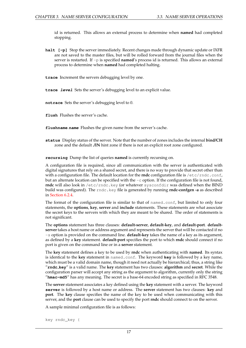id is returned. This allows an external process to determine when **named** had completed stopping.

**halt [-p]** Stop the server immediately. Recent changes made through dynamic update or IXFR are not saved to the master files, but will be rolled forward from the journal files when the server is restarted. If -p is specified **named**'s process id is returned. This allows an external process to determine when **named** had completed halting.

**trace** Increment the servers debugging level by one.

**trace level** Sets the server's debugging level to an explicit value.

**notrace** Sets the server's debugging level to 0.

**flush** Flushes the server's cache.

**flushname name** Flushes the given name from the server's cache.

**status** Display status of the server. Note that the number of zones includes the internal **bind/CH** zone and the default **./IN** hint zone if there is not an explicit root zone configured.

**recursing** Dump the list of queries **named** is currently recursing on.

A configuration file is required, since all communication with the server is authenticated with digital signatures that rely on a shared secret, and there is no way to provide that secret other than with a configuration file. The default location for the **rndc** configuration file is /etc/rndc.conf, but an alternate location can be specified with the  $-c$  option. If the configuration file is not found, **rndc** will also look in /etc/rndc.key (or whatever sysconfdir was defined when the BIND build was configured). The rndc.key file is generated by running **rndc-confgen -a** as described in [Section 6.2.4.](#page-34-4)

The format of the configuration file is similar to that of named.conf, but limited to only four statements, the **options**, **key**, **server** and **include** statements. These statements are what associate the secret keys to the servers with which they are meant to be shared. The order of statements is not significant.

The **options** statement has three clauses: **default-server**, **default-key**, and **default-port**. **defaultserver** takes a host name or address argument and represents the server that will be contacted if no -s option is provided on the command line. **default-key** takes the name of a key as its argument, as defined by a **key** statement. **default-port** specifies the port to which **rndc** should connect if no port is given on the command line or in a **server** statement.

The **key** statement defines a key to be used by **rndc** when authenticating with **named**. Its syntax is identical to the **key** statement in named.conf. The keyword **key** is followed by a key name, which must be a valid domain name, though it need not actually be hierarchical; thus, a string like "**rndc key**" is a valid name. The **key** statement has two clauses: **algorithm** and **secret**. While the configuration parser will accept any string as the argument to algorithm, currently only the string "**hmac-md5**" has any meaning. The secret is a base-64 encoded string as specified in RFC 3548.

The **server** statement associates a key defined using the **key** statement with a server. The keyword **server** is followed by a host name or address. The **server** statement has two clauses: **key** and **port**. The **key** clause specifies the name of the key to be used when communicating with this server, and the **port** clause can be used to specify the port **rndc** should connect to on the server.

A sample minimal configuration file is as follows:

key rndc\_key {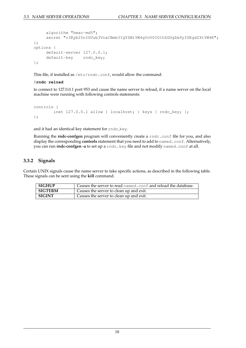```
algorithm "hmac-md5";
     secret "c3Ryb25nIGVub3VnaCBmb3IgYSBtYW4gYnV0IG1hZGUgZm9yIGEgd29tYW4K";
};
options {
    default-server 127.0.0.1;
    default-key rndc key;
};
```
This file, if installed as /etc/rndc.conf, would allow the command:

#### \$**rndc reload**

to connect to 127.0.0.1 port 953 and cause the name server to reload, if a name server on the local machine were running with following controls statements:

```
controls {
        inet 127.0.0.1 allow { localhost; } keys { rndc_key; };
};
```
and it had an identical key statement for rndc\_key.

Running the **rndc-confgen** program will conveniently create a rndc.conf file for you, and also display the corresponding **controls** statement that you need to add to named.conf. Alternatively, you can run **rndc-confgen -a** to set up a rndc.key file and not modify named.conf at all.

## <span id="page-17-0"></span>**3.3.2 Signals**

Certain UNIX signals cause the name server to take specific actions, as described in the following table. These signals can be sent using the **kill** command.

| <b>SIGHUP</b>  | Causes the server to read named, conf and reload the database. |
|----------------|----------------------------------------------------------------|
| <b>SIGTERM</b> | Causes the server to clean up and exit.                        |
| <b>SIGINT</b>  | Causes the server to clean up and exit.                        |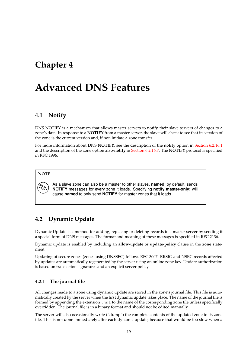## <span id="page-18-0"></span>**Chapter 4**

# **Advanced DNS Features**

## <span id="page-18-1"></span>**4.1 Notify**

DNS NOTIFY is a mechanism that allows master servers to notify their slave servers of changes to a zone's data. In response to a **NOTIFY** from a master server, the slave will check to see that its version of the zone is the current version and, if not, initiate a zone transfer.

For more information about DNS **NOTIFY**, see the description of the **notify** option in [Section 6.2.16.1](#page-47-1) and the description of the zone option **also-notify** in [Section 6.2.16.7.](#page-55-1) The **NOTIFY** protocol is specified in RFC 1996.

**NOTE** 

As a slave zone can also be a master to other slaves, **named**, by default, sends **NOTIFY** messages for every zone it loads. Specifying **notify master-only;** will cause **named** to only send **NOTIFY** for master zones that it loads.

## <span id="page-18-2"></span>**4.2 Dynamic Update**

Dynamic Update is a method for adding, replacing or deleting records in a master server by sending it a special form of DNS messages. The format and meaning of these messages is specified in RFC 2136.

Dynamic update is enabled by including an **allow-update** or **update-policy** clause in the **zone** statement.

Updating of secure zones (zones using DNSSEC) follows RFC 3007: RRSIG and NSEC records affected by updates are automatically regenerated by the server using an online zone key. Update authorization is based on transaction signatures and an explicit server policy.

#### <span id="page-18-3"></span>**4.2.1 The journal file**

All changes made to a zone using dynamic update are stored in the zone's journal file. This file is automatically created by the server when the first dynamic update takes place. The name of the journal file is formed by appending the extension . jnl to the name of the corresponding zone file unless specifically overridden. The journal file is in a binary format and should not be edited manually.

The server will also occasionally write ("dump") the complete contents of the updated zone to its zone file. This is not done immediately after each dynamic update, because that would be too slow when a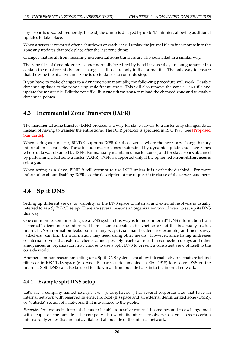large zone is updated frequently. Instead, the dump is delayed by up to 15 minutes, allowing additional updates to take place.

When a server is restarted after a shutdown or crash, it will replay the journal file to incorporate into the zone any updates that took place after the last zone dump.

Changes that result from incoming incremental zone transfers are also journalled in a similar way.

The zone files of dynamic zones cannot normally be edited by hand because they are not guaranteed to contain the most recent dynamic changes — those are only in the journal file. The only way to ensure that the zone file of a dynamic zone is up to date is to run **rndc stop**.

If you have to make changes to a dynamic zone manually, the following procedure will work: Disable dynamic updates to the zone using **rndc freeze zone**. This will also remove the zone's .jnl file and update the master file. Edit the zone file. Run **rndc thaw zone** to reload the changed zone and re-enable dynamic updates.

## <span id="page-19-0"></span>**4.3 Incremental Zone Transfers (IXFR)**

The incremental zone transfer (IXFR) protocol is a way for slave servers to transfer only changed data, instead of having to transfer the entire zone. The IXFR protocol is specified in RFC 1995. See [\[Proposed](#page-92-0) [Standards\].](#page-92-0)

When acting as a master, BIND 9 supports IXFR for those zones where the necessary change history information is available. These include master zones maintained by dynamic update and slave zones whose data was obtained by IXFR. For manually maintained master zones, and for slave zones obtained by performing a full zone transfer (AXFR), IXFR is supported only if the option **ixfr-from-differences** is set to **yes**.

When acting as a slave, BIND 9 will attempt to use IXFR unless it is explicitly disabled. For more information about disabling IXFR, see the description of the **request-ixfr** clause of the **server** statement.

## <span id="page-19-1"></span>**4.4 Split DNS**

Setting up different views, or visibility, of the DNS space to internal and external resolvers is usually referred to as a *Split DNS* setup. There are several reasons an organization would want to set up its DNS this way.

One common reason for setting up a DNS system this way is to hide "internal" DNS information from "external" clients on the Internet. There is some debate as to whether or not this is actually useful. Internal DNS information leaks out in many ways (via email headers, for example) and most savvy "attackers" can find the information they need using other means. However, since listing addresses of internal servers that external clients cannot possibly reach can result in connection delays and other annoyances, an organization may choose to use a Split DNS to present a consistent view of itself to the outside world.

Another common reason for setting up a Split DNS system is to allow internal networks that are behind filters or in RFC 1918 space (reserved IP space, as documented in RFC 1918) to resolve DNS on the Internet. Split DNS can also be used to allow mail from outside back in to the internal network.

## <span id="page-19-2"></span>**4.4.1 Example split DNS setup**

Let's say a company named *Example, Inc.* (example.com) has several corporate sites that have an internal network with reserved Internet Protocol (IP) space and an external demilitarized zone (DMZ), or "outside" section of a network, that is available to the public.

*Example, Inc.* wants its internal clients to be able to resolve external hostnames and to exchange mail with people on the outside. The company also wants its internal resolvers to have access to certain internal-only zones that are not available at all outside of the internal network.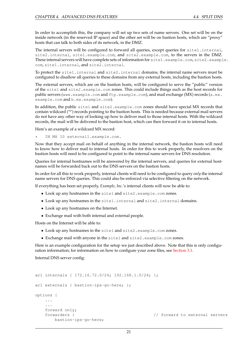In order to accomplish this, the company will set up two sets of name servers. One set will be on the inside network (in the reserved IP space) and the other set will be on bastion hosts, which are "proxy" hosts that can talk to both sides of its network, in the DMZ.

The internal servers will be configured to forward all queries, except queries for site1.internal, site2.internal, site1.example.com, and site2.example.com, to the servers in the DMZ. These internal servers will have complete sets of information for site1.example.com, site2.example. com, site1.internal, and site2.internal.

To protect the site1.internal and site2.internal domains, the internal name servers must be configured to disallow all queries to these domains from any external hosts, including the bastion hosts.

The external servers, which are on the bastion hosts, will be configured to serve the "public" version of the site1 and site2.example.com zones. This could include things such as the host records for public servers (www.example.com and ftp.example.com), and mail exchange (MX) records (a.mx. example.com and b.mx.example.com).

In addition, the public site1 and site2.example.com zones should have special MX records that contain wildcard ('\*') records pointing to the bastion hosts. This is needed because external mail servers do not have any other way of looking up how to deliver mail to those internal hosts. With the wildcard records, the mail will be delivered to the bastion host, which can then forward it on to internal hosts.

Here's an example of a wildcard MX record:

IN MX 10 external1.example.com.

Now that they accept mail on behalf of anything in the internal network, the bastion hosts will need to know how to deliver mail to internal hosts. In order for this to work properly, the resolvers on the bastion hosts will need to be configured to point to the internal name servers for DNS resolution.

Queries for internal hostnames will be answered by the internal servers, and queries for external hostnames will be forwarded back out to the DNS servers on the bastion hosts.

In order for all this to work properly, internal clients will need to be configured to query *only* the internal name servers for DNS queries. This could also be enforced via selective filtering on the network.

If everything has been set properly, *Example, Inc.*'s internal clients will now be able to:

- Look up any hostnames in the site1 and site2.example.com zones.
- Look up any hostnames in the site1.internal and site2.internal domains.
- Look up any hostnames on the Internet.
- Exchange mail with both internal and external people.

Hosts on the Internet will be able to:

- Look up any hostnames in the site1 and site2.example.com zones.
- Exchange mail with anyone in the site1 and site2.example.com zones.

Here is an example configuration for the setup we just described above. Note that this is only configuration information; for information on how to configure your zone files, see [Section 3.1.](#page-12-2)

Internal DNS server config:

```
acl internals { 172.16.72.0/24; 192.168.1.0/24; };
acl externals { bastion-ips-go-here; };
options {
   ...
   ...
   forward only;
   forwarders { \sqrt{2} // forward to external servers
       bastion-ips-go-here;
```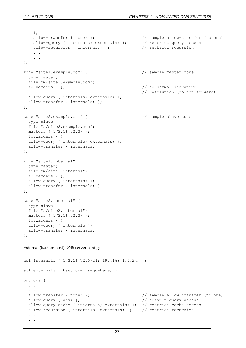```
};
   allow-transfer { none; }; // sample allow-transfer (no one)
   allow-query { internals; externals; }; // restrict query access
   allow-recursion { internals; }; // restrict recursion
   ...
   ...
};
zone "site1.example.com" { // sample master zone
 type master;
 file "m/site1.example.com";
 forwarders { }; // do normal iterative
                                            // resolution (do not forward)
 allow-query { internals; externals; };
 allow-transfer { internals; };
};
zone "site2.example.com" { // sample slave zone
 type slave;
 file "s/site2.example.com";
 masters { 172.16.72.3; };
 forwarders { };
 allow-query { internals; externals; };
 allow-transfer { internals; };
};
zone "site1.internal" {
 type master;
 file "m/site1.internal";
 forwarders { };
 allow-query { internals; };
 allow-transfer { internals; }
};
zone "site2.internal" {
 type slave;
 file "s/site2.internal";
 masters { 172.16.72.3; };
 forwarders { };
 allow-query { internals };
 allow-transfer { internals; }
};
External (bastion host) DNS server config:
acl internals { 172.16.72.0/24; 192.168.1.0/24; };
acl externals { bastion-ips-go-here; };
options {
  ...
  ...
 allow-transfer { none; }; // sample allow-transfer (no one)
 allow-query { any; }; // default query access
 allow-query-cache { internals; externals; }; // restrict cache access
 allow-recursion { internals; externals; }; // restrict recursion
  ...
  ...
```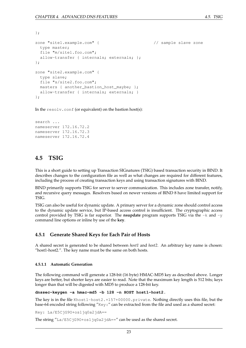}; zone "site1.example.com" { // sample slave zone type master; file "m/site1.foo.com"; allow-transfer { internals; externals; }; }; zone "site2.example.com" { type slave; file "s/site2.foo.com"; masters { another\_bastion\_host\_maybe; }; allow-transfer { internals; externals; } };

In the resolv.conf (or equivalent) on the bastion host(s):

```
search ...
nameserver 172.16.72.2
nameserver 172.16.72.3
nameserver 172.16.72.4
```
## <span id="page-22-0"></span>**4.5 TSIG**

This is a short guide to setting up Transaction SIGnatures (TSIG) based transaction security in BIND. It describes changes to the configuration file as well as what changes are required for different features, including the process of creating transaction keys and using transaction signatures with BIND.

BIND primarily supports TSIG for server to server communication. This includes zone transfer, notify, and recursive query messages. Resolvers based on newer versions of BIND 8 have limited support for TSIG.

TSIG can also be useful for dynamic update. A primary server for a dynamic zone should control access to the dynamic update service, but IP-based access control is insufficient. The cryptographic access control provided by TSIG is far superior. The **nsupdate** program supports TSIG via the -k and -y command line options or inline by use of the **key**.

#### <span id="page-22-1"></span>**4.5.1 Generate Shared Keys for Each Pair of Hosts**

A shared secret is generated to be shared between *host1* and *host2*. An arbitrary key name is chosen: "host1-host2.". The key name must be the same on both hosts.

#### <span id="page-22-2"></span>**4.5.1.1 Automatic Generation**

The following command will generate a 128-bit (16 byte) HMAC-MD5 key as described above. Longer keys are better, but shorter keys are easier to read. Note that the maximum key length is 512 bits; keys longer than that will be digested with MD5 to produce a 128-bit key.

**dnssec-keygen -a hmac-md5 -b 128 -n HOST host1-host2.**

The key is in the file Khost1-host2.+157+00000.private. Nothing directly uses this file, but the base-64 encoded string following "Key:" can be extracted from the file and used as a shared secret:

Key: La/E5CjG9O+os1jq0a2jdA==

The string "La/E5CjG9O+os1jq0a2jdA==" can be used as the shared secret.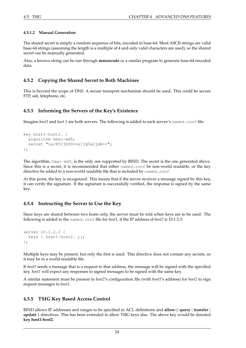#### <span id="page-23-0"></span>**4.5.1.2 Manual Generation**

The shared secret is simply a random sequence of bits, encoded in base-64. Most ASCII strings are valid base-64 strings (assuming the length is a multiple of 4 and only valid characters are used), so the shared secret can be manually generated.

Also, a known string can be run through **mmencode** or a similar program to generate base-64 encoded data.

## <span id="page-23-1"></span>**4.5.2 Copying the Shared Secret to Both Machines**

This is beyond the scope of DNS. A secure transport mechanism should be used. This could be secure FTP, ssh, telephone, etc.

## <span id="page-23-2"></span>**4.5.3 Informing the Servers of the Key's Existence**

Imagine *host1* and *host 2* are both servers. The following is added to each server's named.conf file:

```
key host1-host2. {
  algorithm hmac-md5;
  secret "La/E5CjG9O+os1jq0a2jdA == ";
};
```
The algorithm, hmac-md5, is the only one supported by BIND. The secret is the one generated above. Since this is a secret, it is recommended that either named.conf be non-world readable, or the key directive be added to a non-world readable file that is included by named.conf.

At this point, the key is recognized. This means that if the server receives a message signed by this key, it can verify the signature. If the signature is successfully verified, the response is signed by the same key.

## <span id="page-23-3"></span>**4.5.4 Instructing the Server to Use the Key**

Since keys are shared between two hosts only, the server must be told when keys are to be used. The following is added to the named.conf file for *host1*, if the IP address of *host2* is 10.1.2.3:

```
server 10.1.2.3 {
  keys { host1-host2. ;};
};
```
Multiple keys may be present, but only the first is used. This directive does not contain any secrets, so it may be in a world-readable file.

If *host1* sends a message that is a request to that address, the message will be signed with the specified key. *host1* will expect any responses to signed messages to be signed with the same key.

A similar statement must be present in *host2*'s configuration file (with *host1*'s address) for *host2* to sign request messages to *host1*.

## <span id="page-23-4"></span>**4.5.5 TSIG Key Based Access Control**

BIND allows IP addresses and ranges to be specified in ACL definitions and **allow-**{ **query** | **transfer** | **update** } directives. This has been extended to allow TSIG keys also. The above key would be denoted **key host1-host2.**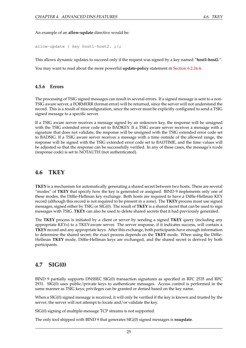An example of an **allow-update** directive would be:

allow-update { key host1-host2. ;};

This allows dynamic updates to succeed only if the request was signed by a key named "**host1-host2.**".

You may want to read about the more powerful **update-policy** statement in [Section 6.2.24.4.](#page-76-1)

#### <span id="page-24-0"></span>**4.5.6 Errors**

The processing of TSIG signed messages can result in several errors. If a signed message is sent to a non-TSIG aware server, a FORMERR (format error) will be returned, since the server will not understand the record. This is a result of misconfiguration, since the server must be explicitly configured to send a TSIG signed message to a specific server.

If a TSIG aware server receives a message signed by an unknown key, the response will be unsigned with the TSIG extended error code set to BADKEY. If a TSIG aware server receives a message with a signature that does not validate, the response will be unsigned with the TSIG extended error code set to BADSIG. If a TSIG aware server receives a message with a time outside of the allowed range, the response will be signed with the TSIG extended error code set to BADTIME, and the time values will be adjusted so that the response can be successfully verified. In any of these cases, the message's rcode (response code) is set to NOTAUTH (not authenticated).

## <span id="page-24-1"></span>**4.6 TKEY**

**TKEY** is a mechanism for automatically generating a shared secret between two hosts. There are several "modes" of **TKEY** that specify how the key is generated or assigned. BIND 9 implements only one of these modes, the Diffie-Hellman key exchange. Both hosts are required to have a Diffie-Hellman KEY record (although this record is not required to be present in a zone). The **TKEY** process must use signed messages, signed either by TSIG or SIG(0). The result of **TKEY** is a shared secret that can be used to sign messages with TSIG. **TKEY** can also be used to delete shared secrets that it had previously generated.

The **TKEY** process is initiated by a client or server by sending a signed **TKEY** query (including any appropriate KEYs) to a TKEY-aware server. The server response, if it indicates success, will contain a **TKEY** record and any appropriate keys. After this exchange, both participants have enough information to determine the shared secret; the exact process depends on the **TKEY** mode. When using the Diffie-Hellman **TKEY** mode, Diffie-Hellman keys are exchanged, and the shared secret is derived by both participants.

## <span id="page-24-2"></span>**4.7 SIG(0)**

BIND 9 partially supports DNSSEC SIG(0) transaction signatures as specified in RFC 2535 and RFC 2931. SIG(0) uses public/private keys to authenticate messages. Access control is performed in the same manner as TSIG keys; privileges can be granted or denied based on the key name.

When a SIG(0) signed message is received, it will only be verified if the key is known and trusted by the server; the server will not attempt to locate and/or validate the key.

SIG(0) signing of multiple-message TCP streams is not supported.

The only tool shipped with BIND 9 that generates SIG(0) signed messages is **nsupdate**.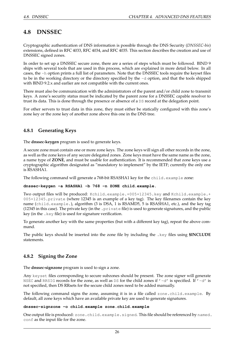## <span id="page-25-0"></span>**4.8 DNSSEC**

Cryptographic authentication of DNS information is possible through the DNS Security (*DNSSEC-bis*) extensions, defined in RFC 4033, RFC 4034, and RFC 4035. This section describes the creation and use of DNSSEC signed zones.

In order to set up a DNSSEC secure zone, there are a series of steps which must be followed. BIND 9 ships with several tools that are used in this process, which are explained in more detail below. In all cases, the -h option prints a full list of parameters. Note that the DNSSEC tools require the keyset files to be in the working directory or the directory specified by the -d option, and that the tools shipped with BIND 9.2.x and earlier are not compatible with the current ones.

There must also be communication with the administrators of the parent and/or child zone to transmit keys. A zone's security status must be indicated by the parent zone for a DNSSEC capable resolver to trust its data. This is done through the presence or absence of a DS record at the delegation point.

For other servers to trust data in this zone, they must either be statically configured with this zone's zone key or the zone key of another zone above this one in the DNS tree.

## <span id="page-25-1"></span>**4.8.1 Generating Keys**

The **dnssec-keygen** program is used to generate keys.

A secure zone must contain one or more zone keys. The zone keys will sign all other records in the zone, as well as the zone keys of any secure delegated zones. Zone keys must have the same name as the zone, a name type of **ZONE**, and must be usable for authentication. It is recommended that zone keys use a cryptographic algorithm designated as "mandatory to implement" by the IETF; currently the only one is RSASHA1.

The following command will generate a 768-bit RSASHA1 key for the child.example zone:

#### **dnssec-keygen -a RSASHA1 -b 768 -n ZONE child.example.**

Two output files will be produced: Kchild.example.+005+12345.key and Kchild.example.+ 005+12345.private (where 12345 is an example of a key tag). The key filenames contain the key name (child.example.), algorithm (3 is DSA, 1 is RSAMD5, 5 is RSASHA1, etc.), and the key tag (12345 in this case). The private key (in the .private file) is used to generate signatures, and the public key (in the .key file) is used for signature verification.

To generate another key with the same properties (but with a different key tag), repeat the above command.

The public keys should be inserted into the zone file by including the .key files using **\$INCLUDE** statements.

## <span id="page-25-2"></span>**4.8.2 Signing the Zone**

The **dnssec-signzone** program is used to sign a zone.

Any keyset files corresponding to secure subzones should be present. The zone signer will generate NSEC and RRSIG records for the zone, as well as DS for the child zones if  $'$  -d' is specified. If  $'$  -d' is not specified, then DS RRsets for the secure child zones need to be added manually.

The following command signs the zone, assuming it is in a file called zone.child.example. By default, all zone keys which have an available private key are used to generate signatures.

#### **dnssec-signzone -o child.example zone.child.example**

One output file is produced: zone.child.example.signed. This file should be referenced by named. conf as the input file for the zone.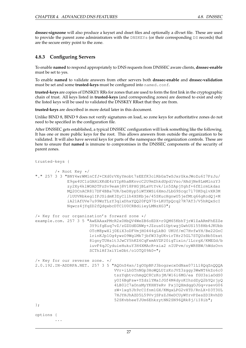**dnssec-signzone** will also produce a keyset and dsset files and optionally a dlvset file. These are used to provide the parent zone administrators with the DNSKEYs (or their corresponding DS records) that are the secure entry point to the zone.

#### <span id="page-26-0"></span>**4.8.3 Configuring Servers**

To enable **named** to respond appropriately to DNS requests from DNSSEC aware clients, **dnssec-enable** must be set to yes.

To enable **named** to validate answers from other servers both **dnssec-enable** and **dnssec-validation** must be set and some **trusted-keys** must be configured into named.conf.

**trusted-keys** are copies of DNSKEY RRs for zones that are used to form the first link in the cryptographic chain of trust. All keys listed in **trusted-keys** (and corresponding zones) are deemed to exist and only the listed keys will be used to validated the DNSKEY RRset that they are from.

**trusted-keys** are described in more detail later in this document.

Unlike BIND 8, BIND 9 does not verify signatures on load, so zone keys for authoritative zones do not need to be specified in the configuration file.

After DNSSEC gets established, a typical DNSSEC configuration will look something like the following. It has one or more public keys for the root. This allows answers from outside the organization to be validated. It will also have several keys for parts of the namespace the organization controls. These are here to ensure that **named** is immune to compromises in the DNSSEC components of the security of parent zones.

```
trusted-keys {
        /* Root Key */
"." 257 3 3 "BNY4wrWM1nCfJ+CXd0rVXyYmobt7sEEfK3clRbGaTwSJxrGkxJWoZu6I7PzJu/
             E9gx4UC1zGAHlXKdE4zYIpRhaBKnvcC2U9mZhkdUpd1Vso/HAdjNe8LmMlnzY3
             zy2Xy4klWOADTPzSv9eamj8V18PHGjBLaVtYvk/ln5ZApjYghf+6fElrmLkdaz
            MQ2OCnACR817DF4BBa7UR/beDHyp5iWTXWSi6XmoJLbG9Scqc7l70KDqlvXR3M
             /lUUVRbkeg1IPJSidmK3ZyCllh4XSKbje/45SKucHgnwU5jefMtq66gKodQj+M
             iA21AfUVe7u99WzTLzY3qlxDhxYQQ20FQ97S+LKUTpQcq27R7AT3/V5hRQxScI
             Nqwcz4jYqZD2fQdgxbcDTClU0CRBdiieyLMNzXG3";
/* Key for our organization's forward zone */
example.com. 257 3 5 "AwEAAaxPMcR2x0HbQV4WeZB6oEDX+r0QM65KbhTjrW1ZaARmPhEZZe
                      3Y9ifgEuq7vZ/zGZUdEGNWy+JZzus0lUptwgjGwhUS1558Hb4JKUbb
                      OTcM8pwXlj0EiX3oDFVmjHO444gLkBO UKUf/mC7HvfwYH/Be22GnC
                      lrinKJp1Og4ywzO9WglMk7jbfW33gUKvirTHr25GL7STQUzBb5Usxt
                      8lgnyTUHs1t3JwCY5hKZ6CqFxmAVZP20igTixin/1LcrgX/KMEGd/b
                      iuvF4qJCyduieHukuY3H4XMAcR+xia2 nIUPvm/oyWR8BW/hWdzOvn
                      SCThlHf3xiYleDbt/o1OTQ09A0=";
/* Key for our reverse zone. */
2.0.192.IN-ADDRPA.NET. 257 3 5 "AQOnS4xn/IgOUpBPJ3bogzwcxOdNax071L18QqZnQQQA
                                VVr+iLhGTnNGp3HoWQLUIzKrJVZ3zggy3WwNT6kZo6c0
                                tszYqbtvchmgQC8CzKojM/W16i6MG/ea fGU3siaOdS0
                                yOI6BgPsw+YZdzlYMaIJGf4M4dyoKIhzdZyQ2bYQrjyQ
                                4LB0lC7aOnsMyYKHHYeRv PxjIQXmdqgOJGq+vsevG06
                                zW+1xgYJh9rCIfnm1GX/KMgxLPG2vXTD/RnLX+D3T3UL
                                7HJYHJhAZD5L59VvjSPsZJHeDCUyWYrvPZesZDIRvhDD
                                52SKvbheeTJUm6EhkzytNN2SN96QRk8j/iI8ib";
};
options {
        ...
```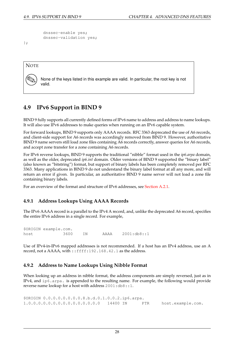```
dnssec-enable yes;
dnssec-validation yes;
```
};

**NOTE** 

None of the keys listed in this example are valid. In particular, the root key is not valid.

## <span id="page-27-0"></span>**4.9 IPv6 Support in BIND 9**

BIND 9 fully supports all currently defined forms of IPv6 name to address and address to name lookups. It will also use IPv6 addresses to make queries when running on an IPv6 capable system.

For forward lookups, BIND 9 supports only AAAA records. RFC 3363 deprecated the use of A6 records, and client-side support for A6 records was accordingly removed from BIND 9. However, authoritative BIND 9 name servers still load zone files containing A6 records correctly, answer queries for A6 records, and accept zone transfer for a zone containing A6 records.

For IPv6 reverse lookups, BIND 9 supports the traditional "nibble" format used in the *ip6.arpa* domain, as well as the older, deprecated *ip6.int* domain. Older versions of BIND 9 supported the "binary label" (also known as "bitstring") format, but support of binary labels has been completely removed per RFC 3363. Many applications in BIND 9 do not understand the binary label format at all any more, and will return an error if given. In particular, an authoritative BIND 9 name server will not load a zone file containing binary labels.

For an overview of the format and structure of IPv6 addresses, see [Section A.2.1.](#page-91-5)

#### <span id="page-27-1"></span>**4.9.1 Address Lookups Using AAAA Records**

The IPv6 AAAA record is a parallel to the IPv4 A record, and, unlike the deprecated A6 record, specifies the entire IPv6 address in a single record. For example,

\$ORIGIN example.com. host 3600 IN AAAA 2001:db8::1

Use of IPv4-in-IPv6 mapped addresses is not recommended. If a host has an IPv4 address, use an A record, not a AAAA, with ::ffff:192.168.42.1 as the address.

#### <span id="page-27-2"></span>**4.9.2 Address to Name Lookups Using Nibble Format**

When looking up an address in nibble format, the address components are simply reversed, just as in IPv4, and ip6.arpa. is appended to the resulting name. For example, the following would provide reverse name lookup for a host with address 2001:db8::1.

```
$ORIGIN 0.0.0.0.0.0.0.0.8.b.d.0.1.0.0.2.ip6.arpa.
1.0.0.0.0.0.0.0.0.0.0.0.0.0.0.0 14400 IN PTR host.example.com.
```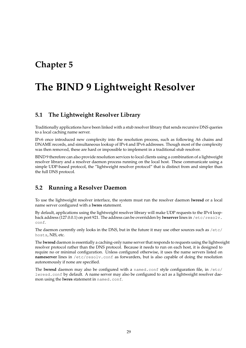## <span id="page-28-0"></span>**Chapter 5**

# **The BIND 9 Lightweight Resolver**

## <span id="page-28-1"></span>**5.1 The Lightweight Resolver Library**

Traditionally applications have been linked with a stub resolver library that sends recursive DNS queries to a local caching name server.

IPv6 once introduced new complexity into the resolution process, such as following A6 chains and DNAME records, and simultaneous lookup of IPv4 and IPv6 addresses. Though most of the complexity was then removed, these are hard or impossible to implement in a traditional stub resolver.

BIND 9 therefore can also provide resolution services to local clients using a combination of a lightweight resolver library and a resolver daemon process running on the local host. These communicate using a simple UDP-based protocol, the "lightweight resolver protocol" that is distinct from and simpler than the full DNS protocol.

## <span id="page-28-2"></span>**5.2 Running a Resolver Daemon**

To use the lightweight resolver interface, the system must run the resolver daemon **lwresd** or a local name server configured with a **lwres** statement.

By default, applications using the lightweight resolver library will make UDP requests to the IPv4 loopback address (127.0.0.1) on port 921. The address can be overridden by **lwserver** lines in /etc/resolv. conf.

The daemon currently only looks in the DNS, but in the future it may use other sources such as /etc/ hosts, NIS, etc.

The **lwresd** daemon is essentially a caching-only name server that responds to requests using the lightweight resolver protocol rather than the DNS protocol. Because it needs to run on each host, it is designed to require no or minimal configuration. Unless configured otherwise, it uses the name servers listed on **nameserver** lines in /etc/resolv.conf as forwarders, but is also capable of doing the resolution autonomously if none are specified.

The **lwresd** daemon may also be configured with a named.conf style configuration file, in /etc/ lwresd.conf by default. A name server may also be configured to act as a lightweight resolver daemon using the **lwres** statement in named.conf.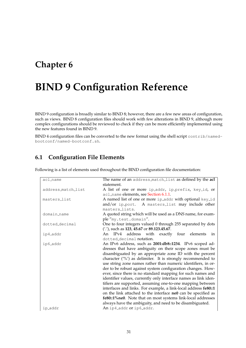## <span id="page-30-0"></span>**Chapter 6**

# **BIND 9 Configuration Reference**

BIND 9 configuration is broadly similar to BIND 8; however, there are a few new areas of configuration, such as views. BIND 8 configuration files should work with few alterations in BIND 9, although more complex configurations should be reviewed to check if they can be more efficiently implemented using the new features found in BIND 9.

BIND 4 configuration files can be converted to the new format using the shell script contrib/namedbootconf/named-bootconf.sh.

## <span id="page-30-1"></span>**6.1 Configuration File Elements**

Following is a list of elements used throughout the BIND configuration file documentation:

| acl_name           | The name of an address_match_list as defined by the acl<br>statement. |
|--------------------|-----------------------------------------------------------------------|
| address_match_list | A list of one or more ip_addr, ip_prefix, key_id, or                  |
|                    | acl_name elements, see Section 6.1.1.                                 |
| masters_list       | A named list of one or more ip_addr with optional key_id              |
|                    | and/or ip_port. A masters_list may include other                      |
|                    | masters_lists.                                                        |
| domain_name        | A quoted string which will be used as a DNS name, for exam-           |
|                    | ple"my.test.domain".                                                  |
| dotted_decimal     | One to four integers valued 0 through 255 separated by dots           |
|                    | ('.'), such as 123, 45.67 or 89.123.45.67.                            |
| ip4_addr           | An IPv4 address with exactly four elements<br>in                      |
|                    | dotted_decimal notation.                                              |
| ip6_addr           | An IPv6 address, such as 2001:db8::1234. IPv6 scoped ad-              |
|                    | dresses that have ambiguity on their scope zones must be              |
|                    | disambiguated by an appropriate zone ID with the percent              |
|                    | character ("%") as delimiter. It is strongly recommended to           |
|                    | use string zone names rather than numeric identifiers, in or-         |
|                    | der to be robust against system configuration changes. How-           |
|                    | ever, since there is no standard mapping for such names and           |
|                    | identifier values, currently only interface names as link iden-       |
|                    | tifiers are supported, assuming one-to-one mapping between            |
|                    | interfaces and links. For example, a link-local address fe80::1       |
|                    | on the link attached to the interface ne0 can be specified as         |
|                    | fe80::1%ne0. Note that on most systems link-local addresses           |
|                    | always have the ambiguity, and need to be disambiguated.              |
| ip_addr            | An ip4_addr or ip6_addr.                                              |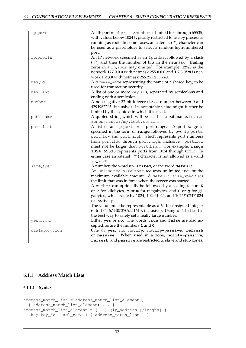| ip_port       | An IP port number. The number is limited to 0 through 65535,<br>with values below 1024 typically restricted to use by processes                                                                                                                                                                                                                                                                                                                                                                                                                                                              |
|---------------|----------------------------------------------------------------------------------------------------------------------------------------------------------------------------------------------------------------------------------------------------------------------------------------------------------------------------------------------------------------------------------------------------------------------------------------------------------------------------------------------------------------------------------------------------------------------------------------------|
|               | running as root. In some cases, an asterisk ("*") character can<br>be used as a placeholder to select a random high-numbered<br>port.                                                                                                                                                                                                                                                                                                                                                                                                                                                        |
| ip_prefix     | An IP network specified as an ip_addr, followed by a slash<br>$('')$ and then the number of bits in the netmask. Trailing<br>zeros in a ip_addr may omitted. For example, 127/8 is the<br>network 127.0.0.0 with netmask 255.0.0.0 and 1.2.3.0/28 is net-                                                                                                                                                                                                                                                                                                                                    |
| key_id        | work 1.2.3.0 with netmask 255.255.255.240.<br>A domain_name representing the name of a shared key, to be<br>used for transaction security.                                                                                                                                                                                                                                                                                                                                                                                                                                                   |
| key_list      | A list of one or more key_ids, separated by semicolons and<br>ending with a semicolon.                                                                                                                                                                                                                                                                                                                                                                                                                                                                                                       |
| number        | A non-negative 32-bit integer (i.e., a number between 0 and<br>4294967295, inclusive). Its acceptable value might further be<br>limited by the context in which it is used.                                                                                                                                                                                                                                                                                                                                                                                                                  |
| path_name     | A quoted string which will be used as a pathname, such as<br>zones/master/my.test.domain.                                                                                                                                                                                                                                                                                                                                                                                                                                                                                                    |
| port_list     | A list of an ip_port or a port range. A port range is<br>specified in the form of range followed by two ip_ports,<br>port_low and port_high, which represents port numbers<br>from portlow through porthigh, inclusive. portlow<br>must not be larger than port_high. For example, range<br>1024 65535 represents ports from 1024 through 65535. In<br>either case an asterisk ("*) character is not allowed as a valid                                                                                                                                                                      |
| size_spec     | ip_port.<br>A number, the word unlimited, or the word default.<br>An unlimited size_spec requests unlimited use, or the<br>maximum available amount. A default size_spec uses<br>the limit that was in force when the server was started.<br>A number can optionally be followed by a scaling factor: <b>K</b><br>or k for kilobytes, M or m for megabytes, and G or g for gi-<br>gabytes, which scale by 1024, 1024*1024, and 1024*1024*1024<br>respectively.<br>The value must be representable as a 64-bit unsigned integer<br>(0 to 18446744073709551615, inclusive). Using unlimited is |
| yes_or_no     | the best way to safely set a really large number.<br>Either yes or no. The words true and false are also ac-                                                                                                                                                                                                                                                                                                                                                                                                                                                                                 |
| dialup_option | cepted, as are the numbers 1 and 0.<br>One of yes, no, notify, notify-passive, refresh<br>or passive. When used in a zone, notify-passive,                                                                                                                                                                                                                                                                                                                                                                                                                                                   |
|               | refresh, and passive are restricted to slave and stub zones.                                                                                                                                                                                                                                                                                                                                                                                                                                                                                                                                 |

#### <span id="page-31-0"></span>**6.1.1 Address Match Lists**

#### <span id="page-31-1"></span>**6.1.1.1 Syntax**

```
address_match_list = address_match_list_element ;
 [ address_match_list_element; ... ]
address_match_list_element = [ ! ] (ip_address [/length] |
  key key_id | acl_name | { address_match_list } )
```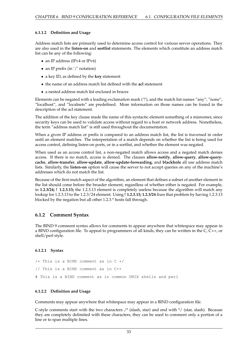#### <span id="page-32-0"></span>**6.1.1.2 Definition and Usage**

Address match lists are primarily used to determine access control for various server operations. They are also used in the **listen-on** and **sortlist** statements. The elements which constitute an address match list can be any of the following:

- an IP address (IPv4 or IPv6)
- an IP prefix (in  $\prime$  /' notation)
- a key ID, as defined by the **key** statement
- the name of an address match list defined with the **acl** statement
- a nested address match list enclosed in braces

Elements can be negated with a leading exclamation mark ('!'), and the match list names "any", "none", "localhost", and "localnets" are predefined. More information on those names can be found in the description of the acl statement.

The addition of the key clause made the name of this syntactic element something of a misnomer, since security keys can be used to validate access without regard to a host or network address. Nonetheless, the term "address match list" is still used throughout the documentation.

When a given IP address or prefix is compared to an address match list, the list is traversed in order until an element matches. The interpretation of a match depends on whether the list is being used for access control, defining listen-on ports, or in a sortlist, and whether the element was negated.

When used as an access control list, a non-negated match allows access and a negated match denies access. If there is no match, access is denied. The clauses **allow-notify**, **allow-query**, **allow-querycache**, **allow-transfer**, **allow-update**, **allow-update-forwarding**, and **blackhole** all use address match lists. Similarly, the **listen-on** option will cause the server to not accept queries on any of the machine's addresses which do not match the list.

Because of the first-match aspect of the algorithm, an element that defines a subset of another element in the list should come before the broader element, regardless of whether either is negated. For example, in **1.2.3/24; ! 1.2.3.13;** the 1.2.3.13 element is completely useless because the algorithm will match any lookup for 1.2.3.13 to the 1.2.3/24 element. Using **! 1.2.3.13; 1.2.3/24** fixes that problem by having 1.2.3.13 blocked by the negation but all other 1.2.3.\* hosts fall through.

## <span id="page-32-1"></span>**6.1.2 Comment Syntax**

The BIND 9 comment syntax allows for comments to appear anywhere that whitespace may appear in a BIND configuration file. To appeal to programmers of all kinds, they can be written in the C, C++, or shell/perl style.

#### <span id="page-32-2"></span>**6.1.2.1 Syntax**

/\* This is a BIND comment as in C  $*/$ // This is a BIND comment as in C++ # This is a BIND comment as in common UNIX shells and perl

#### <span id="page-32-3"></span>**6.1.2.2 Definition and Usage**

Comments may appear anywhere that whitespace may appear in a BIND configuration file.

C-style comments start with the two characters  $/*$  (slash, star) and end with  $*/$  (star, slash). Because they are completely delimited with these characters, they can be used to comment only a portion of a line or to span multiple lines.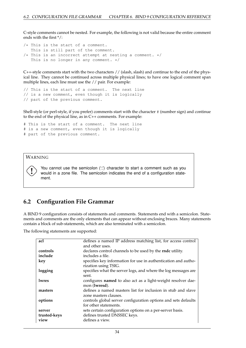C-style comments cannot be nested. For example, the following is not valid because the entire comment ends with the first \*/:

```
/* This is the start of a comment.
  This is still part of the comment.
/* This is an incorrect attempt at nesting a comment. */
  This is no longer in any comment. */
```
C++-style comments start with the two characters // (slash, slash) and continue to the end of the physical line. They cannot be continued across multiple physical lines; to have one logical comment span multiple lines, each line must use the // pair. For example:

```
// This is the start of a comment. The next line
// is a new comment, even though it is logically
// part of the previous comment.
```
Shell-style (or perl-style, if you prefer) comments start with the character # (number sign) and continue to the end of the physical line, as in C++ comments. For example:

```
# This is the start of a comment. The next line
# is a new comment, even though it is logically
# part of the previous comment.
```
WARNING

You cannot use the semicolon (';') character to start a comment such as you would in a zone file. The semicolon indicates the end of a configuration statement.

## <span id="page-33-0"></span>**6.2 Configuration File Grammar**

A BIND 9 configuration consists of statements and comments. Statements end with a semicolon. Statements and comments are the only elements that can appear without enclosing braces. Many statements contain a block of sub-statements, which are also terminated with a semicolon.

The following statements are supported:

| acl          | defines a named IP address matching list, for access control                            |
|--------------|-----------------------------------------------------------------------------------------|
|              | and other uses.                                                                         |
| controls     | declares control channels to be used by the <b>rndc</b> utility.                        |
| include      | includes a file.                                                                        |
| key          | specifies key information for use in authentication and autho-<br>rization using TSIG.  |
| logging      | specifies what the server logs, and where the log messages are<br>sent.                 |
| <i>lwres</i> | configures named to also act as a light-weight resolver dae-<br>mon ( <b>lwresd</b> ).  |
| masters      | defines a named masters list for inclusion in stub and slave<br>zone masters clauses.   |
| options      | controls global server configuration options and sets defaults<br>for other statements. |
| server       | sets certain configuration options on a per-server basis.                               |
| trusted-keys | defines trusted DNSSEC keys.                                                            |
| view         | defines a view.                                                                         |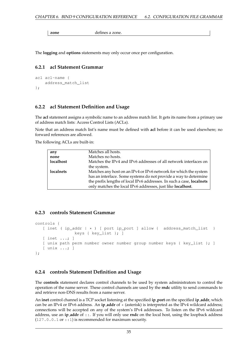**zone** defines a zone.

The **logging** and **options** statements may only occur once per configuration.

#### <span id="page-34-0"></span>**6.2.1 acl Statement Grammar**

```
acl acl-name {
    address_match_list
};
```
#### <span id="page-34-1"></span>**6.2.2 acl Statement Definition and Usage**

The **acl** statement assigns a symbolic name to an address match list. It gets its name from a primary use of address match lists: Access Control Lists (ACLs).

Note that an address match list's name must be defined with **acl** before it can be used elsewhere; no forward references are allowed.

The following ACLs are built-in:

| any              | Matches all hosts.                                                    |
|------------------|-----------------------------------------------------------------------|
| none             | Matches no hosts.                                                     |
| <b>localhost</b> | Matches the IPv4 and IPv6 addresses of all network interfaces on      |
|                  | the system.                                                           |
| localnets        | Matches any host on an IPv4 or IPv6 network for which the system      |
|                  | has an interface. Some systems do not provide a way to determine      |
|                  | the prefix lengths of local IPv6 addresses. In such a case, localnets |
|                  | only matches the local IPv6 addresses, just like <b>localhost</b> .   |

#### <span id="page-34-2"></span>**6.2.3 controls Statement Grammar**

```
controls {
   [ inet ( ip_addr | * ) [ port ip_port ] allow { address_match_list }
               keys { key_list }; ]
   [ inet ...; ]
   [ unix path perm number owner number group number keys { key_list }; ]
   [ unix ...; ]
};
```
#### <span id="page-34-3"></span>**6.2.4 controls Statement Definition and Usage**

<span id="page-34-4"></span>The **controls** statement declares control channels to be used by system administrators to control the operation of the name server. These control channels are used by the **rndc** utility to send commands to and retrieve non-DNS results from a name server.

An **inet** control channel is a TCP socket listening at the specified **ip port** on the specified **ip addr**, which can be an IPv4 or IPv6 address. An *ip\_addr* of  $\star$  (asterisk) is interpreted as the IPv4 wildcard address; connections will be accepted on any of the system's IPv4 addresses. To listen on the IPv6 wildcard address, use an **ip addr** of ::. If you will only use **rndc** on the local host, using the loopback address  $(127.0.0.1$  or  $::1)$  is recommended for maximum security.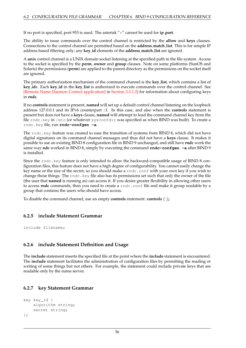If no port is specified, port 953 is used. The asterisk "\*" cannot be used for **ip port**.

The ability to issue commands over the control channel is restricted by the **allow** and **keys** clauses. Connections to the control channel are permitted based on the **address match list**. This is for simple IP address based filtering only; any **key id** elements of the **address match list** are ignored.

A **unix** control channel is a UNIX domain socket listening at the specified path in the file system. Access to the socket is specified by the **perm**, **owner** and **group** clauses. Note on some platforms (SunOS and Solaris) the permissions (**perm**) are applied to the parent directory as the permissions on the socket itself are ignored.

The primary authorization mechanism of the command channel is the **key list**, which contains a list of **key id**s. Each **key id** in the **key list** is authorized to execute commands over the control channel. See [\[Remote Name Daemon Control application\]](#page-0-0) in [Section 3.3.1.2\)](#page-14-3) for information about configuring keys in **rndc**.

If no **controls** statement is present, **named** will set up a default control channel listening on the loopback address 127.0.0.1 and its IPv6 counterpart ::1. In this case, and also when the **controls** statement is present but does not have a **keys** clause, **named** will attempt to load the command channel key from the file rndc.key in /etc (or whatever sysconfdir was specified as when BIND was built). To create a rndc.key file, run **rndc-confgen -a**.

The rndc.key feature was created to ease the transition of systems from BIND 8, which did not have digital signatures on its command channel messages and thus did not have a **keys** clause. It makes it possible to use an existing BIND 8 configuration file in BIND 9 unchanged, and still have **rndc** work the same way **ndc** worked in BIND 8, simply by executing the command **rndc-confgen -a** after BIND 9 is installed.

Since the rndc.key feature is only intended to allow the backward-compatible usage of BIND 8 configuration files, this feature does not have a high degree of configurability. You cannot easily change the key name or the size of the secret, so you should make a rndc.conf with your own key if you wish to change those things. The rndc.key file also has its permissions set such that only the owner of the file (the user that **named** is running as) can access it. If you desire greater flexibility in allowing other users to access **rndc** commands, then you need to create a rndc.conf file and make it group readable by a group that contains the users who should have access.

To disable the command channel, use an empty **controls** statement: **controls** { };.

#### <span id="page-35-0"></span>**6.2.5 include Statement Grammar**

include filename;

#### <span id="page-35-1"></span>**6.2.6 include Statement Definition and Usage**

The **include** statement inserts the specified file at the point where the **include** statement is encountered. The **include** statement facilitates the administration of configuration files by permitting the reading or writing of some things but not others. For example, the statement could include private keys that are readable only by the name server.

#### <span id="page-35-2"></span>**6.2.7 key Statement Grammar**

```
key key_id {
    algorithm string;
    secret string;
};
```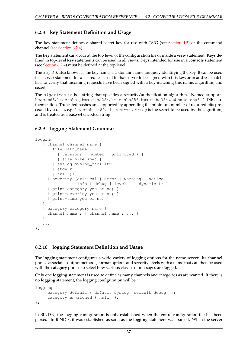# **6.2.8 key Statement Definition and Usage**

The **key** statement defines a shared secret key for use with TSIG (see [Section 4.5\)](#page-22-0) or the command channel (see [Section 6.2.4\)](#page-34-0).

The **key** statement can occur at the top level of the configuration file or inside a **view** statement. Keys defined in top-level **key** statements can be used in all views. Keys intended for use in a **controls** statement (see [Section 6.2.4\)](#page-34-0) must be defined at the top level.

The  $key\_id$ , also known as the key name, is a domain name uniquely identifying the key. It can be used in a **server** statement to cause requests sent to that server to be signed with this key, or in address match lists to verify that incoming requests have been signed with a key matching this name, algorithm, and secret.

The  $algorithm_id$  is a string that specifies a security/authentication algorithm. Named supports hmac-md5, hmac-sha1, hmac-sha224, hmac-sha256, hmac-sha384 and hmac-sha512 TSIG authentication. Truncated hashes are supported by appending the minimum number of required bits preceded by a dash, e.g. hmac-sha1-80. The secret string is the secret to be used by the algorithm, and is treated as a base-64 encoded string.

# **6.2.9 logging Statement Grammar**

```
logging {
   [ channel channel_name {
     ( file path_name
         [ versions ( number | unlimited ) ]
         [ size size spec ]
       | syslog syslog_facility
       | stderr
       | null );
     [ severity (critical | error | warning | notice |
                 info | debug [ level ] | dynamic ); ]
     [ print-category yes or no; ]
     [ print-severity yes or no; ]
     [ print-time yes or no; ]
   }; ]
   [ category category_name {
    channel_name ; [ channel_name ; ... ]
   \}; ]
   ...
};
```
## **6.2.10 logging Statement Definition and Usage**

The **logging** statement configures a wide variety of logging options for the name server. Its **channel** phrase associates output methods, format options and severity levels with a name that can then be used with the **category** phrase to select how various classes of messages are logged.

Only one **logging** statement is used to define as many channels and categories as are wanted. If there is no **logging** statement, the logging configuration will be:

```
logging {
    category default { default_syslog; default_debug; };
     category unmatched { null; };
};
```
In BIND 9, the logging configuration is only established when the entire configuration file has been parsed. In BIND 8, it was established as soon as the **logging** statement was parsed. When the server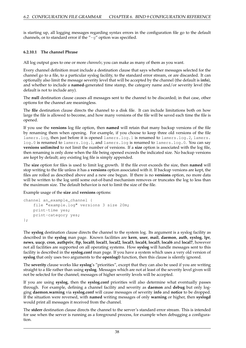is starting up, all logging messages regarding syntax errors in the configuration file go to the default channels, or to standard error if the "-g" option was specified.

### **6.2.10.1 The channel Phrase**

All log output goes to one or more *channels*; you can make as many of them as you want.

Every channel definition must include a destination clause that says whether messages selected for the channel go to a file, to a particular syslog facility, to the standard error stream, or are discarded. It can optionally also limit the message severity level that will be accepted by the channel (the default is **info**), and whether to include a **named**-generated time stamp, the category name and/or severity level (the default is not to include any).

The **null** destination clause causes all messages sent to the channel to be discarded; in that case, other options for the channel are meaningless.

The **file** destination clause directs the channel to a disk file. It can include limitations both on how large the file is allowed to become, and how many versions of the file will be saved each time the file is opened.

If you use the **versions** log file option, then **named** will retain that many backup versions of the file by renaming them when opening. For example, if you choose to keep three old versions of the file lamers.log, then just before it is opened lamers.log.1 is renamed to lamers.log.2, lamers. log.0 is renamed to lamers.log.1, and lamers.log is renamed to lamers.log.0. You can say **versions unlimited** to not limit the number of versions. If a **size** option is associated with the log file, then renaming is only done when the file being opened exceeds the indicated size. No backup versions are kept by default; any existing log file is simply appended.

The **size** option for files is used to limit log growth. If the file ever exceeds the size, then **named** will stop writing to the file unless it has a **versions** option associated with it. If backup versions are kept, the files are rolled as described above and a new one begun. If there is no **versions** option, no more data will be written to the log until some out-of-band mechanism removes or truncates the log to less than the maximum size. The default behavior is not to limit the size of the file.

Example usage of the **size** and **versions** options:

```
channel an_example_channel {
    file "example.log" versions 3 size 20m;
    print-time yes;
    print-category yes;
};
```
The **syslog** destination clause directs the channel to the system log. Its argument is a syslog facility as described in the **syslog** man page. Known facilities are **kern**, **user**, **mail**, **daemon**, **auth**, **syslog**, **lpr**, **news**, **uucp**, **cron**, **authpriv**, **ftp**, **local0**, **local1**, **local2**, **local3**, **local4**, **local5**, **local6** and **local7**, however not all facilities are supported on all operating systems. How **syslog** will handle messages sent to this facility is described in the **syslog.conf** man page. If you have a system which uses a very old version of **syslog** that only uses two arguments to the **openlog**() function, then this clause is silently ignored.

The **severity** clause works like **syslog**'s "priorities", except that they can also be used if you are writing straight to a file rather than using **syslog**. Messages which are not at least of the severity level given will not be selected for the channel; messages of higher severity levels will be accepted.

If you are using **syslog**, then the **syslog.conf** priorities will also determine what eventually passes through. For example, defining a channel facility and severity as **daemon** and **debug** but only logging **daemon.warning** via **syslog.conf** will cause messages of severity **info** and **notice** to be dropped. If the situation were reversed, with **named** writing messages of only **warning** or higher, then **syslogd** would print all messages it received from the channel.

The **stderr** destination clause directs the channel to the server's standard error stream. This is intended for use when the server is running as a foreground process, for example when debugging a configuration.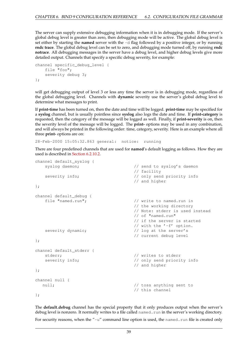The server can supply extensive debugging information when it is in debugging mode. If the server's global debug level is greater than zero, then debugging mode will be active. The global debug level is set either by starting the **named** server with the -d flag followed by a positive integer, or by running **rndc trace**. The global debug level can be set to zero, and debugging mode turned off, by running **rndc notrace**. All debugging messages in the server have a debug level, and higher debug levels give more detailed output. Channels that specify a specific debug severity, for example:

```
channel specific_debug_level {
   file "foo";
   severity debug 3;
};
```
will get debugging output of level 3 or less any time the server is in debugging mode, regardless of the global debugging level. Channels with **dynamic** severity use the server's global debug level to determine what messages to print.

If **print-time** has been turned on, then the date and time will be logged. **print-time** may be specified for a **syslog** channel, but is usually pointless since **syslog** also logs the date and time. If **print-category** is requested, then the category of the message will be logged as well. Finally, if **print-severity** is on, then the severity level of the message will be logged. The **print-** options may be used in any combination, and will always be printed in the following order: time, category, severity. Here is an example where all three **print-** options are on:

28-Feb-2000 15:05:32.863 general: notice: running

There are four predefined channels that are used for **named**'s default logging as follows. How they are used is described in [Section 6.2.10.2.](#page-39-0)

```
channel default syslog {
   syslog daemon; \sqrt{2} // send to syslog's daemon
                                     // facility
   severity info; \frac{1}{2} // only send priority info
                                     // and higher
};
channel default_debug {
   file "named.run"; \frac{1}{2} // write to named.run in
                                     // the working directory
                                     // Note: stderr is used instead
                                     // of "named.run"
                                     // if the server is started
                                     // with the '-f' option.
   severity dynamic; \frac{1}{2} // log at the server's
                                     // current debug level
};
channel default stderr {
   stderr; \frac{1}{\sqrt{2}} writes to stderr
   severity info; \frac{1}{2} // only send priority info
                                     // and higher
};
channel null {
  null; \frac{1}{1} \frac{1}{1} \frac{1}{1} toss anything sent to
                                     // this channel
};
```
The **default debug** channel has the special property that it only produces output when the server's debug level is nonzero. It normally writes to a file called named.run in the server's working directory.

For security reasons, when the " $-u$ " command line option is used, the named.run file is created only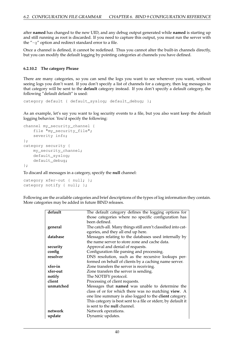after **named** has changed to the new UID, and any debug output generated while **named** is starting up and still running as root is discarded. If you need to capture this output, you must run the server with the "-g" option and redirect standard error to a file.

Once a channel is defined, it cannot be redefined. Thus you cannot alter the built-in channels directly, but you can modify the default logging by pointing categories at channels you have defined.

#### **6.2.10.2 The category Phrase**

<span id="page-39-0"></span>There are many categories, so you can send the logs you want to see wherever you want, without seeing logs you don't want. If you don't specify a list of channels for a category, then log messages in that category will be sent to the **default** category instead. If you don't specify a default category, the following "default default" is used:

```
category default { default_syslog; default_debug; };
```
As an example, let's say you want to log security events to a file, but you also want keep the default logging behavior. You'd specify the following:

```
channel my_security_channel {
    file "my_security_file";
    severity info;
};
category security {
    my_security_channel;
    default_syslog;
    default_debug;
};
```
To discard all messages in a category, specify the **null** channel:

category xfer-out { null; }; category notify { null; };

Following are the available categories and brief descriptions of the types of log information they contain. More categories may be added in future BIND releases.

| default   | The default category defines the logging options for          |
|-----------|---------------------------------------------------------------|
|           | those categories where no specific configuration has          |
|           | been defined.                                                 |
| general   | The catch-all. Many things still aren't classified into cat-  |
|           | egories, and they all end up here.                            |
| database  | Messages relating to the databases used internally by         |
|           | the name server to store zone and cache data.                 |
| security  | Approval and denial of requests.                              |
| config    | Configuration file parsing and processing.                    |
| resolver  | DNS resolution, such as the recursive lookups per-            |
|           | formed on behalf of clients by a caching name server.         |
| xfer-in   | Zone transfers the server is receiving.                       |
| xfer-out  | Zone transfers the server is sending.                         |
| notify    | The NOTIFY protocol.                                          |
| client    | Processing of client requests.                                |
| unmatched | Messages that named was unable to determine the               |
|           | class of or for which there was no matching view. A           |
|           | one line summary is also logged to the client category.       |
|           | This category is best sent to a file or stderr, by default it |
|           | is sent to the null channel.                                  |
| network   | Network operations.                                           |
| update    | Dynamic updates.                                              |
|           |                                                               |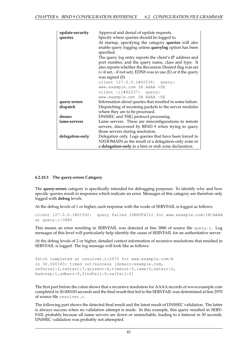| update-security<br>queries | Approval and denial of update requests.<br>Specify where queries should be logged to.<br>At startup, specifying the category queries will also<br>enable query logging unless querylog option has been |  |
|----------------------------|--------------------------------------------------------------------------------------------------------------------------------------------------------------------------------------------------------|--|
|                            | specified.<br>The query log entry reports the client's IP address and<br>port number, and the query name, class and type. It<br>also reports whether the Recursion Desired flag was set                |  |
|                            | $(+$ if set, - if not set), EDNS was in use $(E)$ or if the query<br>was signed (S).                                                                                                                   |  |
|                            | client 127.0.0.1#62536: query:                                                                                                                                                                         |  |
|                            | www.example.com IN AAAA +SE                                                                                                                                                                            |  |
|                            | client $::1#62537:$ query:                                                                                                                                                                             |  |
|                            | www.example.net IN AAAA -SE                                                                                                                                                                            |  |
| query-errors               | Information about queries that resulted in some failure.                                                                                                                                               |  |
| dispatch                   | Dispatching of incoming packets to the server modules                                                                                                                                                  |  |
|                            | where they are to be processed.                                                                                                                                                                        |  |
| dnssec                     | DNSSEC and TSIG protocol processing.                                                                                                                                                                   |  |
| lame-servers               | Lame servers. These are misconfigurations in remote                                                                                                                                                    |  |
|                            | servers, discovered by BIND 9 when trying to query                                                                                                                                                     |  |
|                            | those servers during resolution.                                                                                                                                                                       |  |
| delegation-only            | Delegation only. Logs queries that have been forced to                                                                                                                                                 |  |
|                            | NXDOMAIN as the result of a delegation-only zone or                                                                                                                                                    |  |
|                            | a delegation-only in a hint or stub zone declaration.                                                                                                                                                  |  |

## **6.2.10.3 The query-errors Category**

The **query-errors** category is specifically intended for debugging purposes: To identify why and how specific queries result in responses which indicate an error. Messages of this category are therefore only logged with **debug** levels.

At the debug levels of 1 or higher, each response with the rcode of SERVFAIL is logged as follows:

```
client 127.0.0.1#61502: query failed (SERVFAIL) for www.example.com/IN/AAAA
at query.c:3880
```
This means an error resulting in SERVFAIL was detected at line 3880 of source file query.c. Log messages of this level will particularly help identify the cause of SERVFAIL for an authoritative server.

At the debug levels of 2 or higher, detailed context information of recursive resolutions that resulted in SERVFAIL is logged. The log message will look like as follows:

```
fetch completed at resolver.c:2970 for www.example.com/A
in 30.000183: timed out/success [domain:example.com,
referral:2,restart:7,qrysent:8,timeout:5,lame:0,neterr:0,
badresp:1,adberr:0,findfail:0,valfail:0]
```
The first part before the colon shows that a recursive resolution for AAAA records of www.example.com completed in 30.000183 seconds and the final result that led to the SERVFAIL was determined at line 2970 of source file resolver.c.

The following part shows the detected final result and the latest result of DNSSEC validation. The latter is always success when no validation attempt is made. In this example, this query resulted in SERV-FAIL probably because all name servers are down or unreachable, leading to a timeout in 30 seconds. DNSSEC validation was probably not attempted.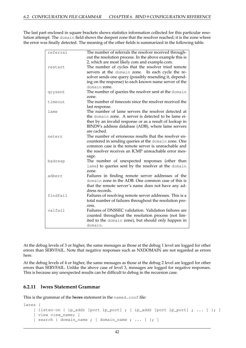The last part enclosed in square brackets shows statistics information collected for this particular resolution attempt. The domain field shows the deepest zone that the resolver reached; it is the zone where the error was finally detected. The meaning of the other fields is summarized in the following table.

| referral | The number of referrals the resolver received through-   |
|----------|----------------------------------------------------------|
|          | out the resolution process. In the above example this is |
|          | 2, which are most likely com and example.com.            |
| restart  | The number of cycles that the resolver tried remote      |
|          | servers at the domain zone. In each cycle the re-        |
|          | solver sends one query (possibly resending it, depend-   |
|          | ing on the response) to each known name server of the    |
|          | domain zone.                                             |
| qrysent  | The number of queries the resolver sent at the domain    |
|          | zone.                                                    |
| timeout  | The number of timeouts since the resolver received the   |
|          | last response.                                           |
| lame     | The number of lame servers the resolver detected at      |
|          | the domain zone. A server is detected to be lame ei-     |
|          | ther by an invalid response or as a result of lookup in  |
|          | BIND9's address database (ADB), where lame servers       |
|          | are cached.                                              |
| neterr   | The number of erroneous results that the resolver en-    |
|          | countered in sending queries at the domain zone. One     |
|          | common case is the remote server is unreachable and      |
|          | the resolver receives an ICMP unreachable error mes-     |
|          | sage.                                                    |
| badresp  | The number of unexpected responses (other than           |
|          | lame) to queries sent by the resolver at the domain      |
|          | zone.                                                    |
| adberr   | Failures in finding remote server addresses of the       |
|          | domain zone in the ADB. One common case of this is       |
|          | that the remote server's name does not have any ad-      |
|          | dress records.                                           |
| findfail | Failures of resolving remote server addresses. This is a |
|          | total number of failures throughout the resolution pro-  |
|          | cess.                                                    |
| valfail  | Failures of DNSSEC validation. Validation failures are   |
|          | counted throughout the resolution process (not lim-      |
|          | ited to the domain zone), but should only happen in      |
|          | domain.                                                  |

At the debug levels of 3 or higher, the same messages as those at the debug 1 level are logged for other errors than SERVFAIL. Note that negative responses such as NXDOMAIN are not regarded as errors here.

At the debug levels of 4 or higher, the same messages as those at the debug 2 level are logged for other errors than SERVFAIL. Unlike the above case of level 3, messages are logged for negative responses. This is because any unexpected results can be difficult to debug in the recursion case.

## **6.2.11 lwres Statement Grammar**

This is the grammar of the **lwres** statement in the named.conf file:

```
lwres {
    [ listen-on { ip_addr [port ip_port] ; [ ip_addr [port ip_port] ; ... ] }; ]
    [ view view_name; ]
    [ search { domain_name ; [ domain_name ; \dots ] }; ]
```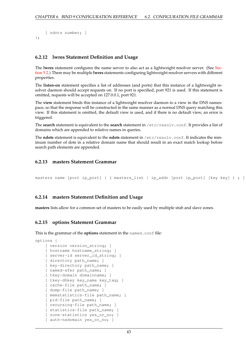```
[ ndots number; ]
};
```
## **6.2.12 lwres Statement Definition and Usage**

The **lwres** statement configures the name server to also act as a lightweight resolver server. (See [Sec](#page-28-0)[tion 5.2.](#page-28-0)) There may be multiple **lwres** statements configuring lightweight resolver servers with different properties.

The **listen-on** statement specifies a list of addresses (and ports) that this instance of a lightweight resolver daemon should accept requests on. If no port is specified, port 921 is used. If this statement is omitted, requests will be accepted on 127.0.0.1, port 921.

The **view** statement binds this instance of a lightweight resolver daemon to a view in the DNS namespace, so that the response will be constructed in the same manner as a normal DNS query matching this view. If this statement is omitted, the default view is used, and if there is no default view, an error is triggered.

The **search** statement is equivalent to the **search** statement in /etc/resolv.conf. It provides a list of domains which are appended to relative names in queries.

The **ndots** statement is equivalent to the **ndots** statement in /etc/resolv.conf. It indicates the minimum number of dots in a relative domain name that should result in an exact match lookup before search path elements are appended.

## **6.2.13 masters Statement Grammar**

masters name [port ip\_port] { ( masters\_list | ip\_addr [port ip\_port] [key key] ) ; [

#### **6.2.14 masters Statement Definition and Usage**

**masters** lists allow for a common set of masters to be easily used by multiple stub and slave zones.

#### **6.2.15 options Statement Grammar**

This is the grammar of the **options** statement in the named.conf file:

```
options {
    [ version version_string; ]
    [ hostname hostname_string; ]
    [ server-id server_id_string; ]
    [ directory path_name; ]
    [ key-directory path name; ]
    [ named-xfer path name; ]
    [ tkey-domain domainname; ]
    [ tkey-dhkey key name key tag; ]
    [ cache-file path_name; ]
    [ dump-file path_name; ]
    [ memstatistics-file path_name; ]
    [ pid-file path_name; ]
    [ recursing-file path_name; ]
    [ statistics-file path_name; ]
    [ zone-statistics yes_or_no; ]
    [ auth-nxdomain yes_or_no; ]
```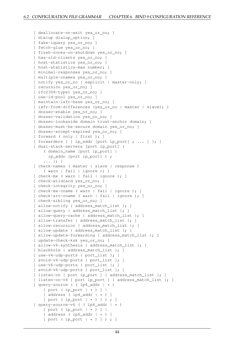```
[ deallocate-on-exit yes_or_no; ]
[ dialup dialup_option; ]
[ fake-iquery yes_or_no; ]
[ fetch-glue yes_or_no; ]
[ flush-zones-on-shutdown yes_or_no; ]
[ has-old-clients yes or no; ]
[ host-statistics yes or no; ]
[ host-statistics-max number; ]
[ minimal-responses yes_or_no; ]
[ multiple-cnames yes_or_no; ]
[ notify yes_or_no | explicit | master-only; ]
[ recursion yes_or_no; ]
[ rfc2308-type1 yes_or_no; ]
[ use-id-pool yes_or_no; ]
[ maintain-ixfr-base yes_or_no; ]
[ ixfr-from-differences (yes_or_no | master | slave); ]
[ dnssec-enable yes_or_no; ]
[ dnssec-validation yes_or_no; ]
[ dnssec-lookaside domain trust-anchor domain; ]
[ dnssec-must-be-secure domain yes_or_no; ]
[ dnssec-accept-expired yes_or_no; ]
[ forward ( only | first ); ]
[ forwarders { [ ip_addr [port ip_port] ; ... ] }; ]
[ dual-stack-servers [port ip_port] {
    ( domain_name [port ip_port] |
     ip_addr [port ip_port] ) ;
    ... }; ]
[ check-names ( master | slave | response )
    ( warn | fail | ignore ); ]
[ check-mx ( warn | fail | ignore ); ]
[ check-wildcard yes_or_no; ]
[ check-integrity yes_or_no; ]
[ check-mx-cname ( warn | fail | ignore ); ]
[ check-srv-cname ( warn | fail | ignore ); ]
[ check-sibling yes_or_no; ]
[ allow-notify { address_match_list }; ]
[ allow-query { address_match_list }; ]
[ allow-query-cache { address_match_list }; ]
[ allow-transfer { address_match_list }; ]
[ allow-recursion { address_match_list }; ]
[ allow-update { address_match_list }; ]
[ allow-update-forwarding { address_match_list }; ]
[ update-check-ksk yes_or_no; ]
[ allow-v6-synthesis { address_match_list }; ]
[ blackhole { address_match_list }; ]
[ use-v4-udp-ports { port_list }; ]
[ avoid-v4-udp-ports { port list }; ]
[ use-v6-udp-ports { port_list }; ]
[ avoid-v6-udp-ports { port_list }; ]
[ listen-on [ port ip_port ] { address_match_list }; ]
[ listen-on-v6 [ port ip_port ] { address_match_list }; ]
[ query-source ( ( ip4_addr | * )
    [ port ( ip_port | * ) ] |
    [ address ( ip4_addr | * ) ]
    [ port ( ip_port | * ) ] ) ; ]
[ query-source-v6 ( ( ip6_addr | * )
    [ port ( ip_port | * ) ] |[ address ( ip6_addr | * ) ]
    [ port ( ip_port | * ) ) ) ; ]
```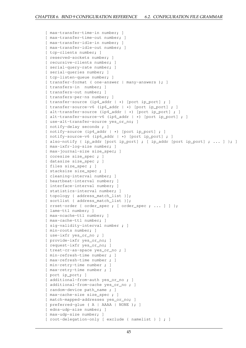```
[ max-transfer-time-in number; ]
[ max-transfer-time-out number; ]
[ max-transfer-idle-in number; ]
[ max-transfer-idle-out number; ]
[ tcp-clients number; ]
[ reserved-sockets number; ]
[ recursive-clients number; ]
[ serial-query-rate number; ]
[ serial-queries number; ]
[ tcp-listen-queue number; ]
[ transfer-format ( one-answer | many-answers ); ]
[ transfers-in number; ]
[ transfers-out number; ]
[ transfers-per-ns number; ]
[ transfer-source (ip4_addr | *) [port ip_port] ; ]
[ transfer-source-v6 (ip6_addr | *) [port ip_port] ; ]
[ alt-transfer-source (ip4_addr | *) [port ip_port] ; ]
[ alt-transfer-source-v6 (ip6_addr | *) [port ip_port] ; ]
[ use-alt-transfer-source yes_or_no; ]
[ notify-delay seconds ; ]
[ notify-source (ip4_addr | *) [port ip_port] ; ]
[ notify-source-v6 (ip6_addr | *) [port ip_port] ; ]
[also-notify { ip_addr [port ip_port] ; [ ip_addr [port ip_port] ; ... ] }; ]
[ max-ixfr-log-size number; ]
[ max-journal-size size_spec; ]
[ coresize size spec ; ]
[ datasize size spec ; ]
[ files size_spec ; ]
[ stacksize size_spec ; ]
[ cleaning-interval number; ]
[ heartbeat-interval number; ]
[ interface-interval number; ]
[ statistics-interval number; ]
[ topology { address_match_list }];
[ sortlist { address_match_list }];
[ rrset-order { order_spec ; [ order_spec ; ... ] ] };
[ lame-ttl number; ]
[ max-ncache-ttl number; ]
[ max-cache-ttl number; ]
[ sig-validity-interval number ; ]
[ min-roots number; ]
[ use-ixfr yes_or_no ; ]
[ provide-ixfr yes_or_no; ]
[ request-ixfr yes_or_no; ]
[ treat-cr-as-space yes_or_no ; ]
[ min-refresh-time number ; ]
[ max-refresh-time number ; ]
[ min-retry-time number ; ]
[ max-retry-time number ; ]
[ port ip_port; ]
[ additional-from-auth yes_or_no ; ]
[ additional-from-cache yes_or_no ; ]
[ random-device path_name ; ]
[ max-cache-size size_spec ; ]
[ match-mapped-addresses yes_or_no; ]
[ preferred-glue ( A | AAAA | NONE ); ]
[ edns-udp-size number; ]
[ max-udp-size number; ]
[ root-delegation-only [ exclude { namelist } ] ; ]
```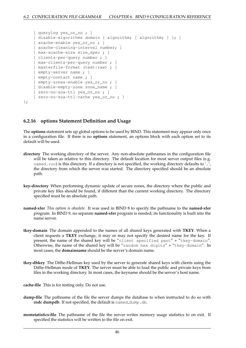```
[ querylog yes_or_no ; ]
[ disable-algorithms domain { algorithm; [ algorithm; ] }; ]
[ acache-enable yes_or_no ; ]
[ acache-cleaning-interval number; ]
[ max-acache-size size_spec ; ]
[ clients-per-query number ; ]
[ max-clients-per-query number ; ]
[ masterfile-format (text|raw) : ]
[ empty-server name ; ]
[ empty-contact name ; ]
[ empty-zones-enable yes_or_no ; ]
[ disable-empty-zone zone_name ; ]
[ zero-no-soa-ttl yes_or_no ; ]
[ zero-no-soa-ttl-cache yes_or_no ; ]
```
## **6.2.16 options Statement Definition and Usage**

};

The **options** statement sets up global options to be used by BIND. This statement may appear only once in a configuration file. If there is no **options** statement, an options block with each option set to its default will be used.

- **directory** The working directory of the server. Any non-absolute pathnames in the configuration file will be taken as relative to this directory. The default location for most server output files (e.g. named.run) is this directory. If a directory is not specified, the working directory defaults to '.', the directory from which the server was started. The directory specified should be an absolute path.
- **key-directory** When performing dynamic update of secure zones, the directory where the public and private key files should be found, if different than the current working directory. The directory specified must be an absolute path.
- **named-xfer** *This option is obsolete.* It was used in BIND 8 to specify the pathname to the **named-xfer** program. In BIND 9, no separate **named-xfer** program is needed; its functionality is built into the name server.
- **tkey-domain** The domain appended to the names of all shared keys generated with **TKEY**. When a client requests a **TKEY** exchange, it may or may not specify the desired name for the key. If present, the name of the shared key will be "client specified part" + "tkey-domain". Otherwise, the name of the shared key will be "random hex digits" + "tkey-domain". In most cases, the **domainname** should be the server's domain name.
- **tkey-dhkey** The Diffie-Hellman key used by the server to generate shared keys with clients using the Diffie-Hellman mode of **TKEY**. The server must be able to load the public and private keys from files in the working directory. In most cases, the keyname should be the server's host name.

**cache-file** This is for testing only. Do not use.

- **dump-file** The pathname of the file the server dumps the database to when instructed to do so with **rndc dumpdb**. If not specified, the default is named\_dump.db.
- **memstatistics-file** The pathname of the file the server writes memory usage statistics to on exit. If specified the statistics will be written to the file on exit.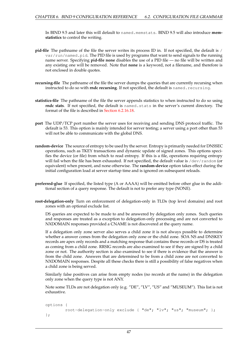In BIND 9.5 and later this will default to named.memstats. BIND 9.5 will also introduce **memstatistics** to control the writing.

- **pid-file** The pathname of the file the server writes its process ID in. If not specified, the default is / var/run/named.pid. The PID file is used by programs that want to send signals to the running name server. Specifying **pid-file none** disables the use of a PID file — no file will be written and any existing one will be removed. Note that **none** is a keyword, not a filename, and therefore is not enclosed in double quotes.
- **recursing-file** The pathname of the file the server dumps the queries that are currently recursing when instructed to do so with **rndc recursing**. If not specified, the default is named.recursing.
- **statistics-file** The pathname of the file the server appends statistics to when instructed to do so using **rndc stats**. If not specified, the default is named.stats in the server's current directory. The format of the file is described in [Section 6.2.16.18.](#page-65-0)
- **port** The UDP/TCP port number the server uses for receiving and sending DNS protocol traffic. The default is 53. This option is mainly intended for server testing; a server using a port other than 53 will not be able to communicate with the global DNS.
- **random-device** The source of entropy to be used by the server. Entropy is primarily needed for DNSSEC operations, such as TKEY transactions and dynamic update of signed zones. This options specifies the device (or file) from which to read entropy. If this is a file, operations requiring entropy will fail when the file has been exhausted. If not specified, the default value is /dev/random (or equivalent) when present, and none otherwise. The **random-device** option takes effect during the initial configuration load at server startup time and is ignored on subsequent reloads.
- **preferred-glue** If specified, the listed type (A or AAAA) will be emitted before other glue in the additional section of a query response. The default is not to prefer any type (NONE).
- **root-delegation-only** Turn on enforcement of delegation-only in TLDs (top level domains) and root zones with an optional exclude list.

DS queries are expected to be made to and be answered by delegation only zones. Such queries and responses are treated as a exception to delegation-only processing and are not converted to NXDOMAIN responses provided a CNAME is not discovered at the query name.

If a delegation only zone server also serves a child zone it is not always possible to determine whether a answer comes from the delegation only zone or the child zone. SOA NS and DNSKEY records are apex only records and a matching response that contains these records or DS is treated as coming from a child zone. RRSIG records are also examined to see if they are signed by a child zone or not. The authority section is also examined to see if there is evidence that the answer is from the child zone. Answers that are determined to be from a child zone are not converted to NXDOMAIN responses. Despite all these checks there is still a possibility of false negatives when a child zone is being served.

Similarly false positives can arise from empty nodes (no records at the name) in the delegation only zone when the query type is not ANY.

Note some TLDs are not delegation only (e.g. "DE", "LV", "US" and "MUSEUM"). This list is not exhaustive.

```
options {
        root-delegation-only exclude { "de"; "lv"; "us"; "museum"; };
};
```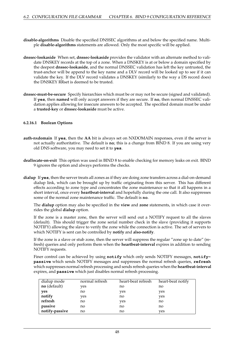- **disable-algorithms** Disable the specified DNSSEC algorithms at and below the specified name. Multiple **disable-algorithms** statements are allowed. Only the most specific will be applied.
- **dnssec-lookaside** When set, **dnssec-lookaside** provides the validator with an alternate method to validate DNSKEY records at the top of a zone. When a DNSKEY is at or below a domain specified by the deepest **dnssec-lookaside**, and the normal DNSSEC validation has left the key untrusted, the trust-anchor will be append to the key name and a DLV record will be looked up to see if it can validate the key. If the DLV record validates a DNSKEY (similarly to the way a DS record does) the DNSKEY RRset is deemed to be trusted.
- **dnssec-must-be-secure** Specify hierarchies which must be or may not be secure (signed and validated). If **yes**, then **named** will only accept answers if they are secure. If **no**, then normal DNSSEC validation applies allowing for insecure answers to be accepted. The specified domain must be under a **trusted-key** or **dnssec-lookaside** must be active.

#### **6.2.16.1 Boolean Options**

- **auth-nxdomain** If **yes**, then the **AA** bit is always set on NXDOMAIN responses, even if the server is not actually authoritative. The default is **no**; this is a change from BIND 8. If you are using very old DNS software, you may need to set it to **yes**.
- **deallocate-on-exit** This option was used in BIND 8 to enable checking for memory leaks on exit. BIND 9 ignores the option and always performs the checks.
- **dialup** If **yes**, then the server treats all zones as if they are doing zone transfers across a dial-on-demand dialup link, which can be brought up by traffic originating from this server. This has different effects according to zone type and concentrates the zone maintenance so that it all happens in a short interval, once every **heartbeat-interval** and hopefully during the one call. It also suppresses some of the normal zone maintenance traffic. The default is **no**.

The **dialup** option may also be specified in the **view** and **zone** statements, in which case it overrides the global **dialup** option.

If the zone is a master zone, then the server will send out a NOTIFY request to all the slaves (default). This should trigger the zone serial number check in the slave (providing it supports NOTIFY) allowing the slave to verify the zone while the connection is active. The set of servers to which NOTIFY is sent can be controlled by **notify** and **also-notify**.

If the zone is a slave or stub zone, then the server will suppress the regular "zone up to date" (refresh) queries and only perform them when the **heartbeat-interval** expires in addition to sending NOTIFY requests.

Finer control can be achieved by using **notify** which only sends NOTIFY messages, **notifypassive** which sends NOTIFY messages and suppresses the normal refresh queries, **refresh** which suppresses normal refresh processing and sends refresh queries when the **heartbeat-interval** expires, and **passive** which just disables normal refresh processing.

| dialup mode    | normal refresh | heart-beat refresh | heart-beat notify |
|----------------|----------------|--------------------|-------------------|
| no (default)   | yes            | no                 | no                |
| yes            | no             | yes                | yes               |
| notify         | yes            | no                 | yes               |
| refresh        | no             | yes                | no                |
| passive        | no             | no                 | no                |
| notify-passive | no             | no                 | ves               |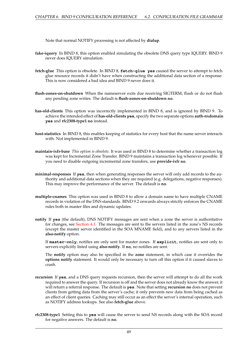Note that normal NOTIFY processing is not affected by **dialup**.

- **fake-iquery** In BIND 8, this option enabled simulating the obsolete DNS query type IQUERY. BIND 9 never does IQUERY simulation.
- **fetch-glue** This option is obsolete. In BIND 8, **fetch-glue yes** caused the server to attempt to fetch glue resource records it didn't have when constructing the additional data section of a response. This is now considered a bad idea and BIND 9 never does it.
- **flush-zones-on-shutdown** When the nameserver exits due receiving SIGTERM, flush or do not flush any pending zone writes. The default is **flush-zones-on-shutdown no**.
- **has-old-clients** This option was incorrectly implemented in BIND 8, and is ignored by BIND 9. To achieve the intended effect of **has-old-clients yes**, specify the two separate options **auth-nxdomain yes** and **rfc2308-type1 no** instead.
- **host-statistics** In BIND 8, this enables keeping of statistics for every host that the name server interacts with. Not implemented in BIND 9.
- **maintain-ixfr-base** *This option is obsolete*. It was used in BIND 8 to determine whether a transaction log was kept for Incremental Zone Transfer. BIND 9 maintains a transaction log whenever possible. If you need to disable outgoing incremental zone transfers, use **provide-ixfr no**.
- **minimal-responses** If **yes**, then when generating responses the server will only add records to the authority and additional data sections when they are required (e.g. delegations, negative responses). This may improve the performance of the server. The default is **no**.
- **multiple-cnames** This option was used in BIND 8 to allow a domain name to have multiple CNAME records in violation of the DNS standards. BIND 9.2 onwards always strictly enforces the CNAME rules both in master files and dynamic updates.
- **notify** If **yes** (the default), DNS NOTIFY messages are sent when a zone the server is authoritative for changes, see [Section 4.1.](#page-18-0) The messages are sent to the servers listed in the zone's NS records (except the master server identified in the SOA MNAME field), and to any servers listed in the **also-notify** option.

If **master-only**, notifies are only sent for master zones. If **explicit**, notifies are sent only to servers explicitly listed using **also-notify**. If **no**, no notifies are sent.

The **notify** option may also be specified in the **zone** statement, in which case it overrides the **options notify** statement. It would only be necessary to turn off this option if it caused slaves to crash.

- **recursion** If **yes**, and a DNS query requests recursion, then the server will attempt to do all the work required to answer the query. If recursion is off and the server does not already know the answer, it will return a referral response. The default is **yes**. Note that setting **recursion no** does not prevent clients from getting data from the server's cache; it only prevents new data from being cached as an effect of client queries. Caching may still occur as an effect the server's internal operation, such as NOTIFY address lookups. See also **fetch-glue** above.
- **rfc2308-type1** Setting this to **yes** will cause the server to send NS records along with the SOA record for negative answers. The default is **no**.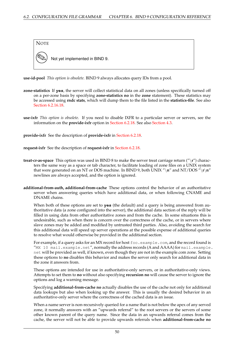

**use-id-pool** *This option is obsolete*. BIND 9 always allocates query IDs from a pool.

- **zone-statistics** If **yes**, the server will collect statistical data on all zones (unless specifically turned off on a per-zone basis by specifying **zone-statistics no** in the **zone** statement). These statistics may be accessed using **rndc stats**, which will dump them to the file listed in the **statistics-file**. See also [Section 6.2.16.18.](#page-65-0)
- **use-ixfr** *This option is obsolete*. If you need to disable IXFR to a particular server or servers, see the information on the **provide-ixfr** option in [Section 6.2.18.](#page-66-0) See also [Section 4.3.](#page-19-0)

**provide-ixfr** See the description of **provide-ixfr** in [Section 6.2.18.](#page-66-0)

**request-ixfr** See the description of **request-ixfr** in [Section 6.2.18.](#page-66-0)

- **treat-cr-as-space** This option was used in BIND 8 to make the server treat carriage return ("\**r**") characters the same way as a space or tab character, to facilitate loading of zone files on a UNIX system that were generated on an NT or DOS machine. In BIND 9, both UNIX "\**n**" and NT/DOS "\**r**\**n**" newlines are always accepted, and the option is ignored.
- **additional-from-auth, additional-from-cache** These options control the behavior of an authoritative server when answering queries which have additional data, or when following CNAME and DNAME chains.

When both of these options are set to **yes** (the default) and a query is being answered from authoritative data (a zone configured into the server), the additional data section of the reply will be filled in using data from other authoritative zones and from the cache. In some situations this is undesirable, such as when there is concern over the correctness of the cache, or in servers where slave zones may be added and modified by untrusted third parties. Also, avoiding the search for this additional data will speed up server operations at the possible expense of additional queries to resolve what would otherwise be provided in the additional section.

For example, if a query asks for an MX record for host foo.example.com, and the record found is "MX 10 mail.example.net", normally the address records (A and AAAA) for mail.example. net will be provided as well, if known, even though they are not in the example.com zone. Setting these options to **no** disables this behavior and makes the server only search for additional data in the zone it answers from.

These options are intended for use in authoritative-only servers, or in authoritative-only views. Attempts to set them to **no** without also specifying **recursion no** will cause the server to ignore the options and log a warning message.

Specifying **additional-from-cache no** actually disables the use of the cache not only for additional data lookups but also when looking up the answer. This is usually the desired behavior in an authoritative-only server where the correctness of the cached data is an issue.

When a name server is non-recursively queried for a name that is not below the apex of any served zone, it normally answers with an "upwards referral" to the root servers or the servers of some other known parent of the query name. Since the data in an upwards referral comes from the cache, the server will not be able to provide upwards referrals when **additional-from-cache no**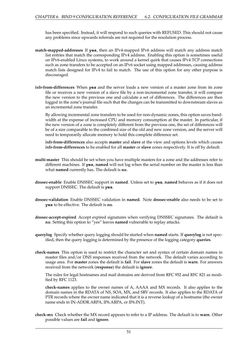has been specified. Instead, it will respond to such queries with REFUSED. This should not cause any problems since upwards referrals are not required for the resolution process.

- **match-mapped-addresses** If **yes**, then an IPv4-mapped IPv6 address will match any address match list entries that match the corresponding IPv4 address. Enabling this option is sometimes useful on IPv6-enabled Linux systems, to work around a kernel quirk that causes IPv4 TCP connections such as zone transfers to be accepted on an IPv6 socket using mapped addresses, causing address match lists designed for IPv4 to fail to match. The use of this option for any other purpose is discouraged.
- **ixfr-from-differences** When **yes** and the server loads a new version of a master zone from its zone file or receives a new version of a slave file by a non-incremental zone transfer, it will compare the new version to the previous one and calculate a set of differences. The differences are then logged in the zone's journal file such that the changes can be transmitted to downstream slaves as an incremental zone transfer.

By allowing incremental zone transfers to be used for non-dynamic zones, this option saves bandwidth at the expense of increased CPU and memory consumption at the master. In particular, if the new version of a zone is completely different from the previous one, the set of differences will be of a size comparable to the combined size of the old and new zone version, and the server will need to temporarily allocate memory to hold this complete difference set.

**ixfr-from-differences** also accepts **master** and **slave** at the view and options levels which causes **ixfr-from-differences** to be enabled for all **master** or **slave** zones respectively. It is off by default.

- **multi-master** This should be set when you have multiple masters for a zone and the addresses refer to different machines. If **yes**, **named** will not log when the serial number on the master is less than what **named** currently has. The default is **no**.
- **dnssec-enable** Enable DNSSEC support in **named**. Unless set to **yes**, **named** behaves as if it does not support DNSSEC. The default is **yes**.
- **dnssec-validation** Enable DNSSEC validation in **named**. Note **dnssec-enable** also needs to be set to **yes** to be effective. The default is **no**.
- **dnssec-accept-expired** Accept expired signatures when verifying DNSSEC signatures. The default is **no**. Setting this option to "yes" leaves **named** vulnerable to replay attacks.
- **querylog** Specify whether query logging should be started when **named** starts. If **querylog** is not specified, then the query logging is determined by the presence of the logging category **queries**.
- **check-names** This option is used to restrict the character set and syntax of certain domain names in master files and/or DNS responses received from the network. The default varies according to usage area. For **master** zones the default is **fail**. For **slave** zones the default is **warn**. For answers received from the network (**response**) the default is **ignore**.

The rules for legal hostnames and mail domains are derived from RFC 952 and RFC 821 as modified by RFC 1123.

**check-names** applies to the owner names of A, AAAA and MX records. It also applies to the domain names in the RDATA of NS, SOA, MX, and SRV records. It also applies to the RDATA of PTR records where the owner name indicated that it is a reverse lookup of a hostname (the owner name ends in IN-ADDR.ARPA, IP6.ARPA, or IP6.INT).

**check-mx** Check whether the MX record appears to refer to a IP address. The default is to **warn**. Other possible values are **fail** and **ignore**.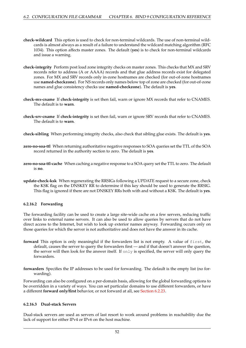- **check-wildcard** This option is used to check for non-terminal wildcards. The use of non-terminal wildcards is almost always as a result of a failure to understand the wildcard matching algorithm (RFC 1034). This option affects master zones. The default (**yes**) is to check for non-terminal wildcards and issue a warning.
- **check-integrity** Perform post load zone integrity checks on master zones. This checks that MX and SRV records refer to address (A or AAAA) records and that glue address records exist for delegated zones. For MX and SRV records only in-zone hostnames are checked (for out-of-zone hostnames use **named-checkzone**). For NS records only names below top of zone are checked (for out-of-zone names and glue consistency checks use **named-checkzone**). The default is **yes**.
- **check-mx-cname** If **check-integrity** is set then fail, warn or ignore MX records that refer to CNAMES. The default is to **warn**.
- **check-srv-cname** If **check-integrity** is set then fail, warn or ignore SRV records that refer to CNAMES. The default is to **warn**.
- **check-sibling** When performing integrity checks, also check that sibling glue exists. The default is **yes**.
- **zero-no-soa-ttl** When returning authoritative negative responses to SOA queries set the TTL of the SOA record returned in the authority section to zero. The default is **yes**.
- **zero-no-soa-ttl-cache** When caching a negative response to a SOA query set the TTL to zero. The default is **no**.
- **update-check-ksk** When regenerating the RRSIGs following a UPDATE request to a secure zone, check the KSK flag on the DNSKEY RR to determine if this key should be used to generate the RRSIG. This flag is ignored if there are not DNSKEY RRs both with and without a KSK. The default is **yes**.

## **6.2.16.2 Forwarding**

The forwarding facility can be used to create a large site-wide cache on a few servers, reducing traffic over links to external name servers. It can also be used to allow queries by servers that do not have direct access to the Internet, but wish to look up exterior names anyway. Forwarding occurs only on those queries for which the server is not authoritative and does not have the answer in its cache.

- **forward** This option is only meaningful if the forwarders list is not empty. A value of first, the default, causes the server to query the forwarders first — and if that doesn't answer the question, the server will then look for the answer itself. If only is specified, the server will only query the forwarders.
- **forwarders** Specifies the IP addresses to be used for forwarding. The default is the empty list (no forwarding).

Forwarding can also be configured on a per-domain basis, allowing for the global forwarding options to be overridden in a variety of ways. You can set particular domains to use different forwarders, or have a different **forward only/first** behavior, or not forward at all, see [Section 6.2.23.](#page-69-0)

## **6.2.16.3 Dual-stack Servers**

Dual-stack servers are used as servers of last resort to work around problems in reachability due the lack of support for either IPv4 or IPv6 on the host machine.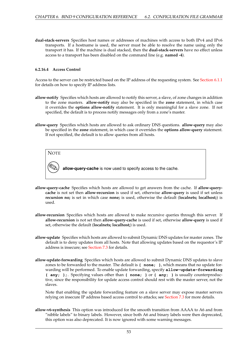**dual-stack-servers** Specifies host names or addresses of machines with access to both IPv4 and IPv6 transports. If a hostname is used, the server must be able to resolve the name using only the transport it has. If the machine is dual stacked, then the **dual-stack-servers** have no effect unless access to a transport has been disabled on the command line (e.g. **named -4**).

## **6.2.16.4 Access Control**

Access to the server can be restricted based on the IP address of the requesting system. See [Section 6.1.1](#page-31-0) for details on how to specify IP address lists.

- **allow-notify** Specifies which hosts are allowed to notify this server, a slave, of zone changes in addition to the zone masters. **allow-notify** may also be specified in the **zone** statement, in which case it overrides the **options allow-notify** statement. It is only meaningful for a slave zone. If not specified, the default is to process notify messages only from a zone's master.
- **allow-query** Specifies which hosts are allowed to ask ordinary DNS questions. **allow-query** may also be specified in the **zone** statement, in which case it overrides the **options allow-query** statement. If not specified, the default is to allow queries from all hosts.

**NOTE** 

**allow-query-cache** is now used to specify access to the cache.

- **allow-query-cache** Specifies which hosts are allowed to get answers from the cache. If **allow-querycache** is not set then **allow-recursion** is used if set, otherwise **allow-query** is used if set unless **recursion no;** is set in which case **none;** is used, otherwise the default (**localnets; localhost;**) is used.
- **allow-recursion** Specifies which hosts are allowed to make recursive queries through this server. If **allow-recursion** is not set then **allow-query-cache** is used if set, otherwise **allow-query** is used if set, otherwise the default (**localnets; localhost;**) is used.
- **allow-update** Specifies which hosts are allowed to submit Dynamic DNS updates for master zones. The default is to deny updates from all hosts. Note that allowing updates based on the requestor's IP address is insecure; see [Section 7.3](#page-85-0) for details.
- **allow-update-forwarding** Specifies which hosts are allowed to submit Dynamic DNS updates to slave zones to be forwarded to the master. The default is **{ none; }**, which means that no update forwarding will be performed. To enable update forwarding, specify **allow-update-forwarding { any; };**. Specifying values other than **{ none; }** or **{ any; }** is usually counterproductive, since the responsibility for update access control should rest with the master server, not the slaves.

Note that enabling the update forwarding feature on a slave server may expose master servers relying on insecure IP address based access control to attacks; see [Section 7.3](#page-85-0) for more details.

**allow-v6-synthesis** This option was introduced for the smooth transition from AAAA to A6 and from "nibble labels" to binary labels. However, since both A6 and binary labels were then deprecated, this option was also deprecated. It is now ignored with some warning messages.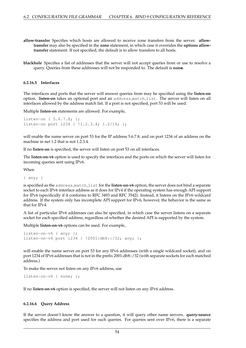- **allow-transfer** Specifies which hosts are allowed to receive zone transfers from the server. **allowtransfer** may also be specified in the **zone** statement, in which case it overrides the **options allowtransfer** statement. If not specified, the default is to allow transfers to all hosts.
- **blackhole** Specifies a list of addresses that the server will not accept queries from or use to resolve a query. Queries from these addresses will not be responded to. The default is **none**.

#### **6.2.16.5 Interfaces**

The interfaces and ports that the server will answer queries from may be specified using the **listen-on** option. **listen-on** takes an optional port and an address match list. The server will listen on all interfaces allowed by the address match list. If a port is not specified, port 53 will be used.

Multiple **listen-on** statements are allowed. For example,

```
listen-on { 5.6.7.8; };
listen-on port 1234 { !1.2.3.4; 1.2/16; };
```
will enable the name server on port 53 for the IP address 5.6.7.8, and on port 1234 of an address on the machine in net 1.2 that is not 1.2.3.4.

If no **listen-on** is specified, the server will listen on port 53 on all interfaces.

The **listen-on-v6** option is used to specify the interfaces and the ports on which the server will listen for incoming queries sent using IPv6.

When

{ any; }

is specified as the address match list for the **listen-on-v6** option, the server does not bind a separate socket to each IPv6 interface address as it does for IPv4 if the operating system has enough API support for IPv6 (specifically if it conforms to RFC 3493 and RFC 3542). Instead, it listens on the IPv6 wildcard address. If the system only has incomplete API support for IPv6, however, the behavior is the same as that for IPv4.

A list of particular IPv6 addresses can also be specified, in which case the server listens on a separate socket for each specified address, regardless of whether the desired API is supported by the system.

Multiple **listen-on-v6** options can be used. For example,

```
listen-on-v6 { any; };
listen-on-v6 port 1234 { !2001:db8::/32; any; };
```
will enable the name server on port 53 for any IPv6 addresses (with a single wildcard socket), and on port 1234 of IPv6 addresses that is not in the prefix 2001:db8::/32 (with separate sockets for each matched address.)

To make the server not listen on any IPv6 address, use

```
listen-on-v6 { none; };
```
If no **listen-on-v6** option is specified, the server will not listen on any IPv6 address.

## **6.2.16.6 Query Address**

<span id="page-53-0"></span>If the server doesn't know the answer to a question, it will query other name servers. **query-source** specifies the address and port used for such queries. For queries sent over IPv6, there is a separate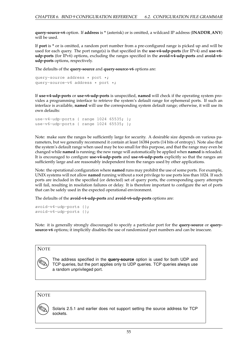**query-source-v6** option. If **address** is **\*** (asterisk) or is omitted, a wildcard IP address (**INADDR ANY**) will be used.

If **port** is **\*** or is omitted, a random port number from a pre-configured range is picked up and will be used for each query. The port range(s) is that specified in the **use-v4-udp-ports** (for IPv4) and **use-v6 udp-ports** (for IPv6) options, excluding the ranges specified in the **avoid-v4-udp-ports** and **avoid-v6 udp-ports** options, respectively.

The defaults of the **query-source** and **query-source-v6** options are:

```
query-source address * port *;
query-source-v6 address * port *;
```
If **use-v4-udp-ports** or **use-v6-udp-ports** is unspecified, **named** will check if the operating system provides a programming interface to retrieve the system's default range for ephemeral ports. If such an interface is available, **named** will use the corresponding system default range; otherwise, it will use its own defaults:

```
use-v4-udp-ports { range 1024 65535; };
use-v6-udp-ports { range 1024 65535; };
```
Note: make sure the ranges be sufficiently large for security. A desirable size depends on various parameters, but we generally recommend it contain at least 16384 ports (14 bits of entropy). Note also that the system's default range when used may be too small for this purpose, and that the range may even be changed while **named** is running; the new range will automatically be applied when **named** is reloaded. It is encouraged to configure **use-v4-udp-ports** and **use-v6-udp-ports** explicitly so that the ranges are sufficiently large and are reasonably independent from the ranges used by other applications.

Note: the operational configuration where **named** runs may prohibit the use of some ports. For example, UNIX systems will not allow **named** running without a root privilege to use ports less than 1024. If such ports are included in the specified (or detected) set of query ports, the corresponding query attempts will fail, resulting in resolution failures or delay. It is therefore important to configure the set of ports that can be safely used in the expected operational environment.

The defaults of the **avoid-v4-udp-ports** and **avoid-v6-udp-ports** options are:

```
avoid-v4-udp-ports {};
avoid-v6-udp-ports {};
```
Note: it is generally strongly discouraged to specify a particular port for the **query-source** or **querysource-v6** options; it implicitly disables the use of randomized port numbers and can be insecure.

## **NOTE**



The address specified in the **query-source** option is used for both UDP and TCP queries, but the port applies only to UDP queries. TCP queries always use a random unprivileged port.

#### **NOTE**



Solaris 2.5.1 and earlier does not support setting the source address for TCP sockets.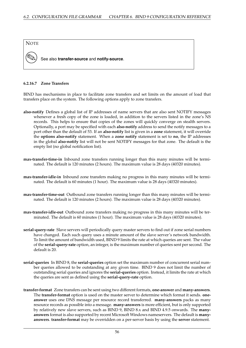

#### **6.2.16.7 Zone Transfers**

<span id="page-55-0"></span>BIND has mechanisms in place to facilitate zone transfers and set limits on the amount of load that transfers place on the system. The following options apply to zone transfers.

- **also-notify** Defines a global list of IP addresses of name servers that are also sent NOTIFY messages whenever a fresh copy of the zone is loaded, in addition to the servers listed in the zone's NS records. This helps to ensure that copies of the zones will quickly converge on stealth servers. Optionally, a port may be specified with each **also-notify** address to send the notify messages to a port other than the default of 53. If an **also-notify** list is given in a **zone** statement, it will override the **options also-notify** statement. When a **zone notify** statement is set to **no**, the IP addresses in the global **also-notify** list will not be sent NOTIFY messages for that zone. The default is the empty list (no global notification list).
- **max-transfer-time-in** Inbound zone transfers running longer than this many minutes will be terminated. The default is 120 minutes (2 hours). The maximum value is 28 days (40320 minutes).
- **max-transfer-idle-in** Inbound zone transfers making no progress in this many minutes will be terminated. The default is 60 minutes (1 hour). The maximum value is 28 days (40320 minutes).
- **max-transfer-time-out** Outbound zone transfers running longer than this many minutes will be terminated. The default is 120 minutes (2 hours). The maximum value is 28 days (40320 minutes).
- **max-transfer-idle-out** Outbound zone transfers making no progress in this many minutes will be terminated. The default is 60 minutes (1 hour). The maximum value is 28 days (40320 minutes).
- **serial-query-rate** Slave servers will periodically query master servers to find out if zone serial numbers have changed. Each such query uses a minute amount of the slave server's network bandwidth. To limit the amount of bandwidth used, BIND 9 limits the rate at which queries are sent. The value of the **serial-query-rate** option, an integer, is the maximum number of queries sent per second. The default is 20.
- **serial-queries** In BIND 8, the **serial-queries** option set the maximum number of concurrent serial number queries allowed to be outstanding at any given time. BIND 9 does not limit the number of outstanding serial queries and ignores the **serial-queries** option. Instead, it limits the rate at which the queries are sent as defined using the **serial-query-rate** option.
- **transfer-format** Zone transfers can be sent using two different formats, **one-answer** and **many-answers**. The **transfer-format** option is used on the master server to determine which format it sends. **oneanswer** uses one DNS message per resource record transferred. **many-answers** packs as many resource records as possible into a message. **many-answers** is more efficient, but is only supported by relatively new slave servers, such as BIND 9, BIND 8.x and BIND 4.9.5 onwards. The **manyanswers** format is also supported by recent Microsoft Windows nameservers. The default is **manyanswers**. **transfer-format** may be overridden on a per-server basis by using the **server** statement.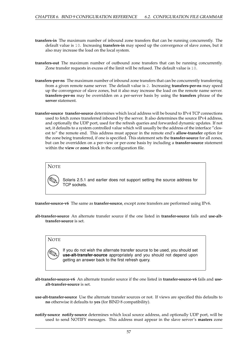- **transfers-in** The maximum number of inbound zone transfers that can be running concurrently. The default value is 10. Increasing **transfers-in** may speed up the convergence of slave zones, but it also may increase the load on the local system.
- **transfers-out** The maximum number of outbound zone transfers that can be running concurrently. Zone transfer requests in excess of the limit will be refused. The default value is 10.
- **transfers-per-ns** The maximum number of inbound zone transfers that can be concurrently transferring from a given remote name server. The default value is 2. Increasing **transfers-per-ns** may speed up the convergence of slave zones, but it also may increase the load on the remote name server. **transfers-per-ns** may be overridden on a per-server basis by using the **transfers** phrase of the **server** statement.
- **transfer-source transfer-source** determines which local address will be bound to IPv4 TCP connections used to fetch zones transferred inbound by the server. It also determines the source IPv4 address, and optionally the UDP port, used for the refresh queries and forwarded dynamic updates. If not set, it defaults to a system controlled value which will usually be the address of the interface "closest to" the remote end. This address must appear in the remote end's **allow-transfer** option for the zone being transferred, if one is specified. This statement sets the **transfer-source** for all zones, but can be overridden on a per-view or per-zone basis by including a **transfer-source** statement within the **view** or **zone** block in the configuration file.

## **NOTE**



Solaris 2.5.1 and earlier does not support setting the source address for TCP sockets.

**transfer-source-v6** The same as **transfer-source**, except zone transfers are performed using IPv6.

**alt-transfer-source** An alternate transfer source if the one listed in **transfer-source** fails and **use-alttransfer-source** is set.

## **NOTE**

If you do not wish the alternate transfer source to be used, you should set **use-alt-transfer-source** appropriately and you should not depend upon getting an answer back to the first refresh query.

**alt-transfer-source-v6** An alternate transfer source if the one listed in **transfer-source-v6** fails and **usealt-transfer-source** is set.

**use-alt-transfer-source** Use the alternate transfer sources or not. If views are specified this defaults to **no** otherwise it defaults to **yes** (for BIND 8 compatibility).

**notify-source notify-source** determines which local source address, and optionally UDP port, will be used to send NOTIFY messages. This address must appear in the slave server's **masters** zone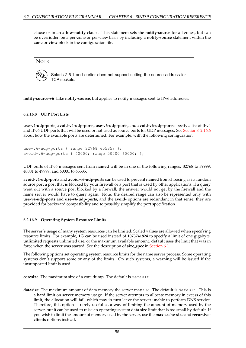clause or in an **allow-notify** clause. This statement sets the **notify-source** for all zones, but can be overridden on a per-zone or per-view basis by including a **notify-source** statement within the **zone** or **view** block in the configuration file.



**notify-source-v6** Like **notify-source**, but applies to notify messages sent to IPv6 addresses.

## **6.2.16.8 UDP Port Lists**

**use-v4-udp-ports**, **avoid-v4-udp-ports**, **use-v6-udp-ports**, and **avoid-v6-udp-ports** specify a list of IPv4 and IPv6 UDP ports that will be used or not used as source ports for UDP messages. See [Section 6.2.16.6](#page-53-0) about how the available ports are determined. For example, with the following configuration

```
use-v6-udp-ports { range 32768 65535; };
avoid-v6-udp-ports { 40000; range 50000 60000; };
```
UDP ports of IPv6 messages sent from **named** will be in one of the following ranges: 32768 to 39999, 40001 to 49999, and 60001 to 65535.

**avoid-v4-udp-ports** and **avoid-v6-udp-ports** can be used to prevent **named** from choosing as its random source port a port that is blocked by your firewall or a port that is used by other applications; if a query went out with a source port blocked by a firewall, the answer would not get by the firewall and the name server would have to query again. Note: the desired range can also be represented only with **use-v4-udp-ports** and **use-v6-udp-ports**, and the **avoid-** options are redundant in that sense; they are provided for backward compatibility and to possibly simplify the port specification.

## **6.2.16.9 Operating System Resource Limits**

The server's usage of many system resources can be limited. Scaled values are allowed when specifying resource limits. For example, **1G** can be used instead of **1073741824** to specify a limit of one gigabyte. **unlimited** requests unlimited use, or the maximum available amount. **default** uses the limit that was in force when the server was started. See the description of **size spec** in [Section 6.1.](#page-30-0)

The following options set operating system resource limits for the name server process. Some operating systems don't support some or any of the limits. On such systems, a warning will be issued if the unsupported limit is used.

**coresize** The maximum size of a core dump. The default is default.

datasize The maximum amount of data memory the server may use. The default is default. This is a hard limit on server memory usage. If the server attempts to allocate memory in excess of this limit, the allocation will fail, which may in turn leave the server unable to perform DNS service. Therefore, this option is rarely useful as a way of limiting the amount of memory used by the server, but it can be used to raise an operating system data size limit that is too small by default. If you wish to limit the amount of memory used by the server, use the **max-cache-size** and **recursiveclients** options instead.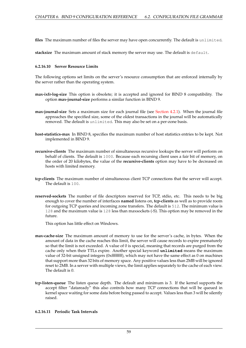files The maximum number of files the server may have open concurrently. The default is unlimited.

stacksize The maximum amount of stack memory the server may use. The default is default.

#### **6.2.16.10 Server Resource Limits**

The following options set limits on the server's resource consumption that are enforced internally by the server rather than the operating system.

- **max-ixfr-log-size** This option is obsolete; it is accepted and ignored for BIND 8 compatibility. The option **max-journal-size** performs a similar function in BIND 9.
- **max-journal-size** Sets a maximum size for each journal file (see [Section 4.2.1\)](#page-18-1). When the journal file approaches the specified size, some of the oldest transactions in the journal will be automatically removed. The default is unlimited. This may also be set on a per-zone basis.
- **host-statistics-max** In BIND 8, specifies the maximum number of host statistics entries to be kept. Not implemented in BIND 9.
- **recursive-clients** The maximum number of simultaneous recursive lookups the server will perform on behalf of clients. The default is 1000. Because each recursing client uses a fair bit of memory, on the order of 20 kilobytes, the value of the **recursive-clients** option may have to be decreased on hosts with limited memory.
- **tcp-clients** The maximum number of simultaneous client TCP connections that the server will accept. The default is 100.
- **reserved-sockets** The number of file descriptors reserved for TCP, stdio, etc. This needs to be big enough to cover the number of interfaces **named** listens on, **tcp-clients** as well as to provide room for outgoing TCP queries and incoming zone transfers. The default is 512. The minimum value is 128 and the maximum value is 128 less than maxsockets (-S). This option may be removed in the future.

This option has little effect on Windows.

- **max-cache-size** The maximum amount of memory to use for the server's cache, in bytes. When the amount of data in the cache reaches this limit, the server will cause records to expire prematurely so that the limit is not exceeded. A value of 0 is special, meaning that records are purged from the cache only when their TTLs expire. Another special keyword **unlimited** means the maximum value of 32-bit unsigned integers (0xffffffff), which may not have the same effect as 0 on machines that support more than 32 bits of memory space. Any positive values less than 2MB will be ignored reset to 2MB. In a server with multiple views, the limit applies separately to the cache of each view. The default is 0.
- **tcp-listen-queue** The listen queue depth. The default and minimum is 3. If the kernel supports the accept filter "dataready" this also controls how many TCP connections that will be queued in kernel space waiting for some data before being passed to accept. Values less than 3 will be silently raised.

#### **6.2.16.11 Periodic Task Intervals**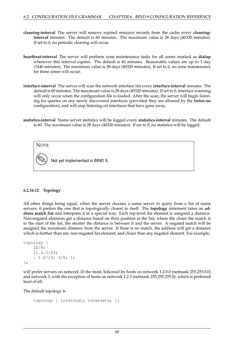- **cleaning-interval** The server will remove expired resource records from the cache every **cleaninginterval** minutes. The default is 60 minutes. The maximum value is 28 days (40320 minutes). If set to 0, no periodic cleaning will occur.
- **heartbeat-interval** The server will perform zone maintenance tasks for all zones marked as **dialup** whenever this interval expires. The default is 60 minutes. Reasonable values are up to 1 day (1440 minutes). The maximum value is 28 days (40320 minutes). If set to 0, no zone maintenance for these zones will occur.
- **interface-interval** The server will scan the network interface list every **interface-interval** minutes. The default is 60 minutes. The maximum value is 28 days (40320 minutes). If set to 0, interface scanning will only occur when the configuration file is loaded. After the scan, the server will begin listening for queries on any newly discovered interfaces (provided they are allowed by the **listen-on** configuration), and will stop listening on interfaces that have gone away.
- **statistics-interval** Name server statistics will be logged every **statistics-interval** minutes. The default is 60. The maximum value is 28 days (40320 minutes). If set to 0, no statistics will be logged.



## **6.2.16.12 Topology**

<span id="page-59-0"></span>All other things being equal, when the server chooses a name server to query from a list of name servers, it prefers the one that is topologically closest to itself. The **topology** statement takes an **address match list** and interprets it in a special way. Each top-level list element is assigned a distance. Non-negated elements get a distance based on their position in the list, where the closer the match is to the start of the list, the shorter the distance is between it and the server. A negated match will be assigned the maximum distance from the server. If there is no match, the address will get a distance which is further than any non-negated list element, and closer than any negated element. For example,

```
topology {
    10/8;
    !1.2.3/24;
    { 1.2/16; 3/8; };
};
```
will prefer servers on network 10 the most, followed by hosts on network 1.2.0.0 (netmask 255.255.0.0) and network 3, with the exception of hosts on network 1.2.3 (netmask 255.255.255.0), which is preferred least of all.

The default topology is

```
topology { localhost; localnets; };
```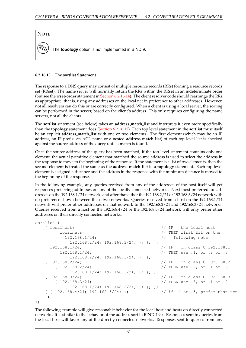

### **6.2.16.13 The sortlist Statement**

<span id="page-60-0"></span>The response to a DNS query may consist of multiple resource records (RRs) forming a resource records set (RRset). The name server will normally return the RRs within the RRset in an indeterminate order (but see the **rrset-order** statement in [Section 6.2.16.14\)](#page-61-0). The client resolver code should rearrange the RRs as appropriate, that is, using any addresses on the local net in preference to other addresses. However, not all resolvers can do this or are correctly configured. When a client is using a local server, the sorting can be performed in the server, based on the client's address. This only requires configuring the name servers, not all the clients.

The **sortlist** statement (see below) takes an **address match list** and interprets it even more specifically than the **topology** statement does [\(Section 6.2.16.12\)](#page-59-0). Each top level statement in the **sortlist** must itself be an explicit **address\_match\_list** with one or two elements. The first element (which may be an IP address, an IP prefix, an ACL name or a nested **address match list**) of each top level list is checked against the source address of the query until a match is found.

Once the source address of the query has been matched, if the top level statement contains only one element, the actual primitive element that matched the source address is used to select the address in the response to move to the beginning of the response. If the statement is a list of two elements, then the second element is treated the same as the **address match list** in a **topology** statement. Each top level element is assigned a distance and the address in the response with the minimum distance is moved to the beginning of the response.

In the following example, any queries received from any of the addresses of the host itself will get responses preferring addresses on any of the locally connected networks. Next most preferred are addresses on the 192.168.1/24 network, and after that either the 192.168.2/24 or 192.168.3/24 network with no preference shown between these two networks. Queries received from a host on the 192.168.1/24 network will prefer other addresses on that network to the 192.168.2/24 and 192.168.3/24 networks. Queries received from a host on the 192.168.4/24 or the 192.168.5/24 network will only prefer other addresses on their directly connected networks.

```
sortlist {
  { localhost; // IF the local host
     { localnets; // THEN first fit on the
        192.168.1/24; // following nets
        { 192.168.2/24; 192.168.3/24; }; }; };
  { 192.168.1/24; // IF on class C 192.168.1
     { 192.168.1/24; // THEN use .1, or .2 or .3
        { 192.168.2/24; 192.168.3/24; }; }; };
  { 192.168.2/24; // IF on class C 192.168.2
     { 192.168.2/24; // THEN use .2, or .1 or .3
        { 192.168.1/24; 192.168.3/24; }; }; };
  { 192.168.3/24; // IF on class C 192.168.3
     { 192.168.3/24; // THEN use .3, or .1 or .2
        { 192.168.1/24; 192.168.2/24; }; }; };
  { { 192.168.4/24; 192.168.5/24; }; // if .4 or .5, prefer that net
  };
};
```
The following example will give reasonable behavior for the local host and hosts on directly connected networks. It is similar to the behavior of the address sort in BIND 4.9.x. Responses sent to queries from the local host will favor any of the directly connected networks. Responses sent to queries from any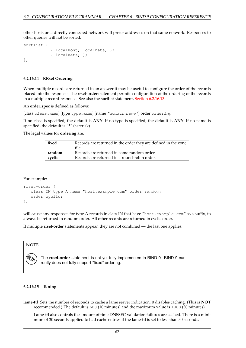other hosts on a directly connected network will prefer addresses on that same network. Responses to other queries will not be sorted.

```
sortlist {
            { localhost; localnets; };
            { localnets; };
};
```
#### **6.2.16.14 RRset Ordering**

<span id="page-61-0"></span>When multiple records are returned in an answer it may be useful to configure the order of the records placed into the response. The **rrset-order** statement permits configuration of the ordering of the records in a multiple record response. See also the **sortlist** statement, [Section 6.2.16.13.](#page-60-0)

An **order spec** is defined as follows:

[class class\_name] [type type\_name] [name "domain\_name"] order ordering

If no class is specified, the default is **ANY**. If no type is specified, the default is **ANY**. If no name is specified, the default is "**\***" (asterisk).

The legal values for **ordering** are:

| fixed  | Records are returned in the order they are defined in the zone<br>file. |
|--------|-------------------------------------------------------------------------|
| random | Records are returned in some random order.                              |
| cyclic | Records are returned in a round-robin order.                            |

#### For example:

```
rrset-order {
   class IN type A name "host.example.com" order random;
   order cyclic;
};
```
will cause any responses for type A records in class IN that have "host.example.com" as a suffix, to always be returned in random order. All other records are returned in cyclic order.

If multiple **rrset-order** statements appear, they are not combined — the last one applies.



The **rrset-order** statement is not yet fully implemented in BIND 9. BIND 9 currently does not fully support "fixed" ordering.

#### **6.2.16.15 Tuning**

**lame-ttl** Sets the number of seconds to cache a lame server indication. 0 disables caching. (This is **NOT** recommended.) The default is 600 (10 minutes) and the maximum value is 1800 (30 minutes).

Lame-ttl also controls the amount of time DNSSEC validation failures are cached. There is a minimum of 30 seconds applied to bad cache entries if the lame-ttl is set to less than 30 seconds.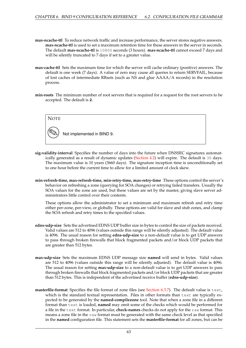- **max-ncache-ttl** To reduce network traffic and increase performance, the server stores negative answers. **max-ncache-ttl** is used to set a maximum retention time for these answers in the server in seconds. The default **max-ncache-ttl** is 10800 seconds (3 hours). **max-ncache-ttl** cannot exceed 7 days and will be silently truncated to 7 days if set to a greater value.
- **max-cache-ttl** Sets the maximum time for which the server will cache ordinary (positive) answers. The default is one week (7 days). A value of zero may cause all queries to return SERVFAIL, because of lost caches of intermediate RRsets (such as NS and glue AAAA/A records) in the resolution process.
- **min-roots** The minimum number of root servers that is required for a request for the root servers to be accepted. The default is **2**.



- **sig-validity-interval** Specifies the number of days into the future when DNSSEC signatures automatically generated as a result of dynamic updates [\(Section 4.2\)](#page-18-2) will expire. The default is 30 days. The maximum value is 10 years (3660 days). The signature inception time is unconditionally set to one hour before the current time to allow for a limited amount of clock skew.
- **min-refresh-time, max-refresh-time, min-retry-time, max-retry-time** These options control the server's behavior on refreshing a zone (querying for SOA changes) or retrying failed transfers. Usually the SOA values for the zone are used, but these values are set by the master, giving slave server administrators little control over their contents.

These options allow the administrator to set a minimum and maximum refresh and retry time either per-zone, per-view, or globally. These options are valid for slave and stub zones, and clamp the SOA refresh and retry times to the specified values.

- **edns-udp-size** Sets the advertised EDNS UDP buffer size in bytes to control the size of packets received. Valid values are 512 to 4096 (values outside this range will be silently adjusted). The default value is 4096. The usual reason for setting **edns-udp-size** to a non-default value is to get UDP answers to pass through broken firewalls that block fragmented packets and/or block UDP packets that are greater than 512 bytes.
- **max-udp-size** Sets the maximum EDNS UDP message size **named** will send in bytes. Valid values are 512 to 4096 (values outside this range will be silently adjusted). The default value is 4096. The usual reason for setting **max-udp-size** to a non-default value is to get UDP answers to pass through broken firewalls that block fragmented packets and/or block UDP packets that are greater than 512 bytes. This is independent of the advertised receive buffer (**edns-udp-size**).
- **masterfile-format** Specifies the file format of zone files (see [Section 6.3.7\)](#page-83-0). The default value is text, which is the standard textual representation. Files in other formats than text are typically expected to be generated by the **named-compilezone** tool. Note that when a zone file in a different format than text is loaded, **named** may omit some of the checks which would be performed for a file in the text format. In particular, **check-names** checks do not apply for the raw format. This means a zone file in the raw format must be generated with the same check level as that specified in the **named** configuration file. This statement sets the **masterfile-format** for all zones, but can be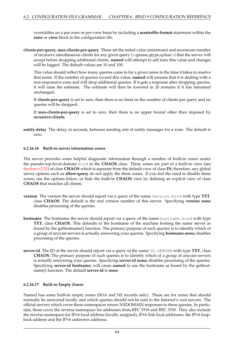overridden on a per-zone or per-view basis by including a **masterfile-format** statement within the **zone** or **view** block in the configuration file.

**clients-per-query, max-clients-per-query** These set the initial value (minimum) and maximum number of recursive simultaneous clients for any given query (<qname,qtype,qclass>) that the server will accept before dropping additional clients. **named** will attempt to self tune this value and changes will be logged. The default values are 10 and 100.

This value should reflect how many queries come in for a given name in the time it takes to resolve that name. If the number of queries exceed this value, **named** will assume that it is dealing with a non-responsive zone and will drop additional queries. If it gets a response after dropping queries, it will raise the estimate. The estimate will then be lowered in 20 minutes if it has remained unchanged.

If **clients-per-query** is set to zero, then there is no limit on the number of clients per query and no queries will be dropped.

If **max-clients-per-query** is set to zero, then there is no upper bound other than imposed by **recursive-clients**.

**notify-delay** The delay, in seconds, between sending sets of notify messages for a zone. The default is zero.

#### **6.2.16.16 Built-in server information zones**

The server provides some helpful diagnostic information through a number of built-in zones under the pseudo-top-level-domain bind in the **CHAOS** class. These zones are part of a built-in view (see [Section 6.2.21\)](#page-68-0) of class **CHAOS** which is separate from the default view of class **IN**; therefore, any global server options such as **allow-query** do not apply the these zones. If you feel the need to disable these zones, use the options below, or hide the built-in **CHAOS** view by defining an explicit view of class **CHAOS** that matches all clients.

- **version** The version the server should report via a query of the name version.bind with type **TXT**, class **CHAOS**. The default is the real version number of this server. Specifying **version none** disables processing of the queries.
- **hostname** The hostname the server should report via a query of the name hostname.bind with type **TXT**, class **CHAOS**. This defaults to the hostname of the machine hosting the name server as found by the gethostname() function. The primary purpose of such queries is to identify which of a group of anycast servers is actually answering your queries. Specifying **hostname none;** disables processing of the queries.
- **server-id** The ID of the server should report via a query of the name ID.SERVER with type **TXT**, class **CHAOS**. The primary purpose of such queries is to identify which of a group of anycast servers is actually answering your queries. Specifying **server-id none;** disables processing of the queries. Specifying **server-id hostname;** will cause **named** to use the hostname as found by the gethostname() function. The default **server-id** is **none**.

## **6.2.16.17 Built-in Empty Zones**

Named has some built-in empty zones (SOA and NS records only). These are for zones that should normally be answered locally and which queries should not be sent to the Internet's root servers. The official servers which cover these namespaces return NXDOMAIN responses to these queries. In particular, these cover the reverse namespace for addresses from RFC 1918 and RFC 3330. They also include the reverse namespace for IPv6 local address (locally assigned), IPv6 link local addresses, the IPv6 loopback address and the IPv6 unknown addresss.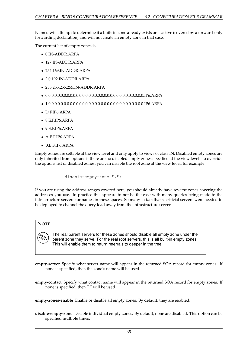Named will attempt to determine if a built-in zone already exists or is active (covered by a forward-only forwarding declaration) and will not create an empty zone in that case.

The current list of empty zones is:

- 0.IN-ADDR.ARPA
- 127.IN-ADDR.ARPA
- 254.169.IN-ADDR.ARPA
- 2.0.192.IN-ADDR.ARPA
- 255.255.255.255.IN-ADDR.ARPA
- 0.0.0.0.0.0.0.0.0.0.0.0.0.0.0.0.0.0.0.0.0.0.0.0.0.0.0.0.0.0.0.0.IP6.ARPA
- 1.0.0.0.0.0.0.0.0.0.0.0.0.0.0.0.0.0.0.0.0.0.0.0.0.0.0.0.0.0.0.0.IP6.ARPA
- D.F.IP6.ARPA
- 8.E.F.IP6.ARPA
- 9.E.F.IP6.ARPA
- A.E.F.IP6.ARPA
- B.E.F.IP6.ARPA

Empty zones are settable at the view level and only apply to views of class IN. Disabled empty zones are only inherited from options if there are no disabled empty zones specified at the view level. To override the options list of disabled zones, you can disable the root zone at the view level, for example:

disable-empty-zone ".";

If you are using the address ranges covered here, you should already have reverse zones covering the addresses you use. In practice this appears to not be the case with many queries being made to the infrastructure servers for names in these spaces. So many in fact that sacrificial servers were needed to be deployed to channel the query load away from the infrastructure servers.

## **NOTE**

The real parent servers for these zones should disable all empty zone under the parent zone they serve. For the real root servers, this is all built-in empty zones. This will enable them to return referrals to deeper in the tree.

**empty-server** Specify what server name will appear in the returned SOA record for empty zones. If none is specified, then the zone's name will be used.

**empty-contact** Specify what contact name will appear in the returned SOA record for empty zones. If none is specified, then "." will be used.

**empty-zones-enable** Enable or disable all empty zones. By default, they are enabled.

**disable-empty-zone** Disable individual empty zones. By default, none are disabled. This option can be specified multiple times.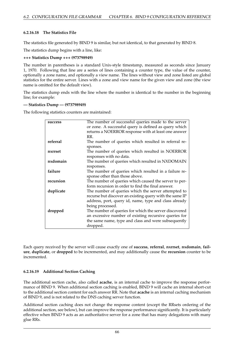## **6.2.16.18 The Statistics File**

<span id="page-65-0"></span>The statistics file generated by BIND 9 is similar, but not identical, to that generated by BIND 8.

The statistics dump begins with a line, like:

### **+++ Statistics Dump +++ (973798949)**

The number in parentheses is a standard Unix-style timestamp, measured as seconds since January 1, 1970. Following that line are a series of lines containing a counter type, the value of the counter, optionally a zone name, and optionally a view name. The lines without view and zone listed are global statistics for the entire server. Lines with a zone and view name for the given view and zone (the view name is omitted for the default view).

The statistics dump ends with the line where the number is identical to the number in the beginning line; for example:

#### **— Statistics Dump — (973798949)**

The following statistics counters are maintained:

| success   | The number of successful queries made to the server     |
|-----------|---------------------------------------------------------|
|           | or zone. A successful query is defined as query which   |
|           | returns a NOERROR response with at least one answer     |
|           | RR.                                                     |
| referral  | The number of queries which resulted in referral re-    |
|           | sponses.                                                |
| nxrrset   | The number of queries which resulted in NOERROR         |
|           | responses with no data.                                 |
| nxdomain  | The number of queries which resulted in NXDOMAIN        |
|           | responses.                                              |
| failure   | The number of queries which resulted in a failure re-   |
|           | sponse other than those above.                          |
| recursion | The number of queries which caused the server to per-   |
|           | form recursion in order to find the final answer.       |
| duplicate | The number of queries which the server attempted to     |
|           | recurse but discover an existing query with the same IP |
|           | address, port, query id, name, type and class already   |
|           | being processed.                                        |
| dropped   | The number of queries for which the server discovered   |
|           | an excessive number of existing recursive queries for   |
|           | the same name, type and class and were subsequently     |
|           | dropped.                                                |

Each query received by the server will cause exactly one of **success**, **referral**, **nxrrset**, **nxdomain**, **failure**, **duplicate**, or **dropped** to be incremented, and may additionally cause the **recursion** counter to be incremented.

## **6.2.16.19 Additional Section Caching**

The additional section cache, also called **acache**, is an internal cache to improve the response performance of BIND 9. When additional section caching is enabled, BIND 9 will cache an internal short-cut to the additional section content for each answer RR. Note that **acache** is an internal caching mechanism of BIND 9, and is not related to the DNS caching server function.

Additional section caching does not change the response content (except the RRsets ordering of the additional section, see below), but can improve the response performance significantly. It is particularly effective when BIND 9 acts as an authoritative server for a zone that has many delegations with many glue RRs.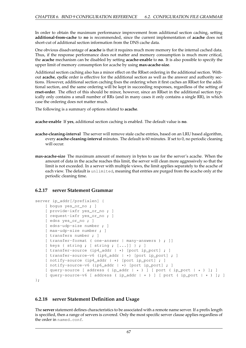In order to obtain the maximum performance improvement from additional section caching, setting **additional-from-cache** to **no** is recommended, since the current implementation of **acache** does not short-cut of additional section information from the DNS cache data.

One obvious disadvantage of **acache** is that it requires much more memory for the internal cached data. Thus, if the response performance does not matter and memory consumption is much more critical, the **acache** mechanism can be disabled by setting **acache-enable** to **no**. It is also possible to specify the upper limit of memory consumption for acache by using **max-acache-size**.

Additional section caching also has a minor effect on the RRset ordering in the additional section. Without **acache**, **cyclic** order is effective for the additional section as well as the answer and authority sections. However, additional section caching fixes the ordering when it first caches an RRset for the additional section, and the same ordering will be kept in succeeding responses, regardless of the setting of **rrset-order**. The effect of this should be minor, however, since an RRset in the additional section typically only contains a small number of RRs (and in many cases it only contains a single RR), in which case the ordering does not matter much.

The following is a summary of options related to **acache**.

**acache-enable** If **yes**, additional section caching is enabled. The default value is **no**.

- **acache-cleaning-interval** The server will remove stale cache entries, based on an LRU based algorithm, every **acache-cleaning-interval** minutes. The default is 60 minutes. If set to 0, no periodic cleaning will occur.
- **max-acache-size** The maximum amount of memory in bytes to use for the server's acache. When the amount of data in the acache reaches this limit, the server will clean more aggressively so that the limit is not exceeded. In a server with multiple views, the limit applies separately to the acache of each view. The default is unlimited, meaning that entries are purged from the acache only at the periodic cleaning time.

## **6.2.17 server Statement Grammar**

```
server ip_addr[/prefixlen] {
    [ bogus yes_or_no ; ]
    [ provide-ixfr yes_or_no ; ]
    [ request-ixfr yes_or_no ; ]
    [ edns yes_or_no ; ]
    [ edns-udp-size number ; ]
    [ max-udp-size number ; ]
    [ transfers number ; ]
    [ transfer-format ( one-answer | many-answers ) ; ]]
    [ keys { string ; [ string ; [...]] } ; ]
    [ transfer-source (ip4_addr | *) [port ip_port] ; ]
    [ transfer-source-v6 (ip6_addr | *) [port ip_port] ; ]
    [ notify-source (ip4_addr | *) [port ip_port] ; ]
    [ notify-source-v6 (ip6_addr | * \rangle [port ip_port] ; ]
    [ query-source [ address ( ip_addr | * ) ] [ port ( ip_port | * ) ]; ]
    [ query-source-v6 [ address ( ip\_addr | * ) ] [ port ( ip\_port | * ) ]; ]
};
```
## **6.2.18 server Statement Definition and Usage**

<span id="page-66-0"></span>The **server** statement defines characteristics to be associated with a remote name server. If a prefix length is specified, then a range of servers is covered. Only the most specific server clause applies regardless of the order in named.conf.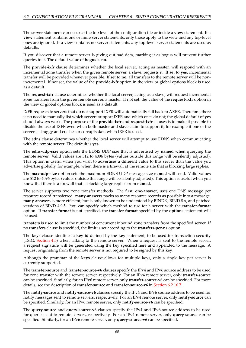The **server** statement can occur at the top level of the configuration file or inside a **view** statement. If a **view** statement contains one or more **server** statements, only those apply to the view and any top-level ones are ignored. If a view contains no **server** statements, any top-level **server** statements are used as defaults.

If you discover that a remote server is giving out bad data, marking it as bogus will prevent further queries to it. The default value of **bogus** is **no**.

The **provide-ixfr** clause determines whether the local server, acting as master, will respond with an incremental zone transfer when the given remote server, a slave, requests it. If set to **yes**, incremental transfer will be provided whenever possible. If set to **no**, all transfers to the remote server will be nonincremental. If not set, the value of the **provide-ixfr** option in the view or global options block is used as a default.

The **request-ixfr** clause determines whether the local server, acting as a slave, will request incremental zone transfers from the given remote server, a master. If not set, the value of the **request-ixfr** option in the view or global options block is used as a default.

IXFR requests to servers that do not support IXFR will automatically fall back to AXFR. Therefore, there is no need to manually list which servers support IXFR and which ones do not; the global default of **yes** should always work. The purpose of the **provide-ixfr** and **request-ixfr** clauses is to make it possible to disable the use of IXFR even when both master and slave claim to support it, for example if one of the servers is buggy and crashes or corrupts data when IXFR is used.

The **edns** clause determines whether the local server will attempt to use EDNS when communicating with the remote server. The default is **yes**.

The **edns-udp-size** option sets the EDNS UDP size that is advertised by **named** when querying the remote server. Valid values are 512 to 4096 bytes (values outside this range will be silently adjusted). This option is useful when you wish to advertises a different value to this server than the value you advertise globally, for example, when there is a firewall at the remote site that is blocking large replies.

The **max-udp-size** option sets the maximum EDNS UDP message size **named** will send. Valid values are 512 to 4096 bytes (values outside this range will be silently adjusted). This option is useful when you know that there is a firewall that is blocking large replies from **named**.

The server supports two zone transfer methods. The first, **one-answer**, uses one DNS message per resource record transferred. **many-answers** packs as many resource records as possible into a message. **many-answers** is more efficient, but is only known to be understood by BIND 9, BIND 8.x, and patched versions of BIND 4.9.5. You can specify which method to use for a server with the **transfer-format** option. If **transfer-format** is not specified, the **transfer-format** specified by the **options** statement will be used.

**transfers** is used to limit the number of concurrent inbound zone transfers from the specified server. If no **transfers** clause is specified, the limit is set according to the **transfers-per-ns** option.

The **keys** clause identifies a **key id** defined by the **key** statement, to be used for transaction security (TSIG, [Section 4.5\)](#page-22-0) when talking to the remote server. When a request is sent to the remote server, a request signature will be generated using the key specified here and appended to the message. A request originating from the remote server is not required to be signed by this key.

Although the grammar of the **keys** clause allows for multiple keys, only a single key per server is currently supported.

The **transfer-source** and **transfer-source-v6** clauses specify the IPv4 and IPv6 source address to be used for zone transfer with the remote server, respectively. For an IPv4 remote server, only **transfer-source** can be specified. Similarly, for an IPv6 remote server, only **transfer-source-v6** can be specified. For more details, see the description of **transfer-source** and **transfer-source-v6** in [Section 6.2.16.7.](#page-55-0)

The **notify-source** and **notify-source-v6** clauses specify the IPv4 and IPv6 source address to be used for notify messages sent to remote servers, respectively. For an IPv4 remote server, only **notify-source** can be specified. Similarly, for an IPv6 remote server, only **notify-source-v6** can be specified.

The **query-source** and **query-source-v6** clauses specify the IPv4 and IPv6 source address to be used for queries sent to remote servers, respectively. For an IPv4 remote server, only **query-source** can be specified. Similarly, for an IPv6 remote server, only **query-source-v6** can be specified.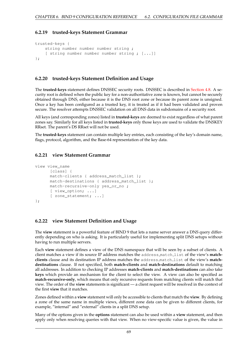## **6.2.19 trusted-keys Statement Grammar**

```
trusted-keys {
    string number number number string ;
    [ string number number number string ; [...]]
};
```
## **6.2.20 trusted-keys Statement Definition and Usage**

The **trusted-keys** statement defines DNSSEC security roots. DNSSEC is described in [Section 4.8.](#page-25-0) A security root is defined when the public key for a non-authoritative zone is known, but cannot be securely obtained through DNS, either because it is the DNS root zone or because its parent zone is unsigned. Once a key has been configured as a trusted key, it is treated as if it had been validated and proven secure. The resolver attempts DNSSEC validation on all DNS data in subdomains of a security root.

All keys (and corresponding zones) listed in **trusted-keys** are deemed to exist regardless of what parent zones say. Similarly for all keys listed in **trusted-keys** only those keys are used to validate the DNSKEY RRset. The parent's DS RRset will not be used.

The **trusted-keys** statement can contain multiple key entries, each consisting of the key's domain name, flags, protocol, algorithm, and the Base-64 representation of the key data.

# **6.2.21 view Statement Grammar**

```
view view_name
     [class] {
     match-clients { address_match_list };
     match-destinations { address match list };
     match-recursive-only yes_or_no ;
      [ view_option; ...]
      [ zone statement; ...]
};
```
# **6.2.22 view Statement Definition and Usage**

The **view** statement is a powerful feature of BIND 9 that lets a name server answer a DNS query differently depending on who is asking. It is particularly useful for implementing split DNS setups without having to run multiple servers.

Each **view** statement defines a view of the DNS namespace that will be seen by a subset of clients. A client matches a view if its source IP address matches the address match list of the view's **matchclients** clause and its destination IP address matches the address match list of the view's **matchdestinations** clause. If not specified, both **match-clients** and **match-destinations** default to matching all addresses. In addition to checking IP addresses **match-clients** and **match-destinations** can also take **keys** which provide an mechanism for the client to select the view. A view can also be specified as **match-recursive-only**, which means that only recursive requests from matching clients will match that view. The order of the **view** statements is significant — a client request will be resolved in the context of the first **view** that it matches.

Zones defined within a **view** statement will only be accessible to clients that match the **view**. By defining a zone of the same name in multiple views, different zone data can be given to different clients, for example, "internal" and "external" clients in a split DNS setup.

Many of the options given in the **options** statement can also be used within a **view** statement, and then apply only when resolving queries with that view. When no view-specific value is given, the value in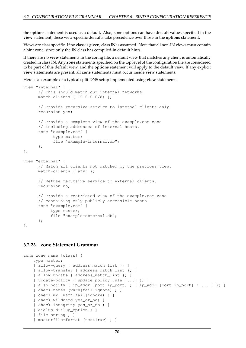the **options** statement is used as a default. Also, zone options can have default values specified in the **view** statement; these view-specific defaults take precedence over those in the **options** statement.

Views are class specific. If no class is given, class IN is assumed. Note that all non-IN views must contain a hint zone, since only the IN class has compiled-in default hints.

If there are no **view** statements in the config file, a default view that matches any client is automatically created in class IN. Any **zone** statements specified on the top level of the configuration file are considered to be part of this default view, and the **options** statement will apply to the default view. If any explicit **view** statements are present, all **zone** statements must occur inside **view** statements.

Here is an example of a typical split DNS setup implemented using **view** statements:

```
view "internal" {
      // This should match our internal networks.
      match-clients { 10.0.0.0/8; };
      // Provide recursive service to internal clients only.
      recursion yes;
      // Provide a complete view of the example.com zone
      // including addresses of internal hosts.
      zone "example.com" {
            type master;
            file "example-internal.db";
      };
};
view "external" {
      // Match all clients not matched by the previous view.
      match-clients { any; };
      // Refuse recursive service to external clients.
      recursion no;
      // Provide a restricted view of the example.com zone
      // containing only publicly accessible hosts.
      zone "example.com" {
           type master;
           file "example-external.db";
      };
};
```
## **6.2.23 zone Statement Grammar**

```
zone zone_name [class] {
   type master;
    [ allow-query { address match list }; ]
    [ allow-transfer { address match list }; ]
    [ allow-update { address match list }; ]
    [ update-policy { update_policy_rule [...] }; ]
    [ also-notify { ip_addr [port ip_port] ; [ ip_addr [port ip_port] ; ... ] }; ]
    [ check-names (warn|fail|ignore) ; ]
    [ check-mx (warn|fail|ignore) ; ]
    [ check-wildcard yes_or_no; ]
    [ check-integrity yes_or_no ; ]
    [ dialup dialup_option ; ]
    [ file string ; ]
    [ masterfile-format (text | raw) ; ]
```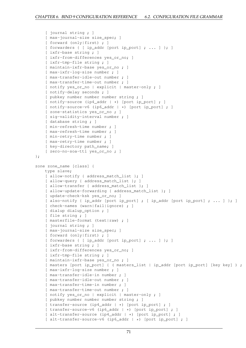```
[ journal string ; ]
    [ max-journal-size size_spec; ]
    [ forward (only|first) ; ]
    [ forwarders { [ ip_addr [port ip_port] ; ... ] }; ]
    [ ixfr-base string ; ]
    [ ixfr-from-differences yes or no; ]
    [ ixfr-tmp-file string ; ]
    [ maintain-ixfr-base yes or no ; ]
    [ max-ixfr-log-size number ; ]
    [ max-transfer-idle-out number ; ]
    [ max-transfer-time-out number ; ]
    [ notify yes_or_no | explicit | master-only ; ]
    [ notify-delay seconds ; ]
    [ pubkey number number number string ; ]
    [ notify-source (ip4_addr | * \rangle [port ip_port] ; ]
    [ notify-source-v6 (ip6_addr | *) [port ip_port] ; ]
    [ zone-statistics yes_or_no ; ]
    [ sig-validity-interval number ; ]
    [ database string ; ]
    [ min-refresh-time number ; ]
    [ max-refresh-time number ; ]
    [ min-retry-time number ; ]
    [ max-retry-time number ; ]
    [ key-directory path_name; ]
    [ zero-no-soa-ttl yes_or_no ; ]
};
zone zone name [class] {
   type slave;
    [ allow-notify { address_match_list }; ]
    [ allow-query { address_match_list }; ]
    [ allow-transfer { address_match_list }; ]
    [ allow-update-forwarding { address_match_list }; ]
    [ update-check-ksk yes_or_no; ]
    [ also-notify { ip_addr [port ip_port] ; [ ip_addr [port ip_port] ; ... ] }; ]
    [ check-names (warn|fail|ignore) ; ]
    [ dialup dialup_option ; ]
    [ file string ; ]
    [ masterfile-format (text|raw) ; ]
    [ journal string ; ]
    [ max-journal-size size_spec; ]
    [ forward (only|first) ; ]
    [ forwarders { [ ip_addr [port ip_port] ; ... ] }; ]
    [ ixfr-base string ; ]
    [ ixfr-from-differences yes_or_no; ]
    [ ixfr-tmp-file string ; ]
    [ maintain-ixfr-base yes_or_no ; ]
    [ masters [port ip_port] { ( masters_list | ip_addr [port ip_port] [key key] ) ;
    [ max-ixfr-log-size number ; ]
    [ max-transfer-idle-in number ; ]
    [ max-transfer-idle-out number ; ]
    [ max-transfer-time-in number ; ]
    [ max-transfer-time-out number ; ]
    [ notify yes_or_no | explicit | master-only ; ]
    [ pubkey number number number string ; ]
    [ transfer-source (ip4_addr | *) [port ip_port] ; ]
    [ transfer-source-v6 (ip6_addr | *) [port ip_port] ; ]
    [ alt-transfer-source (ip4_addr | *) [port ip_port] ; ]
    [ alt-transfer-source-v6 (ip6_addr | *) [port ip_port] ; ]
```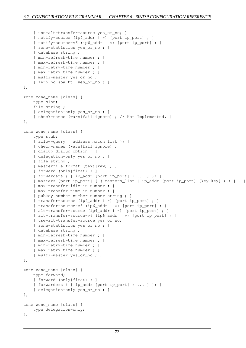```
[ use-alt-transfer-source yes_or_no; ]
    [ notify-source (ip4_addr | *) [port ip_port] ; ]
    [ notify-source-v6 (ip6_addr | *) [port ip_port] ; ]
    [ zone-statistics yes_or_no ; ]
    [ database string ; ]
    [ min-refresh-time number ; ]
    [ max-refresh-time number : ]
    [ min-retry-time number ; ]
    [ max-retry-time number ; ]
    [ multi-master yes_or_no ; ]
    [ zero-no-soa-ttl yes_or_no ; ]
};
zone zone_name [class] {
   type hint;
    file string ;
    [ delegation-only yes_or_no ; ]
    [ check-names (warn|fail|ignore) ; // Not Implemented. ]
};
zone zone_name [class] {
    type stub;
    [ allow-query { address_match_list }; ]
    [ check-names (warn|fail|ignore) ; ]
    [ dialup dialup_option ; ]
    [ delegation-only yes or no ; ]
    [ file string ; ]
    [ masterfile-format (text|raw) ; ]
    [ forward (only|first) ; ]
    [ forwarders { [ ip_addr [port ip_port] ; ... ] }; ]
    [ masters [port ip_port] { ( masters_list | ip_addr [port ip_port] [key key] ) ; [...]
    [ max-transfer-idle-in number ; ]
    [ max-transfer-time-in number ; ]
    [ pubkey number number number string ; ]
    [ transfer-source (ip4_addr | *) [port ip_port] ; ]
    [ transfer-source-v6 (ip6_addr | *) [port ip_port] ; ]
    [ alt-transfer-source (ip4_addr | *) [port ip_port] ; ]
    [ alt-transfer-source-v6 (ip6_addr | *) [port ip_port] ; ]
    [ use-alt-transfer-source yes_or_no; ]
    [ zone-statistics yes_or_no ; ]
    [ database string ; ]
    [ min-refresh-time number ; ]
    [ max-refresh-time number ; ]
    [ min-retry-time number ; ]
    [ max-retry-time number ; ]
    [ multi-master yes_or_no ; ]
};
zone zone_name [class] {
   type forward;
    [ forward (only|first) ; ]
    [ forwarders { [ ip_addr [port ip_port] ; ... ] }; ]
    [ delegation-only yes_or_no ; ]
};
zone zone_name [class] {
    type delegation-only;
};
```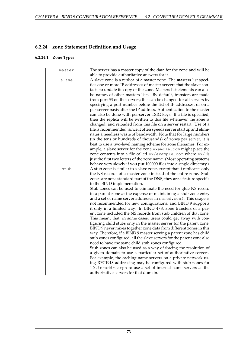## **6.2.24 zone Statement Definition and Usage**

## **6.2.24.1 Zone Types**

| master | The server has a master copy of the data for the zone and will be      |
|--------|------------------------------------------------------------------------|
|        | able to provide authoritative answers for it.                          |
| slave  | A slave zone is a replica of a master zone. The masters list speci-    |
|        | fies one or more IP addresses of master servers that the slave con-    |
|        | tacts to update its copy of the zone. Masters list elements can also   |
|        | be names of other masters lists. By default, transfers are made        |
|        | from port 53 on the servers; this can be changed for all servers by    |
|        | specifying a port number before the list of IP addresses, or on a      |
|        | per-server basis after the IP address. Authentication to the master    |
|        | can also be done with per-server TSIG keys. If a file is specified,    |
|        | then the replica will be written to this file whenever the zone is     |
|        | changed, and reloaded from this file on a server restart. Use of a     |
|        | file is recommended, since it often speeds server startup and elimi-   |
|        | nates a needless waste of bandwidth. Note that for large numbers       |
|        | (in the tens or hundreds of thousands) of zones per server, it is      |
|        | best to use a two-level naming scheme for zone filenames. For ex-      |
|        | ample, a slave server for the zone example.com might place the         |
|        | zone contents into a file called ex/example.com where ex/ is           |
|        | just the first two letters of the zone name. (Most operating systems   |
|        | behave very slowly if you put 100000 files into a single directory.)   |
|        |                                                                        |
| stub   | A stub zone is similar to a slave zone, except that it replicates only |
|        | the NS records of a master zone instead of the entire zone. Stub       |
|        | zones are not a standard part of the DNS; they are a feature specific  |
|        | to the BIND implementation.                                            |
|        | Stub zones can be used to eliminate the need for glue NS record        |
|        | in a parent zone at the expense of maintaining a stub zone entry       |
|        | and a set of name server addresses in named.conf. This usage is        |
|        | not recommended for new configurations, and BIND 9 supports            |
|        | it only in a limited way. In BIND $4/8$ , zone transfers of a par-     |
|        | ent zone included the NS records from stub children of that zone.      |
|        | This meant that, in some cases, users could get away with con-         |
|        | figuring child stubs only in the master server for the parent zone.    |
|        | BIND 9 never mixes together zone data from different zones in this     |
|        | way. Therefore, if a BIND 9 master serving a parent zone has child     |
|        | stub zones configured, all the slave servers for the parent zone also  |
|        | need to have the same child stub zones configured.                     |
|        | Stub zones can also be used as a way of forcing the resolution of      |
|        | a given domain to use a particular set of authoritative servers.       |
|        | For example, the caching name servers on a private network us-         |
|        | ing RFC1918 addressing may be configured with stub zones for           |
|        | 10.in-addr.arpa to use a set of internal name servers as the           |
|        | authoritative servers for that domain.                                 |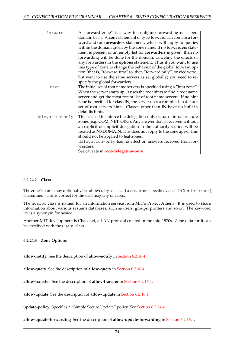| forward         | A "forward zone" is a way to configure forwarding on a per-<br>domain basis. A zone statement of type forward can contain a for-<br>ward and/or forwarders statement, which will apply to queries<br>within the domain given by the zone name. If no forwarders state-<br>ment is present or an empty list for <b>forwarders</b> is given, then no<br>forwarding will be done for the domain, canceling the effects of<br>any forwarders in the <b>options</b> statement. Thus if you want to use<br>this type of zone to change the behavior of the global forward op-<br>tion (that is, "forward first" to, then "forward only", or vice versa,<br>but want to use the same servers as set globally) you need to re-<br>specify the global forwarders. |
|-----------------|----------------------------------------------------------------------------------------------------------------------------------------------------------------------------------------------------------------------------------------------------------------------------------------------------------------------------------------------------------------------------------------------------------------------------------------------------------------------------------------------------------------------------------------------------------------------------------------------------------------------------------------------------------------------------------------------------------------------------------------------------------|
| hint            | The initial set of root name servers is specified using a "hint zone".<br>When the server starts up, it uses the root hints to find a root name<br>server and get the most recent list of root name servers. If no hint<br>zone is specified for class IN, the server uses a compiled-in default<br>set of root servers hints. Classes other than IN have no built-in<br>defaults hints.                                                                                                                                                                                                                                                                                                                                                                 |
| delegation-only | This is used to enforce the delegation-only status of infrastructure<br>zones (e.g. COM, NET, ORG). Any answer that is received without<br>an explicit or implicit delegation in the authority section will be<br>treated as NXDOMAIN. This does not apply to the zone apex. This<br>should not be applied to leaf zones.<br>delegation-only has no effect on answers received from for-<br>warders.<br>See caveats in root-delegation-only.                                                                                                                                                                                                                                                                                                             |

#### **6.2.24.2 Class**

The zone's name may optionally be followed by a class. If a class is not specified, class IN (for Internet), is assumed. This is correct for the vast majority of cases.

The hesiod class is named for an information service from MIT's Project Athena. It is used to share information about various systems databases, such as users, groups, printers and so on. The keyword HS is a synonym for hesiod.

Another MIT development is Chaosnet, a LAN protocol created in the mid-1970s. Zone data for it can be specified with the CHAOS class.

#### **6.2.24.3 Zone Options**

**allow-notify** See the description of **allow-notify** in [Section 6.2.16.4.](#page-52-0)

**allow-query** See the description of **allow-query** in [Section 6.2.16.4.](#page-52-0)

**allow-transfer** See the description of **allow-transfer** in [Section 6.2.16.4.](#page-52-0)

**allow-update** See the description of **allow-update** in [Section 6.2.16.4.](#page-52-0)

**update-policy** Specifies a "Simple Secure Update" policy. See [Section 6.2.24.4.](#page-76-0)

**allow-update-forwarding** See the description of **allow-update-forwarding** in [Section 6.2.16.4.](#page-52-0)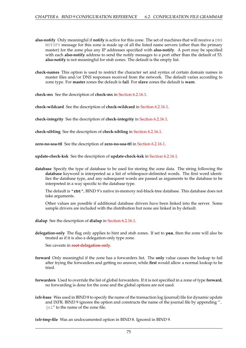- **also-notify** Only meaningful if **notify** is active for this zone. The set of machines that will receive a DNS NOTIFY message for this zone is made up of all the listed name servers (other than the primary master) for the zone plus any IP addresses specified with **also-notify**. A port may be specified with each **also-notify** address to send the notify messages to a port other than the default of 53. **also-notify** is not meaningful for stub zones. The default is the empty list.
- **check-names** This option is used to restrict the character set and syntax of certain domain names in master files and/or DNS responses received from the network. The default varies according to zone type. For **master** zones the default is **fail**. For **slave** zones the default is **warn**.

**check-mx** See the description of **check-mx** in [Section 6.2.16.1.](#page-47-0)

**check-wildcard** See the description of **check-wildcard** in [Section 6.2.16.1.](#page-47-0)

**check-integrity** See the description of **check-integrity** in [Section 6.2.16.1.](#page-47-0)

**check-sibling** See the description of **check-sibling** in [Section 6.2.16.1.](#page-47-0)

**zero-no-soa-ttl** See the description of **zero-no-soa-ttl** in [Section 6.2.16.1.](#page-47-0)

**update-check-ksk** See the description of **update-check-ksk** in [Section 6.2.16.1.](#page-47-0)

**database** Specify the type of database to be used for storing the zone data. The string following the **database** keyword is interpreted as a list of whitespace-delimited words. The first word identifies the database type, and any subsequent words are passed as arguments to the database to be interpreted in a way specific to the database type.

The default is **"rbt"**, BIND 9's native in-memory red-black-tree database. This database does not take arguments.

Other values are possible if additional database drivers have been linked into the server. Some sample drivers are included with the distribution but none are linked in by default.

**dialup** See the description of **dialup** in [Section 6.2.16.1.](#page-47-0)

**delegation-only** The flag only applies to hint and stub zones. If set to **yes**, then the zone will also be treated as if it is also a delegation-only type zone.

See caveats in **[root-delegation-only](#page-0-0)**.

- **forward** Only meaningful if the zone has a forwarders list. The **only** value causes the lookup to fail after trying the forwarders and getting no answer, while **first** would allow a normal lookup to be tried.
- **forwarders** Used to override the list of global forwarders. If it is not specified in a zone of type **forward**, no forwarding is done for the zone and the global options are not used.
- **ixfr-base** Was used in BIND 8 to specify the name of the transaction log (journal) file for dynamic update and IXFR. BIND 9 ignores the option and constructs the name of the journal file by appending ". jnl" to the name of the zone file.

**ixfr-tmp-file** Was an undocumented option in BIND 8. Ignored in BIND 9.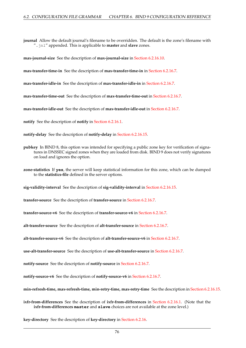**journal** Allow the default journal's filename to be overridden. The default is the zone's filename with ".jnl" appended. This is applicable to **master** and **slave** zones.

**max-journal-size** See the description of **max-journal-size** in [Section 6.2.16.10.](#page-58-0)

**max-transfer-time-in** See the description of **max-transfer-time-in** in [Section 6.2.16.7.](#page-55-0)

**max-transfer-idle-in** See the description of **max-transfer-idle-in** in [Section 6.2.16.7.](#page-55-0)

**max-transfer-time-out** See the description of **max-transfer-time-out** in [Section 6.2.16.7.](#page-55-0)

**max-transfer-idle-out** See the description of **max-transfer-idle-out** in [Section 6.2.16.7.](#page-55-0)

**notify** See the description of **notify** in [Section 6.2.16.1.](#page-47-0)

- **notify-delay** See the description of **notify-delay** in [Section 6.2.16.15.](#page-61-0)
- **pubkey** In BIND 8, this option was intended for specifying a public zone key for verification of signatures in DNSSEC signed zones when they are loaded from disk. BIND 9 does not verify signatures on load and ignores the option.
- **zone-statistics** If **yes**, the server will keep statistical information for this zone, which can be dumped to the **statistics-file** defined in the server options.

**sig-validity-interval** See the description of **sig-validity-interval** in [Section 6.2.16.15.](#page-61-0)

**transfer-source** See the description of **transfer-source** in [Section 6.2.16.7.](#page-55-0)

**transfer-source-v6** See the description of **transfer-source-v6** in [Section 6.2.16.7.](#page-55-0)

**alt-transfer-source** See the description of **alt-transfer-source** in [Section 6.2.16.7.](#page-55-0)

**alt-transfer-source-v6** See the description of **alt-transfer-source-v6** in [Section 6.2.16.7.](#page-55-0)

**use-alt-transfer-source** See the description of **use-alt-transfer-source** in [Section 6.2.16.7.](#page-55-0)

**notify-source** See the description of **notify-source** in [Section 6.2.16.7.](#page-55-0)

**notify-source-v6** See the description of **notify-source-v6** in [Section 6.2.16.7.](#page-55-0)

**min-refresh-time, max-refresh-time, min-retry-time, max-retry-time** See the description in [Section 6.2.16.15.](#page-61-0)

**ixfr-from-differences** See the description of **ixfr-from-differences** in [Section 6.2.16.1.](#page-47-0) (Note that the **ixfr-from-differences master** and **slave** choices are not available at the zone level.)

**key-directory** See the description of **key-directory** in [Section 6.2.16.](#page-45-0)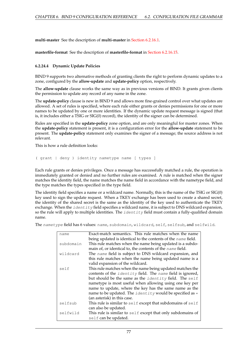**multi-master** See the description of **multi-master** in [Section 6.2.16.1.](#page-47-0)

#### **masterfile-format** See the description of **masterfile-format** in [Section 6.2.16.15.](#page-61-0)

#### **6.2.24.4 Dynamic Update Policies**

<span id="page-76-0"></span>BIND 9 supports two alternative methods of granting clients the right to perform dynamic updates to a zone, configured by the **allow-update** and **update-policy** option, respectively.

The **allow-update** clause works the same way as in previous versions of BIND. It grants given clients the permission to update any record of any name in the zone.

The **update-policy** clause is new in BIND 9 and allows more fine-grained control over what updates are allowed. A set of rules is specified, where each rule either grants or denies permissions for one or more names to be updated by one or more identities. If the dynamic update request message is signed (that is, it includes either a TSIG or SIG(0) record), the identity of the signer can be determined.

Rules are specified in the **update-policy** zone option, and are only meaningful for master zones. When the **update-policy** statement is present, it is a configuration error for the **allow-update** statement to be present. The **update-policy** statement only examines the signer of a message; the source address is not relevant.

This is how a rule definition looks:

```
( grant | deny ) identity nametype name [ types ]
```
Each rule grants or denies privileges. Once a message has successfully matched a rule, the operation is immediately granted or denied and no further rules are examined. A rule is matched when the signer matches the identity field, the name matches the name field in accordance with the nametype field, and the type matches the types specified in the type field.

The identity field specifies a name or a wildcard name. Normally, this is the name of the TSIG or SIG(0) key used to sign the update request. When a TKEY exchange has been used to create a shared secret, the identity of the shared secret is the same as the identity of the key used to authenticate the TKEY exchange. When the  $identity$  field specifies a wildcard name, it is subject to DNS wildcard expansion, so the rule will apply to multiple identities. The  $identity$  field must contain a fully-qualified domain name.

The nametype field has 6 values: name, subdomain, wildcard, self, selfsub, and selfwild.

| name      | Exact-match semantics. This rule matches when the name         |  |  |  |  |
|-----------|----------------------------------------------------------------|--|--|--|--|
|           | being updated is identical to the contents of the name field.  |  |  |  |  |
| subdomain | This rule matches when the name being updated is a subdo-      |  |  |  |  |
|           | main of, or identical to, the contents of the name field.      |  |  |  |  |
| wildcard  | The name field is subject to DNS wildcard expansion, and       |  |  |  |  |
|           | this rule matches when the name being updated name is a        |  |  |  |  |
|           | valid expansion of the wildcard.                               |  |  |  |  |
| self      | This rule matches when the name being updated matches the      |  |  |  |  |
|           | contents of the $identity$ field. The name field is ignored,   |  |  |  |  |
|           | but should be the same as the <i>identity</i> field. The self  |  |  |  |  |
|           | nametype is most useful when allowing using one key per        |  |  |  |  |
|           | name to update, where the key has the same name as the         |  |  |  |  |
|           | name to be updated. The identity would be specified as $\star$ |  |  |  |  |
|           | (an asterisk) in this case.                                    |  |  |  |  |
| selfsub   | This rule is similar to self except that subdomains of self    |  |  |  |  |
|           | can also be updated.                                           |  |  |  |  |
| selfwild  | This rule is similar to self except that only subdomains of    |  |  |  |  |
|           | self can be updated.                                           |  |  |  |  |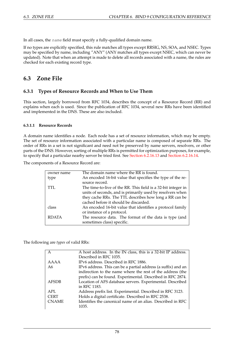In all cases, the name field must specify a fully-qualified domain name.

If no types are explicitly specified, this rule matches all types except RRSIG, NS, SOA, and NSEC. Types may be specified by name, including "ANY" (ANY matches all types except NSEC, which can never be updated). Note that when an attempt is made to delete all records associated with a name, the rules are checked for each existing record type.

# **6.3 Zone File**

#### **6.3.1 Types of Resource Records and When to Use Them**

This section, largely borrowed from RFC 1034, describes the concept of a Resource Record (RR) and explains when each is used. Since the publication of RFC 1034, several new RRs have been identified and implemented in the DNS. These are also included.

#### **6.3.1.1 Resource Records**

A domain name identifies a node. Each node has a set of resource information, which may be empty. The set of resource information associated with a particular name is composed of separate RRs. The order of RRs in a set is not significant and need not be preserved by name servers, resolvers, or other parts of the DNS. However, sorting of multiple RRs is permitted for optimization purposes, for example, to specify that a particular nearby server be tried first. See [Section 6.2.16.13](#page-60-0) and [Section 6.2.16.14.](#page-61-1)

The components of a Resource Record are:

| owner name   | The domain name where the RR is found.                                                                                                                                                                                        |  |  |
|--------------|-------------------------------------------------------------------------------------------------------------------------------------------------------------------------------------------------------------------------------|--|--|
| type         | An encoded 16-bit value that specifies the type of the re-<br>source record.                                                                                                                                                  |  |  |
| TTL          | The time-to-live of the RR. This field is a 32-bit integer in<br>units of seconds, and is primarily used by resolvers when<br>they cache RRs. The TTL describes how long a RR can be<br>cached before it should be discarded. |  |  |
| class        | An encoded 16-bit value that identifies a protocol family<br>or instance of a protocol.                                                                                                                                       |  |  |
| <b>RDATA</b> | The resource data. The format of the data is type (and<br>sometimes class) specific.                                                                                                                                          |  |  |

The following are *types* of valid RRs:

| A            | A host address. In the IN class, this is a 32-bit IP address. |
|--------------|---------------------------------------------------------------|
|              | Described in RFC 1035.                                        |
| AAAA         | IPv6 address. Described in RFC 1886.                          |
| A6           | IPv6 address. This can be a partial address (a suffix) and an |
|              | indirection to the name where the rest of the address (the    |
|              | prefix) can be found. Experimental. Described in RFC 2874.    |
| <b>AFSDB</b> | Location of AFS database servers. Experimental. Described     |
|              | in RFC 1183.                                                  |
| APL          | Address prefix list. Experimental. Described in RFC 3123.     |
| <b>CERT</b>  | Holds a digital certificate. Described in RFC 2538.           |
| <b>CNAME</b> | Identifies the canonical name of an alias. Described in RFC   |
|              | 1035.                                                         |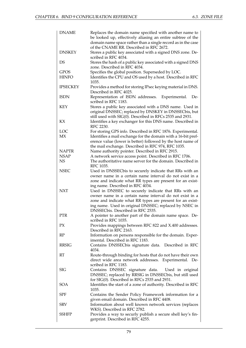| <b>DNAME</b>                | Replaces the domain name specified with another name to<br>be looked up, effectively aliasing an entire subtree of the<br>domain name space rather than a single record as in the case |
|-----------------------------|----------------------------------------------------------------------------------------------------------------------------------------------------------------------------------------|
| <b>DNSKEY</b>               | of the CNAME RR. Described in RFC 2672.<br>Stores a public key associated with a signed DNS zone. De-<br>scribed in RFC 4034.                                                          |
| DS                          | Stores the hash of a public key associated with a signed DNS<br>zone. Described in RFC 4034.                                                                                           |
| <b>GPOS</b><br><b>HINFO</b> | Specifies the global position. Superseded by LOC.<br>Identifies the CPU and OS used by a host. Described in RFC<br>1035.                                                               |
| <b>IPSECKEY</b>             | Provides a method for storing IPsec keying material in DNS.<br>Described in RFC 4025.                                                                                                  |
| ISDN                        | Representation of ISDN addresses.<br>Experimental.<br>De-<br>scribed in RFC 1183.                                                                                                      |
| <b>KEY</b>                  | Stores a public key associated with a DNS name. Used in<br>original DNSSEC; replaced by DNSKEY in DNSSECbis, but<br>still used with SIG(0). Described in RFCs 2535 and 2931.           |
| KX                          | Identifies a key exchanger for this DNS name. Described in<br>RFC 2230.                                                                                                                |
| LOC                         | For storing GPS info. Described in RFC 1876. Experimental.                                                                                                                             |
| MX                          | Identifies a mail exchange for the domain with a 16-bit pref-<br>erence value (lower is better) followed by the host name of<br>the mail exchange. Described in RFC 974, RFC 1035.     |
| <b>NAPTR</b>                | Name authority pointer. Described in RFC 2915.                                                                                                                                         |
| <b>NSAP</b>                 | A network service access point. Described in RFC 1706.                                                                                                                                 |
| NS.                         | The authoritative name server for the domain. Described in<br>RFC 1035.                                                                                                                |
| <b>NSEC</b>                 | Used in DNSSECbis to securely indicate that RRs with an                                                                                                                                |
|                             | owner name in a certain name interval do not exist in a                                                                                                                                |
|                             | zone and indicate what RR types are present for an exist-<br>ing name. Described in RFC 4034.                                                                                          |
| NXT                         | Used in DNSSEC to securely indicate that RRs with an<br>owner name in a certain name interval do not exist in a                                                                        |
|                             | zone and indicate what RR types are present for an exist-<br>ing name. Used in original DNSSEC; replaced by NSEC in<br>DNSSECbis. Described in RFC 2535.                               |
| <b>PTR</b>                  | A pointer to another part of the domain name space. De-<br>scribed in RFC 1035.                                                                                                        |
| PX                          | Provides mappings between RFC 822 and X.400 addresses.<br>Described in RFC 2163.                                                                                                       |
| RP                          | Information on persons responsible for the domain. Exper-<br>imental. Described in RFC 1183.                                                                                           |
| <b>RRSIG</b>                | Contains DNSSECbis signature data. Described in RFC<br>4034.                                                                                                                           |
| RT                          | Route-through binding for hosts that do not have their own                                                                                                                             |
|                             | direct wide area network addresses. Experimental. De-<br>scribed in RFC 1183.                                                                                                          |
| SIG                         | Contains DNSSEC signature data. Used in original<br>DNSSEC; replaced by RRSIG in DNSSECbis, but still used<br>for SIG(0). Described in RFCs 2535 and 2931.                             |
| <b>SOA</b>                  | Identifies the start of a zone of authority. Described in RFC<br>1035.                                                                                                                 |
| <b>SPF</b>                  | Contains the Sender Policy Framework information for a<br>given email domain. Described in RFC 4408.                                                                                   |
| <b>SRV</b>                  | Information about well known network services (replaces<br>WKS). Described in RFC 2782.                                                                                                |
| <b>SSHFP</b>                | Provides a way to securly publish a secure shell key's fin-<br>gerprint. Described in RFC 4255.                                                                                        |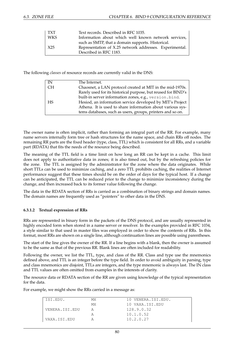| <b>TXT</b> | Text records. Described in RFC 1035.                    |
|------------|---------------------------------------------------------|
| <b>WKS</b> | Information about which well known network services,    |
|            | such as SMTP, that a domain supports. Historical.       |
| X25        | Representation of X.25 network addresses. Experimental. |
|            | Described in RFC 1183.                                  |

The following *classes* of resource records are currently valid in the DNS:

| IN        | The Internet.                                                 |
|-----------|---------------------------------------------------------------|
| <b>CH</b> | Chaosnet, a LAN protocol created at MIT in the mid-1970s.     |
|           | Rarely used for its historical purpose, but reused for BIND's |
|           | built-in server information zones, e.g., version. bind.       |
| HS        | Hesiod, an information service developed by MIT's Project     |
|           | Athena. It is used to share information about various sys-    |
|           | tems databases, such as users, groups, printers and so on.    |

The owner name is often implicit, rather than forming an integral part of the RR. For example, many name servers internally form tree or hash structures for the name space, and chain RRs off nodes. The remaining RR parts are the fixed header (type, class, TTL) which is consistent for all RRs, and a variable part (RDATA) that fits the needs of the resource being described.

The meaning of the TTL field is a time limit on how long an RR can be kept in a cache. This limit does not apply to authoritative data in zones; it is also timed out, but by the refreshing policies for the zone. The TTL is assigned by the administrator for the zone where the data originates. While short TTLs can be used to minimize caching, and a zero TTL prohibits caching, the realities of Internet performance suggest that these times should be on the order of days for the typical host. If a change can be anticipated, the TTL can be reduced prior to the change to minimize inconsistency during the change, and then increased back to its former value following the change.

The data in the RDATA section of RRs is carried as a combination of binary strings and domain names. The domain names are frequently used as "pointers" to other data in the DNS.

#### **6.3.1.2 Textual expression of RRs**

RRs are represented in binary form in the packets of the DNS protocol, and are usually represented in highly encoded form when stored in a name server or resolver. In the examples provided in RFC 1034, a style similar to that used in master files was employed in order to show the contents of RRs. In this format, most RRs are shown on a single line, although continuation lines are possible using parentheses.

The start of the line gives the owner of the RR. If a line begins with a blank, then the owner is assumed to be the same as that of the previous RR. Blank lines are often included for readability.

Following the owner, we list the TTL, type, and class of the RR. Class and type use the mnemonics defined above, and TTL is an integer before the type field. In order to avoid ambiguity in parsing, type and class mnemonics are disjoint, TTLs are integers, and the type mnemonic is always last. The IN class and TTL values are often omitted from examples in the interests of clarity.

The resource data or RDATA section of the RR are given using knowledge of the typical representation for the data.

For example, we might show the RRs carried in a message as:

| ISI.EDU.       | МX | 10 VENERA.ISI.EDU. |
|----------------|----|--------------------|
|                | МX | 10 VAXA.ISI.EDU    |
| VENERA.ISI.EDU | А  | 128.9.0.32         |
|                | А  | 10.1.0.52          |
| VAXA.ISI.EDU   |    | 10.2.0.27          |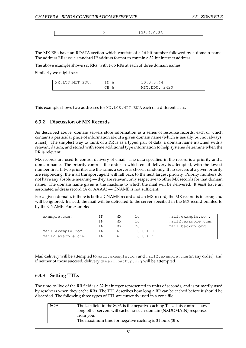A 128.9.0.33

The MX RRs have an RDATA section which consists of a 16-bit number followed by a domain name. The address RRs use a standard IP address format to contain a 32-bit internet address.

The above example shows six RRs, with two RRs at each of three domain names.

Similarly we might see:

| XX.LCS.MIT.EDU. | TN A | 10.0.0.44     |
|-----------------|------|---------------|
|                 | CH A | MIT.EDU. 2420 |

This example shows two addresses for XX.LCS.MIT.EDU, each of a different class.

#### **6.3.2 Discussion of MX Records**

As described above, domain servers store information as a series of resource records, each of which contains a particular piece of information about a given domain name (which is usually, but not always, a host). The simplest way to think of a RR is as a typed pair of data, a domain name matched with a relevant datum, and stored with some additional type information to help systems determine when the RR is relevant.

MX records are used to control delivery of email. The data specified in the record is a priority and a domain name. The priority controls the order in which email delivery is attempted, with the lowest number first. If two priorities are the same, a server is chosen randomly. If no servers at a given priority are responding, the mail transport agent will fall back to the next largest priority. Priority numbers do not have any absolute meaning — they are relevant only respective to other MX records for that domain name. The domain name given is the machine to which the mail will be delivered. It *must* have an associated address record (A or AAAA) — CNAME is not sufficient.

For a given domain, if there is both a CNAME record and an MX record, the MX record is in error, and will be ignored. Instead, the mail will be delivered to the server specified in the MX record pointed to by the CNAME. For example:

| example.com.       | ΙN  | МX |          | mail.example.com.  |
|--------------------|-----|----|----------|--------------------|
|                    | ΤN  | МX |          | mail2.example.com. |
|                    | ΙN  | МX | 20.      | mail.backup.org.   |
| mail.example.com.  | ΙN  | A  | 10.0.0.1 |                    |
| mail2.example.com. | I N | A  | 10.0.0.2 |                    |

Mail delivery will be attempted to  $mail.example.com$  and  $mail2.example.com$  (in any order), and if neither of those succeed, delivery to mail.backup.org will be attempted.

#### **6.3.3 Setting TTLs**

The time-to-live of the RR field is a 32-bit integer represented in units of seconds, and is primarily used by resolvers when they cache RRs. The TTL describes how long a RR can be cached before it should be discarded. The following three types of TTL are currently used in a zone file.

| SOA | The last field in the SOA is the negative caching TTL. This controls how |
|-----|--------------------------------------------------------------------------|
|     | long other servers will cache no-such-domain (NXDOMAIN) responses        |
|     | from you.                                                                |
|     | The maximum time for negative caching is 3 hours (3h).                   |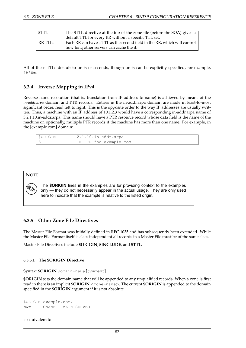| STTL    | The \$TTL directive at the top of the zone file (before the SOA) gives a |
|---------|--------------------------------------------------------------------------|
|         | default TTL for every RR without a specific TTL set.                     |
| RR TTLs | Each RR can have a TTL as the second field in the RR, which will control |
|         | how long other servers can cache the it.                                 |

All of these TTLs default to units of seconds, though units can be explicitly specified, for example, 1h30m.

## **6.3.4 Inverse Mapping in IPv4**

Reverse name resolution (that is, translation from IP address to name) is achieved by means of the *in-addr.arpa* domain and PTR records. Entries in the in-addr.arpa domain are made in least-to-most significant order, read left to right. This is the opposite order to the way IP addresses are usually written. Thus, a machine with an IP address of 10.1.2.3 would have a corresponding in-addr.arpa name of 3.2.1.10.in-addr.arpa. This name should have a PTR resource record whose data field is the name of the machine or, optionally, multiple PTR records if the machine has more than one name. For example, in the [example.com] domain:

| SORIGIN | $2.1.10.in-addr.argv$   |
|---------|-------------------------|
|         | IN PTR foo.example.com. |



The **\$ORIGIN** lines in the examples are for providing context to the examples only — they do not necessarily appear in the actual usage. They are only used here to indicate that the example is relative to the listed origin.

#### **6.3.5 Other Zone File Directives**

The Master File Format was initially defined in RFC 1035 and has subsequently been extended. While the Master File Format itself is class independent all records in a Master File must be of the same class.

Master File Directives include **\$ORIGIN**, **\$INCLUDE**, and **\$TTL.**

#### **6.3.5.1 The \$ORIGIN Directive**

Syntax: **\$ORIGIN** domain-name [comment]

**\$ORIGIN** sets the domain name that will be appended to any unqualified records. When a zone is first read in there is an implicit **\$ORIGIN** <zone-name>**.** The current **\$ORIGIN** is appended to the domain specified in the **\$ORIGIN** argument if it is not absolute.

\$ORIGIN example.com. WWW CNAME MAIN-SERVER

is equivalent to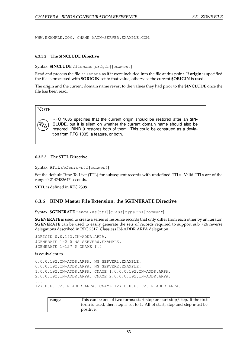WWW.EXAMPLE.COM. CNAME MAIN-SERVER.EXAMPLE.COM.

#### **6.3.5.2 The \$INCLUDE Directive**

Syntax: **\$INCLUDE** filename [origin] [comment]

Read and process the file filename as if it were included into the file at this point. If **origin** is specified the file is processed with **\$ORIGIN** set to that value, otherwise the current **\$ORIGIN** is used.

The origin and the current domain name revert to the values they had prior to the **\$INCLUDE** once the file has been read.

**NOTE** 



RFC 1035 specifies that the current origin should be restored after an **\$IN-CLUDE**, but it is silent on whether the current domain name should also be restored. BIND 9 restores both of them. This could be construed as a deviation from RFC 1035, a feature, or both.

#### **6.3.5.3 The \$TTL Directive**

Syntax: **\$TTL** default-ttl [comment]

Set the default Time To Live (TTL) for subsequent records with undefined TTLs. Valid TTLs are of the range 0-2147483647 seconds.

**\$TTL** is defined in RFC 2308.

#### **6.3.6 BIND Master File Extension: the \$GENERATE Directive**

Syntax: **\$GENERATE** range lhs [ttl] [class] type rhs [comment]

**\$GENERATE** is used to create a series of resource records that only differ from each other by an iterator. **\$GENERATE** can be used to easily generate the sets of records required to support sub /24 reverse delegations described in RFC 2317: Classless IN-ADDR.ARPA delegation.

\$ORIGIN 0.0.192.IN-ADDR.ARPA. \$GENERATE 1-2 0 NS SERVER\$.EXAMPLE. \$GENERATE 1-127 \$ CNAME \$.0

is equivalent to

```
0.0.0.192.IN-ADDR.ARPA. NS SERVER1.EXAMPLE.
0.0.0.192.IN-ADDR.ARPA. NS SERVER2.EXAMPLE.
1.0.0.192.IN-ADDR.ARPA. CNAME 1.0.0.0.192.IN-ADDR.ARPA.
2.0.0.192.IN-ADDR.ARPA. CNAME 2.0.0.0.192.IN-ADDR.ARPA.
...
127.0.0.192.IN-ADDR.ARPA. CNAME 127.0.0.0.192.IN-ADDR.ARPA.
```
**range** This can be one of two forms: start-stop or start-stop/step. If the first form is used, then step is set to 1. All of start, stop and step must be positive.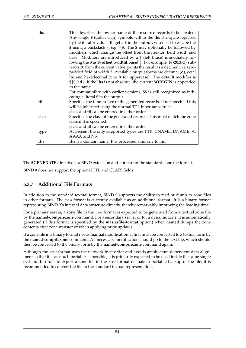| <b>lhs</b> | This describes the owner name of the resource records to be created.<br>Any single \$ (dollar sign) symbols within the lhs string are replaced<br>by the iterator value. To get a \$ in the output, you need to escape the<br>\$ using a backslash \, e.g. \\$. The \$ may optionally be followed by<br>modifiers which change the offset from the iterator, field width and<br>base. Modifiers are introduced by a $\{$ (left brace) immediately fol-<br>lowing the $\$$ as $\{\text{offset}$ , width[, base]]. For example, $\{\{-20,3,d\} \text{ sub-}$<br>tracts 20 from the current value, prints the result as a decimal in a zero- |
|------------|-------------------------------------------------------------------------------------------------------------------------------------------------------------------------------------------------------------------------------------------------------------------------------------------------------------------------------------------------------------------------------------------------------------------------------------------------------------------------------------------------------------------------------------------------------------------------------------------------------------------------------------------|
|            | padded field of width 3. Available output forms are decimal (d), octal<br>(o) and hexadecimal $(x \text{ or } X \text{ for uppercase})$ . The default modifier is<br>$\{(0,0,0)\}\$ . If the lhs is not absolute, the current $\{ORIGIN\}$ is appended<br>to the name.                                                                                                                                                                                                                                                                                                                                                                    |
|            | For compatibility with earlier versions, \$\$ is still recognized as indi-<br>cating a literal \$ in the output.                                                                                                                                                                                                                                                                                                                                                                                                                                                                                                                          |
| ttl        | Specifies the time-to-live of the generated records. If not specified this<br>will be inherited using the normal TTL inheritance rules.<br>class and ttl can be entered in either order.                                                                                                                                                                                                                                                                                                                                                                                                                                                  |
| class      | Specifies the class of the generated records. This must match the zone<br>class if it is specified.                                                                                                                                                                                                                                                                                                                                                                                                                                                                                                                                       |
|            | class and ttl can be entered in either order.                                                                                                                                                                                                                                                                                                                                                                                                                                                                                                                                                                                             |
| type       | At present the only supported types are PTR, CNAME, DNAME, A,                                                                                                                                                                                                                                                                                                                                                                                                                                                                                                                                                                             |
|            | AAAA and NS.                                                                                                                                                                                                                                                                                                                                                                                                                                                                                                                                                                                                                              |
| rhs        | rhs is a domain name. It is processed similarly to lhs.                                                                                                                                                                                                                                                                                                                                                                                                                                                                                                                                                                                   |

The **\$GENERATE** directive is a BIND extension and not part of the standard zone file format.

BIND 8 does not support the optional TTL and CLASS fields.

# **6.3.7 Additional File Formats**

In addition to the standard textual format, BIND 9 supports the ability to read or dump to zone files in other formats. The raw format is currently available as an additional format. It is a binary format representing BIND 9's internal data structure directly, thereby remarkably improving the loading time.

For a primary server, a zone file in the raw format is expected to be generated from a textual zone file by the **named-compilezone** command. For a secondary server or for a dynamic zone, it is automatically generated (if this format is specified by the **masterfile-format** option) when **named** dumps the zone contents after zone transfer or when applying prior updates.

If a zone file in a binary format needs manual modification, it first must be converted to a textual form by the **named-compilezone** command. All necessary modification should go to the text file, which should then be converted to the binary form by the **named-compilezone** command again.

Although the raw format uses the network byte order and avoids architecture-dependent data alignment so that it is as much portable as possible, it is primarily expected to be used inside the same single system. In order to export a zone file in the raw format or make a portable backup of the file, it is recommended to convert the file to the standard textual representation.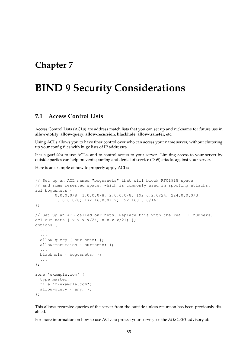# **Chapter 7**

# **BIND 9 Security Considerations**

### **7.1 Access Control Lists**

Access Control Lists (ACLs) are address match lists that you can set up and nickname for future use in **allow-notify**, **allow-query**, **allow-recursion**, **blackhole**, **allow-transfer**, etc.

Using ACLs allows you to have finer control over who can access your name server, without cluttering up your config files with huge lists of IP addresses.

It is a *good idea* to use ACLs, and to control access to your server. Limiting access to your server by outside parties can help prevent spoofing and denial of service (DoS) attacks against your server.

Here is an example of how to properly apply ACLs:

```
// Set up an ACL named "bogusnets" that will block RFC1918 space
// and some reserved space, which is commonly used in spoofing attacks.
acl bogusnets {
        0.0.0.0/8; 1.0.0.0/8; 2.0.0.0/8; 192.0.2.0/24; 224.0.0.0/3;
        10.0.0.0/8; 172.16.0.0/12; 192.168.0.0/16;
};
// Set up an ACL called our-nets. Replace this with the real IP numbers.
acl our-nets { x.x.x.x/24; x.x.x.x/21; };
options {
  ...
  ...
 allow-query { our-nets; };
 allow-recursion { our-nets; };
  ...
 blackhole { bogusnets; };
  ...
};
zone "example.com" {
 type master;
 file "m/example.com";
 allow-query { any; };
};
```
This allows recursive queries of the server from the outside unless recursion has been previously disabled.

For more information on how to use ACLs to protect your server, see the *AUSCERT* advisory at: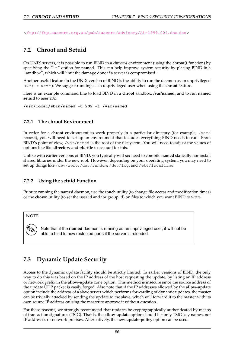<[ftp://ftp.auscert.org.au/pub/auscert/advisory/AL-1999.004.dns](ftp://ftp.auscert.org.au/pub/auscert/advisory/AL-1999.004.dns_dos) dos>

# **7.2 Chroot and Setuid**

On UNIX servers, it is possible to run BIND in a *chrooted* environment (using the **chroot()** function) by specifying the "-t" option for **named**. This can help improve system security by placing BIND in a "sandbox", which will limit the damage done if a server is compromised.

Another useful feature in the UNIX version of BIND is the ability to run the daemon as an unprivileged user ( -u user ). We suggest running as an unprivileged user when using the **chroot** feature.

Here is an example command line to load BIND in a **chroot** sandbox, **/var/named**, and to run **named setuid** to user 202:

**/usr/local/sbin/named -u 202 -t /var/named**

#### **7.2.1 The chroot Environment**

In order for a **chroot** environment to work properly in a particular directory (for example, /var/ named), you will need to set up an environment that includes everything BIND needs to run. From BIND's point of view, /var/named is the root of the filesystem. You will need to adjust the values of options like like **directory** and **pid-file** to account for this.

Unlike with earlier versions of BIND, you typically will *not* need to compile **named** statically nor install shared libraries under the new root. However, depending on your operating system, you may need to set up things like /dev/zero, /dev/random, /dev/log, and /etc/localtime.

#### **7.2.2 Using the setuid Function**

Prior to running the **named** daemon, use the **touch** utility (to change file access and modification times) or the **chown** utility (to set the user id and/or group id) on files to which you want BIND to write.

#### **NOTE**

Note that if the **named** daemon is running as an unprivileged user, it will not be able to bind to new restricted ports if the server is reloaded.

# **7.3 Dynamic Update Security**

Access to the dynamic update facility should be strictly limited. In earlier versions of BIND, the only way to do this was based on the IP address of the host requesting the update, by listing an IP address or network prefix in the **allow-update** zone option. This method is insecure since the source address of the update UDP packet is easily forged. Also note that if the IP addresses allowed by the **allow-update** option include the address of a slave server which performs forwarding of dynamic updates, the master can be trivially attacked by sending the update to the slave, which will forward it to the master with its own source IP address causing the master to approve it without question.

For these reasons, we strongly recommend that updates be cryptographically authenticated by means of transaction signatures (TSIG). That is, the **allow-update** option should list only TSIG key names, not IP addresses or network prefixes. Alternatively, the new **update-policy** option can be used.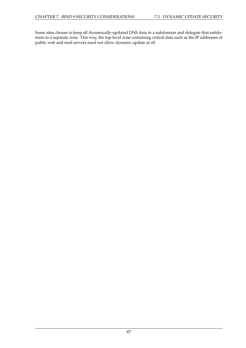Some sites choose to keep all dynamically-updated DNS data in a subdomain and delegate that subdomain to a separate zone. This way, the top-level zone containing critical data such as the IP addresses of public web and mail servers need not allow dynamic update at all.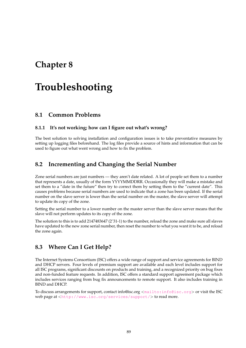# **Chapter 8**

# **Troubleshooting**

# **8.1 Common Problems**

#### **8.1.1 It's not working; how can I figure out what's wrong?**

The best solution to solving installation and configuration issues is to take preventative measures by setting up logging files beforehand. The log files provide a source of hints and information that can be used to figure out what went wrong and how to fix the problem.

# **8.2 Incrementing and Changing the Serial Number**

Zone serial numbers are just numbers — they aren't date related. A lot of people set them to a number that represents a date, usually of the form YYYYMMDDRR. Occasionally they will make a mistake and set them to a "date in the future" then try to correct them by setting them to the "current date". This causes problems because serial numbers are used to indicate that a zone has been updated. If the serial number on the slave server is lower than the serial number on the master, the slave server will attempt to update its copy of the zone.

Setting the serial number to a lower number on the master server than the slave server means that the slave will not perform updates to its copy of the zone.

The solution to this is to add 2147483647 (2ˆ31-1) to the number, reload the zone and make sure all slaves have updated to the new zone serial number, then reset the number to what you want it to be, and reload the zone again.

# **8.3 Where Can I Get Help?**

The Internet Systems Consortium (ISC) offers a wide range of support and service agreements for BIND and DHCP servers. Four levels of premium support are available and each level includes support for all ISC programs, significant discounts on products and training, and a recognized priority on bug fixes and non-funded feature requests. In addition, ISC offers a standard support agreement package which includes services ranging from bug fix announcements to remote support. It also includes training in BIND and DHCP.

To discuss arrangements for support, contact info@isc.org <<mailto:info@isc.org>> or visit the ISC web page at <<http://www.isc.org/services/support/>> to read more.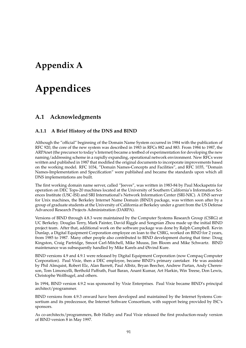# **Appendix A**

# **Appendices**

# **A.1 Acknowledgments**

#### **A.1.1 A Brief History of the DNS and BIND**

Although the "official" beginning of the Domain Name System occurred in 1984 with the publication of RFC 920, the core of the new system was described in 1983 in RFCs 882 and 883. From 1984 to 1987, the ARPAnet (the precursor to today's Internet) became a testbed of experimentation for developing the new naming/addressing scheme in a rapidly expanding, operational network environment. New RFCs were written and published in 1987 that modified the original documents to incorporate improvements based on the working model. RFC 1034, "Domain Names-Concepts and Facilities", and RFC 1035, "Domain Names-Implementation and Specification" were published and became the standards upon which all DNS implementations are built.

The first working domain name server, called "Jeeves", was written in 1983-84 by Paul Mockapetris for operation on DEC Tops-20 machines located at the University of Southern California's Information Sciences Institute (USC-ISI) and SRI International's Network Information Center (SRI-NIC). A DNS server for Unix machines, the Berkeley Internet Name Domain (BIND) package, was written soon after by a group of graduate students at the University of California at Berkeley under a grant from the US Defense Advanced Research Projects Administration (DARPA).

Versions of BIND through 4.8.3 were maintained by the Computer Systems Research Group (CSRG) at UC Berkeley. Douglas Terry, Mark Painter, David Riggle and Songnian Zhou made up the initial BIND project team. After that, additional work on the software package was done by Ralph Campbell. Kevin Dunlap, a Digital Equipment Corporation employee on loan to the CSRG, worked on BIND for 2 years, from 1985 to 1987. Many other people also contributed to BIND development during that time: Doug Kingston, Craig Partridge, Smoot Carl-Mitchell, Mike Muuss, Jim Bloom and Mike Schwartz. BIND maintenance was subsequently handled by Mike Karels and Øivind Kure.

BIND versions 4.9 and 4.9.1 were released by Digital Equipment Corporation (now Compaq Computer Corporation). Paul Vixie, then a DEC employee, became BIND's primary caretaker. He was assisted by Phil Almquist, Robert Elz, Alan Barrett, Paul Albitz, Bryan Beecher, Andrew Partan, Andy Cherenson, Tom Limoncelli, Berthold Paffrath, Fuat Baran, Anant Kumar, Art Harkin, Win Treese, Don Lewis, Christophe Wolfhugel, and others.

In 1994, BIND version 4.9.2 was sponsored by Vixie Enterprises. Paul Vixie became BIND's principal architect/programmer.

BIND versions from 4.9.3 onward have been developed and maintained by the Internet Systems Consortium and its predecessor, the Internet Software Consortium, with support being provided by ISC's sponsors.

As co-architects/programmers, Bob Halley and Paul Vixie released the first production-ready version of BIND version 8 in May 1997.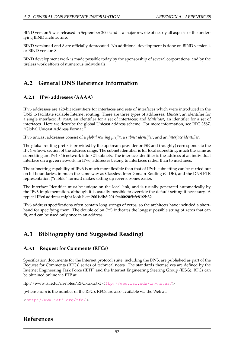BIND version 9 was released in September 2000 and is a major rewrite of nearly all aspects of the underlying BIND architecture.

BIND versions 4 and 8 are officially deprecated. No additional development is done on BIND version 4 or BIND version 8.

BIND development work is made possible today by the sponsorship of several corporations, and by the tireless work efforts of numerous individuals.

# **A.2 General DNS Reference Information**

#### **A.2.1 IPv6 addresses (AAAA)**

IPv6 addresses are 128-bit identifiers for interfaces and sets of interfaces which were introduced in the DNS to facilitate scalable Internet routing. There are three types of addresses: *Unicast*, an identifier for a single interface; *Anycast*, an identifier for a set of interfaces; and *Multicast*, an identifier for a set of interfaces. Here we describe the global Unicast address scheme. For more information, see RFC 3587, "Global Unicast Address Format."

IPv6 unicast addresses consist of a *global routing prefix*, a *subnet identifier*, and an *interface identifier*.

The global routing prefix is provided by the upstream provider or ISP, and (roughly) corresponds to the IPv4 *network* section of the address range. The subnet identifier is for local subnetting, much the same as subnetting an IPv4 /16 network into /24 subnets. The interface identifier is the address of an individual interface on a given network; in IPv6, addresses belong to interfaces rather than to machines.

The subnetting capability of IPv6 is much more flexible than that of IPv4: subnetting can be carried out on bit boundaries, in much the same way as Classless InterDomain Routing (CIDR), and the DNS PTR representation ("nibble" format) makes setting up reverse zones easier.

The Interface Identifier must be unique on the local link, and is usually generated automatically by the IPv6 implementation, although it is usually possible to override the default setting if necessary. A typical IPv6 address might look like: **2001:db8:201:9:a00:20ff:fe81:2b32**

IPv6 address specifications often contain long strings of zeros, so the architects have included a shorthand for specifying them. The double colon ('::') indicates the longest possible string of zeros that can fit, and can be used only once in an address.

# **A.3 Bibliography (and Suggested Reading)**

#### **A.3.1 Request for Comments (RFCs)**

Specification documents for the Internet protocol suite, including the DNS, are published as part of the Request for Comments (RFCs) series of technical notes. The standards themselves are defined by the Internet Engineering Task Force (IETF) and the Internet Engineering Steering Group (IESG). RFCs can be obtained online via FTP at:

ftp://www.isi.edu/in-notes/RFCxxxx.txt <<ftp://www.isi.edu/in-notes/>>

(where xxxx is the number of the RFC). RFCs are also available via the Web at:

<<http://www.ietf.org/rfc/>>.

# **References**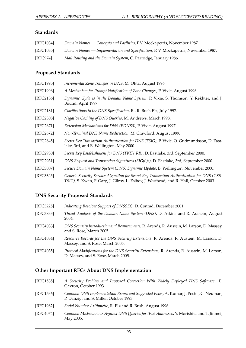### **Standards**

| [RFC1034] | Domain Names — Concepts and Facilities, P.V. Mockapetris, November 1987.           |
|-----------|------------------------------------------------------------------------------------|
| [RFC1035] | Domain Names — Implementation and Specification, P. V. Mockapetris, November 1987. |
| [RFC974]  | Mail Routing and the Domain System, C. Partridge, January 1986.                    |

# **Proposed Standards**

| [RFC1995] | Incremental Zone Transfer in DNS, M. Ohta, August 1996.                                                                                                                              |
|-----------|--------------------------------------------------------------------------------------------------------------------------------------------------------------------------------------|
| [RFC1996] | A Mechanism for Prompt Notification of Zone Changes, P. Vixie, August 1996.                                                                                                          |
| [RFC2136] | Dynamic Updates in the Domain Name System, P. Vixie, S. Thomson, Y. Rekhter, and J.<br>Bound, April 1997.                                                                            |
| [RFC2181] | Clarifications to the DNS Specification, R., R. Bush Elz, July 1997.                                                                                                                 |
| [RFC2308] | Negative Caching of DNS Queries, M. Andrews, March 1998.                                                                                                                             |
| [RFC2671] | Extension Mechanisms for DNS (EDNS0), P. Vixie, August 1997.                                                                                                                         |
| [RFC2672] | Non-Terminal DNS Name Redirection, M. Crawford, August 1999.                                                                                                                         |
| [RFC2845] | Secret Key Transaction Authentication for DNS (TSIG), P. Vixie, O. Gudmundsson, D. East-<br>lake, 3rd, and B. Wellington, May 2000.                                                  |
| [RFC2930] | Secret Key Establishment for DNS (TKEY RR), D. Eastlake, 3rd, September 2000.                                                                                                        |
| [RFC2931] | DNS Request and Transaction Signatures (SIG(0)s), D. Eastlake, 3rd, September 2000.                                                                                                  |
| [RFC3007] | Secure Domain Name System (DNS) Dynamic Update, B. Wellington, November 2000.                                                                                                        |
| [RFC3645] | Generic Security Service Algorithm for Secret Key Transaction Authentication for DNS (GSS-<br>TSIG), S. Kwan, P. Garg, J. Gilroy, L. Esibov, J. Westhead, and R. Hall, October 2003. |

# **DNS Security Proposed Standards**

| [RFC3225] | Indicating Resolver Support of DNSSEC, D. Conrad, December 2001.                                                                 |
|-----------|----------------------------------------------------------------------------------------------------------------------------------|
| [RFC3833] | Threat Analysis of the Domain Name System (DNS), D. Atkins and R. Austein, August<br>2004.                                       |
| [RFC4033] | DNS Security Introduction and Requirements, R. Arends, R. Austein, M. Larson, D. Massey,<br>and S. Rose, March 2005.             |
| [RFC4034] | Resource Records for the DNS Security Extensions, R. Arends, R. Austein, M. Larson, D.<br>Massey, and S. Rose, March 2005.       |
| [RFC4035] | Protocol Modifications for the DNS Security Extensions, R. Arends, R. Austein, M. Larson,<br>D. Massey, and S. Rose, March 2005. |

# **Other Important RFCs About DNS Implementation**

| [RFC1535] | A Security Problem and Proposed Correction With Widely Deployed DNS Software., E.<br>Gavron, October 1993.                       |
|-----------|----------------------------------------------------------------------------------------------------------------------------------|
| [RFC1536] | Common DNS Implementation Errors and Suggested Fixes, A. Kumar, J. Postel, C. Neuman,<br>P. Danzig, and S. Miller, October 1993. |
| [RFC1982] | Serial Number Arithmetic, R. Elz and R. Bush, August 1996.                                                                       |
| [RFC4074] | Common Misbehaviour Against DNS Queries for IPv6 Addresses, Y. Morishita and T. Jinmei,<br>May 2005.                             |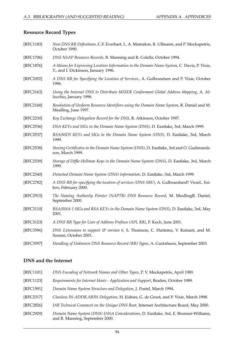# **Resource Record Types**

| [RFC1183]     | New DNS RR Definitions, C.F. Everhart, L. A. Mamakos, R. Ullmann, and P. Mockapetris,<br>October 1990.                            |
|---------------|-----------------------------------------------------------------------------------------------------------------------------------|
| [RFC1706]     | DNS NSAP Resource Records, B. Manning and R. Colella, October 1994.                                                               |
| [RFC1876]     | A Means for Expressing Location Information in the Domain Name System, C. Davis, P. Vixie,<br>T., and I. Dickinson, January 1996. |
| [RFC2052]     | A DNS RR for Specifying the Location of Services., A. Gulbrandsen and P. Vixie, October<br>1996.                                  |
| [ $RFC2163$ ] | Using the Internet DNS to Distribute MIXER Conformant Global Address Mapping, A. Al-<br>locchio, January 1998.                    |
| [RFC2168]     | Resolution of Uniform Resource Identifiers using the Domain Name System, R. Daniel and M.<br>Mealling, June 1997.                 |
| [RFC2230]     | Key Exchange Delegation Record for the DNS, R. Atkinson, October 1997.                                                            |
| [RFC2536]     | DSA KEYs and SIGs in the Domain Name System (DNS), D. Eastlake, 3rd, March 1999.                                                  |
| [RFC2537]     | RSA/MD5 KEYs and SIGs in the Domain Name System (DNS), D. Eastlake, 3rd, March<br>1999.                                           |
| [RFC2538]     | Storing Certificates in the Domain Name System (DNS), D. Eastlake, 3rd and O. Gudmunds-<br>son, March 1999.                       |
| [RFC2539]     | Storage of Diffie-Hellman Keys in the Domain Name System (DNS), D. Eastlake, 3rd, March<br>1999.                                  |
| [RFC2540]     | Detached Domain Name System (DNS) Information, D. Eastlake, 3rd, March 1999.                                                      |
| [RFC2782]     | A DNS RR for specifying the location of services (DNS SRV), A. GulbrandsenP. VixieL. Esi-<br>bov, February 2000.                  |
| [RFC2915]     | The Naming Authority Pointer (NAPTR) DNS Resource Record, M. MeallingR. Daniel,<br>September 2000.                                |
| [RFC3110]     | RSA/SHA-1 SIGs and RSA KEYs in the Domain Name System (DNS), D. Eastlake, 3rd, May<br>2001.                                       |
| [RFC3123]     | A DNS RR Type for Lists of Address Prefixes (APL RR), P. Koch, June 2001.                                                         |
| [RFC3596]     | DNS Extensions to support IP version 6, S. Thomson, C. Huitema, V. Ksinant, and M.<br>Souissi, October 2003.                      |
| [RFC3597]     | Handling of Unknown DNS Resource Record (RR) Types, A. Gustafsson, September 2003.                                                |
|               |                                                                                                                                   |

# **DNS and the Internet**

| [RFC1101] | DNS Encoding of Network Names and Other Types, P. V. Mockapetris, April 1989.                                           |
|-----------|-------------------------------------------------------------------------------------------------------------------------|
| [RFC1123] | Requirements for Internet Hosts - Application and Support, Braden, October 1989.                                        |
| [RFC1591] | Domain Name System Structure and Delegation, J. Postel, March 1994.                                                     |
| [RFC2317] | Classless IN-ADDR.ARPA Delegation, H. Eidnes, G. de Groot, and P. Vixie, March 1998.                                    |
| [RFC2826] | IAB Technical Comment on the Unique DNS Root, Internet Architecture Board, May 2000.                                    |
| [RFC2929] | Domain Name System (DNS) IANA Considerations, D. Eastlake, 3rd, E. Brunner-Williams,<br>and B. Manning, September 2000. |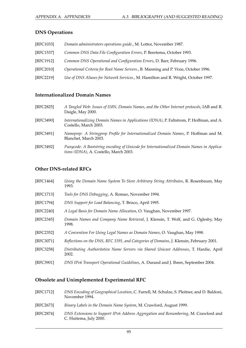### **DNS Operations**

| [RFC1033] | Domain administrators operations guide., M. Lottor, November 1987.                  |
|-----------|-------------------------------------------------------------------------------------|
| [RFC1537] | Common DNS Data File Configuration Errors, P. Beertema, October 1993.               |
| [RFC1912] | Common DNS Operational and Configuration Errors, D. Barr, February 1996.            |
| [RFC2010] | Operational Criteria for Root Name Servers., B. Manning and P. Vixie, October 1996. |
| [RFC2219] | Use of DNS Aliases for Network Services., M. Hamilton and R. Wright, October 1997.  |

## **Internationalized Domain Names**

| [RFC2825] | A Tangled Web: Issues of I18N, Domain Names, and the Other Internet protocols, IAB and R.<br>Daigle, May 2000.                      |
|-----------|-------------------------------------------------------------------------------------------------------------------------------------|
| [RFC3490] | Internationalizing Domain Names in Applications (IDNA), P. Faltstrom, P. Hoffman, and A.<br>Costello, March 2003.                   |
| [RFC3491] | Nameprep: A Stringprep Profile for Internationalized Domain Names, P. Hoffman and M.<br>Blanchet, March 2003.                       |
| [RFC3492] | Punycode: A Bootstring encoding of Unicode for Internationalized Domain Names in Applica-<br>tions (IDNA), A. Costello, March 2003. |

# **Other DNS-related RFCs**

- [RFC1464] *Using the Domain Name System To Store Arbitrary String Attributes*, R. Rosenbaum, May 1993.
- [RFC1713] *Tools for DNS Debugging*, A. Romao, November 1994.
- [RFC1794] *DNS Support for Load Balancing*, T. Brisco, April 1995.
- [RFC2240] *A Legal Basis for Domain Name Allocation*, O. Vaughan, November 1997.
- [RFC2345] *Domain Names and Company Name Retrieval*, J. Klensin, T. Wolf, and G. Oglesby, May 1998.
- [RFC2352] *A Convention For Using Legal Names as Domain Names*, O. Vaughan, May 1998.
- [RFC3071] *Reflections on the DNS, RFC 1591, and Categories of Domains*, J. Klensin, February 2001.
- [RFC3258] *Distributing Authoritative Name Servers via Shared Unicast Addresses*, T. Hardie, April 2002.
- [RFC3901] *DNS IPv6 Transport Operational Guidelines*, A. Durand and J. Ihren, September 2004.

#### **Obsolete and Unimplemented Experimental RFC**

- [RFC1712] *DNS Encoding of Geographical Location*, C. Farrell, M. Schulze, S. Pleitner, and D. Baldoni, November 1994.
- [RFC2673] *Binary Labels in the Domain Name System*, M. Crawford, August 1999.
- [RFC2874] *DNS Extensions to Support IPv6 Address Aggregation and Renumbering*, M. Crawford and C. Huitema, July 2000.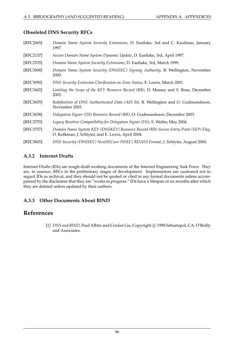#### **Obsoleted DNS Security RFCs**

| [RFC2065] | Domain Name System Security Extensions, D. Eastlake, 3rd and C. Kaufman, January<br>1997.                                                 |
|-----------|-------------------------------------------------------------------------------------------------------------------------------------------|
| [RFC2137] | Secure Domain Name System Dynamic Update, D. Eastlake, 3rd, April 1997.                                                                   |
| [RFC2535] | Domain Name System Security Extensions, D. Eastlake, 3rd, March 1999.                                                                     |
| [RFC3008] | Domain Name System Security (DNSSEC) Signing Authority, B. Wellington, November<br>2000.                                                  |
| [RFC3090] | DNS Security Extension Clarification on Zone Status, E. Lewis, March 2001.                                                                |
| [RFC3445] | Limiting the Scope of the KEY Resource Record (RR), D. Massey and S. Rose, December<br>2002.                                              |
| [RFC3655] | Redefinition of DNS Authenticated Data (AD) bit, B. Wellington and O. Gudmundsson,<br>November 2003.                                      |
| [RFC3658] | Delegation Signer (DS) Resource Record (RR), O. Gudmundsson, December 2003.                                                               |
| [RFC3755] | Legacy Resolver Compatibility for Delegation Signer (DS), S. Weiler, May 2004.                                                            |
| [RFC3757] | Domain Name System KEY (DNSKEY) Resource Record (RR) Secure Entry Point (SEP) Flag,<br>O. Kolkman, J. Schlyter, and E. Lewis, April 2004. |
| [RFC3845] | DNS Security (DNSSEC) NextSECure (NSEC) RDATA Format, J. Schlyter, August 2004.                                                           |

# **A.3.2 Internet Drafts**

Internet Drafts (IDs) are rough-draft working documents of the Internet Engineering Task Force. They are, in essence, RFCs in the preliminary stages of development. Implementors are cautioned not to regard IDs as archival, and they should not be quoted or cited in any formal documents unless accompanied by the disclaimer that they are "works in progress." IDs have a lifespan of six months after which they are deleted unless updated by their authors.

# **A.3.3 Other Documents About BIND**

# **References**

[1] *DNS and BIND*, Paul Albitz and Cricket Liu, Copyright © 1998 Sebastopol, CA: O'Reilly and Associates.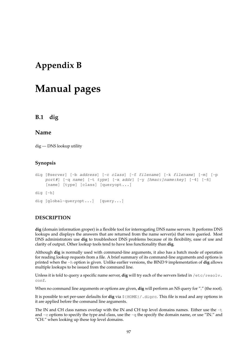# **Appendix B**

# **Manual pages**

## **B.1 dig**

#### **Name**

dig — DNS lookup utility

#### **Synopsis**

```
dig [@server] [-b address] [-c class] [-f filename] [-k filename] [-m] [-p
    port#] [-q name] [-t type] [-x addr] [-y] [hmac: ]name:key] [-4] [-6][name] [type] [class] [queryopt...]
dig [-h]
dig [global-queryopt...] [query...]
```
#### **DESCRIPTION**

**dig** (domain information groper) is a flexible tool for interrogating DNS name servers. It performs DNS lookups and displays the answers that are returned from the name server(s) that were queried. Most DNS administrators use **dig** to troubleshoot DNS problems because of its flexibility, ease of use and clarity of output. Other lookup tools tend to have less functionality than **dig**.

Although **dig** is normally used with command-line arguments, it also has a batch mode of operation for reading lookup requests from a file. A brief summary of its command-line arguments and options is printed when the -h option is given. Unlike earlier versions, the BIND 9 implementation of **dig** allows multiple lookups to be issued from the command line.

Unless it is told to query a specific name server, **dig** will try each of the servers listed in /etc/resolv. conf.

When no command line arguments or options are given, **dig** will perform an NS query for "." (the root).

It is possible to set per-user defaults for **dig** via  $\frac{1}{2}$  {HOME}/.digrc. This file is read and any options in it are applied before the command line arguments.

The IN and CH class names overlap with the IN and CH top level domains names. Either use the -t and  $-c$  options to specify the type and class, use the  $-q$  the specify the domain name, or use "IN." and "CH." when looking up these top level domains.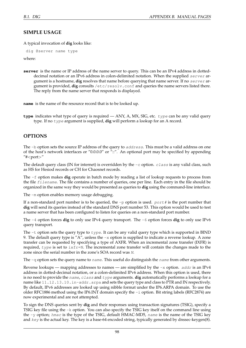#### **SIMPLE USAGE**

A typical invocation of **dig** looks like:

dig @server name type

where:

**server** is the name or IP address of the name server to query. This can be an IPv4 address in dotteddecimal notation or an IPv6 address in colon-delimited notation. When the supplied server argument is a hostname, **dig** resolves that name before querying that name server. If no server argument is provided, **dig** consults /etc/resolv.conf and queries the name servers listed there. The reply from the name server that responds is displayed.

**name** is the name of the resource record that is to be looked up.

**type** indicates what type of query is required — ANY, A, MX, SIG, etc. type can be any valid query type. If no type argument is supplied, **dig** will perform a lookup for an A record.

## **OPTIONS**

The  $-b$  option sets the source IP address of the query to *address*. This must be a valid address on one of the host's network interfaces or "0.0.0.0" or "::". An optional port may be specified by appending "#<port>"

The default query class (IN for internet) is overridden by the  $-c$  option.  $\text{class}$  is any valid class, such as HS for Hesiod records or CH for Chaosnet records.

The -f option makes **dig** operate in batch mode by reading a list of lookup requests to process from the file  $f$ ilename. The file contains a number of queries, one per line. Each entry in the file should be organized in the same way they would be presented as queries to **dig** using the command-line interface.

The -m option enables memory usage debugging.

If a non-standard port number is to be queried, the  $-p$  option is used.  $port#$  is the port number that **dig** will send its queries instead of the standard DNS port number 53. This option would be used to test a name server that has been configured to listen for queries on a non-standard port number.

The -4 option forces **dig** to only use IPv4 query transport. The -6 option forces **dig** to only use IPv6 query transport.

The  $-t$  option sets the query type to  $type$ . It can be any valid query type which is supported in BIND 9. The default query type is "A", unless the  $-x$  option is supplied to indicate a reverse lookup. A zone transfer can be requested by specifying a type of AXFR. When an incremental zone transfer (IXFR) is required,  $type$  is set to  $ixfr=N$ . The incremental zone transfer will contain the changes made to the zone since the serial number in the zone's SOA record was N.

The  $-q$  option sets the query name to *name*. This useful do distinguish the *name* from other arguments.

Reverse lookups — mapping addresses to names — are simplified by the  $-x$  option.  $\alpha$ ddr is an IPv4 address in dotted-decimal notation, or a colon-delimited IPv6 address. When this option is used, there is no need to provide the name, class and type arguments. **dig** automatically performs a lookup for a name like 11.12.13.10.in-addr.arpa and sets the query type and class to PTR and IN respectively. By default, IPv6 addresses are looked up using nibble format under the IP6.ARPA domain. To use the older RFC1886 method using the IP6.INT domain specify the -i option. Bit string labels (RFC2874) are now experimental and are not attempted.

To sign the DNS queries sent by **dig** and their responses using transaction signatures (TSIG), specify a TSIG key file using the  $-k$  option. You can also specify the TSIG key itself on the command line using the -y option; hmac is the type of the TSIG, default HMAC-MD5, name is the name of the TSIG key and  $key$  is the actual key. The key is a base-64 encoded string, typically generated by dnssec-keygen(8).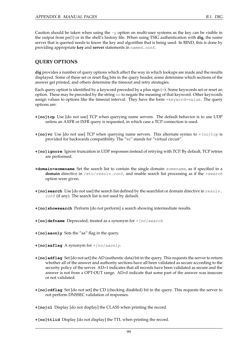Caution should be taken when using the  $-y$  option on multi-user systems as the key can be visible in the output from ps(1) or in the shell's history file. When using TSIG authentication with **dig**, the name server that is queried needs to know the key and algorithm that is being used. In BIND, this is done by providing appropriate **key** and **server** statements in named.conf.

### **QUERY OPTIONS**

**dig** provides a number of query options which affect the way in which lookups are made and the results displayed. Some of these set or reset flag bits in the query header, some determine which sections of the answer get printed, and others determine the timeout and retry strategies.

Each query option is identified by a keyword preceded by a plus sign (+). Some keywords set or reset an option. These may be preceded by the string no to negate the meaning of that keyword. Other keywords assign values to options like the timeout interval. They have the form +keyword=value. The query options are:

- **+[no]tcp** Use [do not use] TCP when querying name servers. The default behavior is to use UDP unless an AXFR or IXFR query is requested, in which case a TCP connection is used.
- **+[no]vc** Use [do not use] TCP when querying name servers. This alternate syntax to  $+$ [no]tcp is provided for backwards compatibility. The "vc" stands for "virtual circuit".
- **+[no]ignore** Ignore truncation in UDP responses instead of retrying with TCP. By default, TCP retries are performed.
- **+domain=somename** Set the search list to contain the single domain somename, as if specified in a domain directive in /etc/resolv.conf, and enable search list processing as if the +search option were given.
- **+[no]search** Use [do not use] the search list defined by the searchlist or domain directive in resolv. conf (if any). The search list is not used by default.
- **+[no]showsearch** Perform [do not perform] a search showing intermediate results.
- **+[no]defname** Deprecated, treated as a synonym for +[no]search
- **+[no]aaonly** Sets the "aa" flag in the query.
- **+[no]aaflag** A synonym for +[no]aaonly.
- **+[no]adflag** Set [do not set] the AD (authentic data) bit in the query. This requests the server to return whether all of the answer and authority sections have all been validated as secure according to the security policy of the server. AD=1 indicates that all records have been validated as secure and the answer is not from a OPT-OUT range. AD=0 indicate that some part of the answer was insecure or not validated.
- **+[no]cdflag** Set [do not set] the CD (checking disabled) bit in the query. This requests the server to not perform DNSSEC validation of responses.

**+[no]cl** Display [do not display] the CLASS when printing the record.

**+[no]ttlid** Display [do not display] the TTL when printing the record.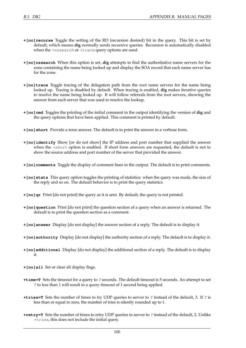- **+[no]recurse** Toggle the setting of the RD (recursion desired) bit in the query. This bit is set by default, which means **dig** normally sends recursive queries. Recursion is automatically disabled when the  $+n$ ssearch or  $+$ trace query options are used.
- **+[no]nssearch** When this option is set, **dig** attempts to find the authoritative name servers for the zone containing the name being looked up and display the SOA record that each name server has for the zone.
- **+[no]trace** Toggle tracing of the delegation path from the root name servers for the name being looked up. Tracing is disabled by default. When tracing is enabled, **dig** makes iterative queries to resolve the name being looked up. It will follow referrals from the root servers, showing the answer from each server that was used to resolve the lookup.
- **+[no]cmd** Toggles the printing of the initial comment in the output identifying the version of **dig** and the query options that have been applied. This comment is printed by default.
- **+[no]short** Provide a terse answer. The default is to print the answer in a verbose form.
- **+[no]identify** Show [or do not show] the IP address and port number that supplied the answer when the  $+short$  option is enabled. If short form answers are requested, the default is not to show the source address and port number of the server that provided the answer.
- **+[no]comments** Toggle the display of comment lines in the output. The default is to print comments.
- **+[no]stats** This query option toggles the printing of statistics: when the query was made, the size of the reply and so on. The default behavior is to print the query statistics.
- **+[no]qr** Print [do not print] the query as it is sent. By default, the query is not printed.
- **+[no]question** Print [do not print] the question section of a query when an answer is returned. The default is to print the question section as a comment.
- **+[no]answer** Display [do not display] the answer section of a reply. The default is to display it.
- **+[no]authority** Display [do not display] the authority section of a reply. The default is to display it.
- **+[no]additional** Display [do not display] the additional section of a reply. The default is to display it.
- **+[no]all** Set or clear all display flags.
- **+time=T** Sets the timeout for a query to T seconds. The default timeout is 5 seconds. An attempt to set T to less than 1 will result in a query timeout of 1 second being applied.
- **+tries=T** Sets the number of times to try UDP queries to server to T instead of the default, 3. If T is less than or equal to zero, the number of tries is silently rounded up to 1.
- **+retry=T** Sets the number of times to retry UDP queries to server to T instead of the default, 2. Unlike  $t$ tries, this does not include the initial query.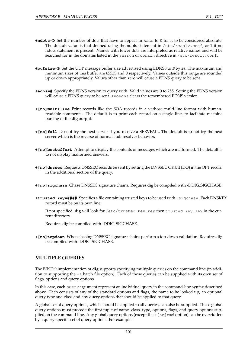- **+ndots=D** Set the number of dots that have to appear in name to D for it to be considered absolute. The default value is that defined using the ndots statement in /etc/resolv.conf, or 1 if no ndots statement is present. Names with fewer dots are interpreted as relative names and will be searched for in the domains listed in the search or domain directive in /etc/resolv.conf.
- **+bufsize=B** Set the UDP message buffer size advertised using EDNS0 to B bytes. The maximum and minimum sizes of this buffer are 65535 and 0 respectively. Values outside this range are rounded up or down appropriately. Values other than zero will cause a EDNS query to be sent.
- **+edns=#** Specify the EDNS version to query with. Valid values are 0 to 255. Setting the EDNS version will cause a EDNS query to be sent. +noedns clears the remembered EDNS version.
- **+[no]multiline** Print records like the SOA records in a verbose multi-line format with humanreadable comments. The default is to print each record on a single line, to facilitate machine parsing of the **dig** output.
- **+[no]fail** Do not try the next server if you receive a SERVFAIL. The default is to not try the next server which is the reverse of normal stub resolver behavior.
- **+[no]besteffort** Attempt to display the contents of messages which are malformed. The default is to not display malformed answers.
- **+[no]dnssec** Requests DNSSEC records be sent by setting the DNSSEC OK bit (DO) in the OPT record in the additional section of the query.
- **+[no]sigchase** Chase DNSSEC signature chains. Requires dig be compiled with -DDIG SIGCHASE.
- **+trusted-key=####** Specifies a file containing trusted keys to be used with +sigchase. Each DNSKEY record must be on its own line.
	- If not specified, **dig** will look for /etc/trusted-key.key then trusted-key.key in the current directory.
	- Requires dig be compiled with -DDIG SIGCHASE.
- **+[no]topdown** When chasing DNSSEC signature chains perform a top-down validation. Requires dig be compiled with -DDIG SIGCHASE.

#### **MULTIPLE QUERIES**

The BIND 9 implementation of **dig** supports specifying multiple queries on the command line (in addition to supporting the -f batch file option). Each of those queries can be supplied with its own set of flags, options and query options.

In this case, each query argument represent an individual query in the command-line syntax described above. Each consists of any of the standard options and flags, the name to be looked up, an optional query type and class and any query options that should be applied to that query.

A global set of query options, which should be applied to all queries, can also be supplied. These global query options must precede the first tuple of name, class, type, options, flags, and query options supplied on the command line. Any global query options (except the + [no] cmd option) can be overridden by a query-specific set of query options. For example: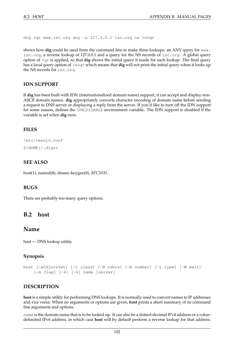dig +qr www.isc.org any -x 127.0.0.1 isc.org ns +noqr

shows how **dig** could be used from the command line to make three lookups: an ANY query for www. isc.org, a reverse lookup of 127.0.0.1 and a query for the NS records of isc.org. A global query option of  $+q\tau$  is applied, so that **dig** shows the initial query it made for each lookup. The final query has a local query option of +noqr which means that **dig** will not print the initial query when it looks up the NS records for isc.org.

#### **IDN SUPPORT**

If **dig** has been built with IDN (internationalized domain name) support, it can accept and display non-ASCII domain names. **dig** appropriately converts character encoding of domain name before sending a request to DNS server or displaying a reply from the server. If you'd like to turn off the IDN support for some reason, defines the IDN DISABLE environment variable. The IDN support is disabled if the variable is set when **dig** runs.

#### **FILES**

```
/etc/resolv.conf
${HOME}/.digrc
```
## **SEE ALSO**

host(1), named(8), dnssec-keygen(8), *RFC1035*.

#### **BUGS**

There are probably too many query options.

# **B.2 host**

#### **Name**

host — DNS lookup utility

#### **Synopsis**

```
host [-aCdlnrsTwv] [-c class] [-N ndots] [-R number] [-t type] [-W wait]
    [-m \; flag] [-4] [-6] name [server]
```
#### **DESCRIPTION**

**host** is a simple utility for performing DNS lookups. It is normally used to convert names to IP addresses and vice versa. When no arguments or options are given, **host** prints a short summary of its command line arguments and options.

name is the domain name that is to be looked up. It can also be a dotted-decimal IPv4 address or a colondelimited IPv6 address, in which case **host** will by default perform a reverse lookup for that address.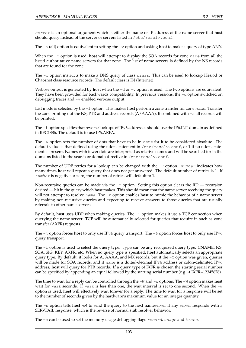server is an optional argument which is either the name or IP address of the name server that **host** should query instead of the server or servers listed in /etc/resolv.conf.

The -a (all) option is equivalent to setting the -v option and asking **host** to make a query of type ANY.

When the  $-C$  option is used, **host** will attempt to display the SOA records for zone name from all the listed authoritative name servers for that zone. The list of name servers is defined by the NS records that are found for the zone.

The  $-c$  option instructs to make a DNS query of class *class*. This can be used to lookup Hesiod or Chaosnet class resource records. The default class is IN (Internet).

Verbose output is generated by **host** when the  $-d$  or  $-v$  option is used. The two options are equivalent. They have been provided for backwards compatibility. In previous versions, the -d option switched on debugging traces and  $-v$  enabled verbose output.

List mode is selected by the -l option. This makes **host** perform a zone transfer for zone name. Transfer the zone printing out the NS, PTR and address records  $(A/AAAA)$ . If combined with  $-a$  all records will be printed.

The -i option specifies that reverse lookups of IPv6 addresses should use the IP6.INT domain as defined in RFC1886. The default is to use IP6.ARPA.

The  $-N$  option sets the number of dots that have to be in name for it to be considered absolute. The default value is that defined using the ndots statement in /etc/resolv.conf, or 1 if no ndots statement is present. Names with fewer dots are interpreted as relative names and will be searched for in the domains listed in the search or domain directive in /etc/resolv.conf.

The number of UDP retries for a lookup can be changed with the  $-R$  option. *number* indicates how many times **host** will repeat a query that does not get answered. The default number of retries is 1. If number is negative or zero, the number of retries will default to 1.

Non-recursive queries can be made via the  $-r$  option. Setting this option clears the RD — recursion desired — bit in the query which **host** makes. This should mean that the name server receiving the query will not attempt to resolve name. The -r option enables **host** to mimic the behavior of a name server by making non-recursive queries and expecting to receive answers to those queries that are usually referrals to other name servers.

By default, **host** uses UDP when making queries. The -T option makes it use a TCP connection when querying the name server. TCP will be automatically selected for queries that require it, such as zone transfer (AXFR) requests.

The -4 option forces **host** to only use IPv4 query transport. The -6 option forces **host** to only use IPv6 query transport.

The  $-t$  option is used to select the query type.  $type$  can be any recognized query type: CNAME, NS, SOA, SIG, KEY, AXFR, etc. When no query type is specified, **host** automatically selects an appropriate query type. By default, it looks for A, AAAA, and MX records, but if the -C option was given, queries will be made for SOA records, and if name is a dotted-decimal IPv4 address or colon-delimited IPv6 address, **host** will query for PTR records. If a query type of IXFR is chosen the starting serial number can be specified by appending an equal followed by the starting serial number (e.g. -t IXFR=12345678).

The time to wait for a reply can be controlled through the  $-\mathbb{W}$  and  $-\mathbb{W}$  options. The  $-\mathbb{W}$  option makes **host** wait for wait seconds. If wait is less than one, the wait interval is set to one second. When the  $-w$ option is used, **host** will effectively wait forever for a reply. The time to wait for a response will be set to the number of seconds given by the hardware's maximum value for an integer quantity.

The -s option tells **host** *not* to send the query to the next nameserver if any server responds with a SERVFAIL response, which is the reverse of normal stub resolver behavior.

The  $-m$  can be used to set the memory usage debugging flags record, usage and trace.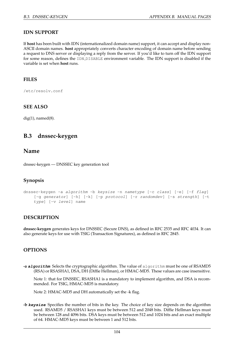#### **IDN SUPPORT**

If **host** has been built with IDN (internationalized domain name) support, it can accept and display non-ASCII domain names. **host** appropriately converts character encoding of domain name before sending a request to DNS server or displaying a reply from the server. If you'd like to turn off the IDN support for some reason, defines the IDN DISABLE environment variable. The IDN support is disabled if the variable is set when **host** runs.

#### **FILES**

/etc/resolv.conf

#### **SEE ALSO**

 $dig(1)$ , named $(8)$ .

# **B.3 dnssec-keygen**

## **Name**

dnssec-keygen — DNSSEC key generation tool

#### **Synopsis**

```
dnssec-keygen -a algorithm -b keysize -n nametype [-c class] [-e] [-f flag]
    [-g generator] [-h] [-k] [-p protocol] [-r randomdev] [-s strength] [-t
    type] [-v level] name
```
#### **DESCRIPTION**

**dnssec-keygen** generates keys for DNSSEC (Secure DNS), as defined in RFC 2535 and RFC 4034. It can also generate keys for use with TSIG (Transaction Signatures), as defined in RFC 2845.

#### **OPTIONS**

**-a algorithm** Selects the cryptographic algorithm. The value of algorithm must be one of RSAMD5 (RSA) or RSASHA1, DSA, DH (Diffie Hellman), or HMAC-MD5. These values are case insensitive.

Note 1: that for DNSSEC, RSASHA1 is a mandatory to implement algorithm, and DSA is recommended. For TSIG, HMAC-MD5 is mandatory.

Note 2: HMAC-MD5 and DH automatically set the -k flag.

**-b keysize** Specifies the number of bits in the key. The choice of key size depends on the algorithm used. RSAMD5 / RSASHA1 keys must be between 512 and 2048 bits. Diffie Hellman keys must be between 128 and 4096 bits. DSA keys must be between 512 and 1024 bits and an exact multiple of 64. HMAC-MD5 keys must be between 1 and 512 bits.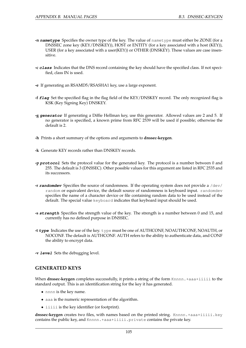- **-n nametype** Specifies the owner type of the key. The value of nametype must either be ZONE (for a DNSSEC zone key (KEY/DNSKEY)), HOST or ENTITY (for a key associated with a host (KEY)), USER (for a key associated with a user(KEY)) or OTHER (DNSKEY). These values are case insensitive.
- **-c class** Indicates that the DNS record containing the key should have the specified class. If not specified, class IN is used.
- **-e** If generating an RSAMD5/RSASHA1 key, use a large exponent.
- **-f flag** Set the specified flag in the flag field of the KEY/DNSKEY record. The only recognized flag is KSK (Key Signing Key) DNSKEY.
- **-g generator** If generating a Diffie Hellman key, use this generator. Allowed values are 2 and 5. If no generator is specified, a known prime from RFC 2539 will be used if possible; otherwise the default is 2.
- **-h** Prints a short summary of the options and arguments to **dnssec-keygen**.
- **-k** Generate KEY records rather than DNSKEY records.
- **-p protocol** Sets the protocol value for the generated key. The protocol is a number between 0 and 255. The default is 3 (DNSSEC). Other possible values for this argument are listed in RFC 2535 and its successors.
- **-r randomdev** Specifies the source of randomness. If the operating system does not provide a /dev/ random or equivalent device, the default source of randomness is keyboard input. randomdev specifies the name of a character device or file containing random data to be used instead of the default. The special value keyboard indicates that keyboard input should be used.
- **-s strength** Specifies the strength value of the key. The strength is a number between 0 and 15, and currently has no defined purpose in DNSSEC.
- **-t type** Indicates the use of the key. type must be one of AUTHCONF, NOAUTHCONF, NOAUTH, or NOCONF. The default is AUTHCONF. AUTH refers to the ability to authenticate data, and CONF the ability to encrypt data.
- **-v level** Sets the debugging level.

#### **GENERATED KEYS**

When **dnssec-keygen** completes successfully, it prints a string of the form Knnnn.+aaa+iiiii to the standard output. This is an identification string for the key it has generated.

- nnnn is the key name.
- aaa is the numeric representation of the algorithm.
- iiiii is the key identifier (or footprint).

dnssec-keygen creates two files, with names based on the printed string. Knnnn.+aaa+iiiii.key contains the public key, and Knnnn.+aaa+iiiii.private contains the private key.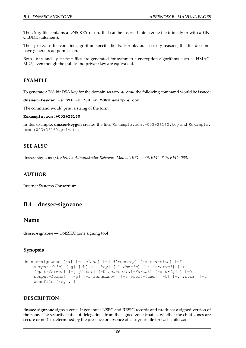The .key file contains a DNS KEY record that can be inserted into a zone file (directly or with a \$IN-CLUDE statement).

The .private file contains algorithm-specific fields. For obvious security reasons, this file does not have general read permission.

Both .key and .private files are generated for symmetric encryption algorithms such as HMAC-MD5, even though the public and private key are equivalent.

#### **EXAMPLE**

To generate a 768-bit DSA key for the domain **example.com**, the following command would be issued:

**dnssec-keygen -a DSA -b 768 -n ZONE example.com**

The command would print a string of the form:

**Kexample.com.+003+26160**

In this example, **dnssec-keygen** creates the files Kexample.com.+003+26160.key and Kexample. com.+003+26160.private.

#### **SEE ALSO**

dnssec-signzone(8), *BIND 9 Administrator Reference Manual*, *RFC 2539*, *RFC 2845*, *RFC 4033*.

#### **AUTHOR**

Internet Systems Consortium

# **B.4 dnssec-signzone**

## **Name**

dnssec-signzone — DNSSEC zone signing tool

#### **Synopsis**

```
dnssec-signzone [-a] [-c class] [-d directory] [-e end-time] [-f
    output-file] [-g] [-h] [-k key] [-l domain] [-i interval] [-I
    input-format] [-j jitter] [-N soa-serial-format] [-o origin] [-O
    output-format] [-p] [-r randomdev] [-s start-time] [-t] [-v level] [-z]
    zonefile [key...]
```
#### **DESCRIPTION**

**dnssec-signzone** signs a zone. It generates NSEC and RRSIG records and produces a signed version of the zone. The security status of delegations from the signed zone (that is, whether the child zones are secure or not) is determined by the presence or absence of a keyset file for each child zone.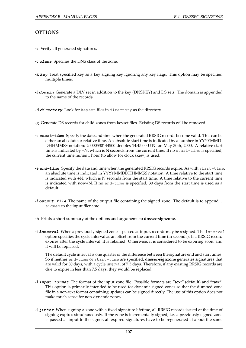#### **OPTIONS**

- **-a** Verify all generated signatures.
- **-c class** Specifies the DNS class of the zone.
- **-k key** Treat specified key as a key signing key ignoring any key flags. This option may be specified multiple times.
- **-l domain** Generate a DLV set in addition to the key (DNSKEY) and DS sets. The domain is appended to the name of the records.
- **-d directory** Look for keyset files in directory as the directory
- **-g** Generate DS records for child zones from keyset files. Existing DS records will be removed.
- **-s start-time** Specify the date and time when the generated RRSIG records become valid. This can be either an absolute or relative time. An absolute start time is indicated by a number in YYYYMMD-DHHMMSS notation; 20000530144500 denotes 14:45:00 UTC on May 30th, 2000. A relative start time is indicated by  $+N$ , which is N seconds from the current time. If no start-time is specified, the current time minus 1 hour (to allow for clock skew) is used.
- **-e end-time** Specify the date and time when the generated RRSIG records expire. As with start-time, an absolute time is indicated in YYYYMMDDHHMMSS notation. A time relative to the start time is indicated with +N, which is N seconds from the start time. A time relative to the current time is indicated with now+N. If no end-time is specified, 30 days from the start time is used as a default.
- **-f output-file** The name of the output file containing the signed zone. The default is to append . signed to the input filename.
- **-h** Prints a short summary of the options and arguments to **dnssec-signzone**.
- **-i interval** When a previously-signed zone is passed as input, records may be resigned. The interval option specifies the cycle interval as an offset from the current time (in seconds). If a RRSIG record expires after the cycle interval, it is retained. Otherwise, it is considered to be expiring soon, and it will be replaced.

The default cycle interval is one quarter of the difference between the signature end and start times. So if neither end-time or start-time are specified, **dnssec-signzone** generates signatures that are valid for 30 days, with a cycle interval of 7.5 days. Therefore, if any existing RRSIG records are due to expire in less than 7.5 days, they would be replaced.

- **-I input-format** The format of the input zone file. Possible formats are **"text"** (default) and **"raw"**. This option is primarily intended to be used for dynamic signed zones so that the dumped zone file in a non-text format containing updates can be signed directly. The use of this option does not make much sense for non-dynamic zones.
- **-j jitter** When signing a zone with a fixed signature lifetime, all RRSIG records issued at the time of signing expires simultaneously. If the zone is incrementally signed, i.e. a previously-signed zone is passed as input to the signer, all expired signatures have to be regenerated at about the same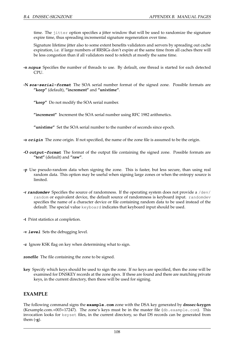time. The jitter option specifies a jitter window that will be used to randomize the signature expire time, thus spreading incremental signature regeneration over time.

Signature lifetime jitter also to some extent benefits validators and servers by spreading out cache expiration, i.e. if large numbers of RRSIGs don't expire at the same time from all caches there will be less congestion than if all validators need to refetch at mostly the same time.

- **-n ncpus** Specifies the number of threads to use. By default, one thread is started for each detected  $CPII$
- **-N soa-serial-format** The SOA serial number format of the signed zone. Possible formats are **"keep"** (default), **"increment"** and **"unixtime"**.

**"keep"** Do not modify the SOA serial number.

**"increment"** Increment the SOA serial number using RFC 1982 arithmetics.

**"unixtime"** Set the SOA serial number to the number of seconds since epoch.

- **-o origin** The zone origin. If not specified, the name of the zone file is assumed to be the origin.
- **-O output-format** The format of the output file containing the signed zone. Possible formats are **"text"** (default) and **"raw"**.
- **-p** Use pseudo-random data when signing the zone. This is faster, but less secure, than using real random data. This option may be useful when signing large zones or when the entropy source is limited.
- **-r randomdev** Specifies the source of randomness. If the operating system does not provide a /dev/ random or equivalent device, the default source of randomness is keyboard input. randomdev specifies the name of a character device or file containing random data to be used instead of the default. The special value keyboard indicates that keyboard input should be used.
- **-t** Print statistics at completion.
- **-v level** Sets the debugging level.
- **-z** Ignore KSK flag on key when determining what to sign.

**zonefile** The file containing the zone to be signed.

**key** Specify which keys should be used to sign the zone. If no keys are specified, then the zone will be examined for DNSKEY records at the zone apex. If these are found and there are matching private keys, in the current directory, then these will be used for signing.

#### **EXAMPLE**

The following command signs the **example.com** zone with the DSA key generated by **dnssec-keygen** (Kexample.com.+003+17247). The zone's keys must be in the master file (db.example.com). This invocation looks for keyset files, in the current directory, so that DS records can be generated from them (**-g**).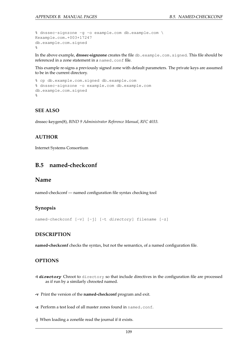```
% dnssec-signzone -g -o example.com db.example.com \
Kexample.com.+003+17247
db.example.com.signed
\frac{6}{10}
```
In the above example, **dnssec-signzone** creates the file db.example.com.signed. This file should be referenced in a zone statement in a named.conf file.

This example re-signs a previously signed zone with default parameters. The private keys are assumed to be in the current directory.

```
% cp db.example.com.signed db.example.com
% dnssec-signzone -o example.com db.example.com
db.example.com.signed
\approx
```
### **SEE ALSO**

dnssec-keygen(8), *BIND 9 Administrator Reference Manual*, *RFC 4033*.

## **AUTHOR**

Internet Systems Consortium

## **B.5 named-checkconf**

### **Name**

named-checkconf — named configuration file syntax checking tool

### **Synopsis**

named-checkconf [-v] [-j] [-t directory] filename [-z]

### **DESCRIPTION**

**named-checkconf** checks the syntax, but not the semantics, of a named configuration file.

### **OPTIONS**

- **-t directory** Chroot to directory so that include directives in the configuration file are processed as if run by a similarly chrooted named.
- **-v** Print the version of the **named-checkconf** program and exit.
- **-z** Perform a test load of all master zones found in named.conf.
- **-j** When loading a zonefile read the journal if it exists.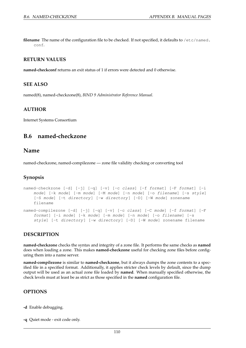**filename** The name of the configuration file to be checked. If not specified, it defaults to /etc/named. conf.

### **RETURN VALUES**

**named-checkconf** returns an exit status of 1 if errors were detected and 0 otherwise.

### **SEE ALSO**

named(8), named-checkzone(8), *BIND 9 Administrator Reference Manual*.

### **AUTHOR**

Internet Systems Consortium

## **B.6 named-checkzone**

## **Name**

named-checkzone, named-compilezone — zone file validity checking or converting tool

### **Synopsis**

```
named-checkzone [-d] [-j] [-q] [-v] [-c class] [-f format] [-F format] [-i
    mode] [-k mode] [-m mode] [-M mode] [-n mode] [-o filename] [-s style]
    [-S mode] [-t directory] [-w directory] [-D] [-W mode] zonename
    filename
named-compilezone [-d] [-j] [-q] [-v] [-c class] [-C mode] [-f format] [-F
    format] [-i mode] [-k mode] [-m mode] [-n mode] [-o filename] [-s
    style] [-t directory] [-w directory] [-D] [-W mode] zonename filename
```
### **DESCRIPTION**

**named-checkzone** checks the syntax and integrity of a zone file. It performs the same checks as **named** does when loading a zone. This makes **named-checkzone** useful for checking zone files before configuring them into a name server.

**named-compilezone** is similar to **named-checkzone**, but it always dumps the zone contents to a specified file in a specified format. Additionally, it applies stricter check levels by default, since the dump output will be used as an actual zone file loaded by **named**. When manually specified otherwise, the check levels must at least be as strict as those specified in the **named** configuration file.

### **OPTIONS**

- **-d** Enable debugging.
- **-q** Quiet mode exit code only.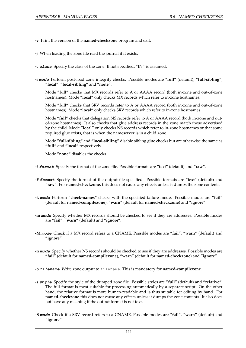- **-v** Print the version of the **named-checkzone** program and exit.
- **-j** When loading the zone file read the journal if it exists.
- **-c class** Specify the class of the zone. If not specified, "IN" is assumed.
- **-i mode** Perform post-load zone integrity checks. Possible modes are **"full"** (default), **"full-sibling"**, **"local"**, **"local-sibling"** and **"none"**.

Mode "full" checks that MX records refer to A or AAAA record (both in-zone and out-of-zone hostnames). Mode **"local"** only checks MX records which refer to in-zone hostnames.

Mode **"full"** checks that SRV records refer to A or AAAA record (both in-zone and out-of-zone hostnames). Mode **"local"** only checks SRV records which refer to in-zone hostnames.

Mode **"full"** checks that delegation NS records refer to A or AAAA record (both in-zone and outof-zone hostnames). It also checks that glue address records in the zone match those advertised by the child. Mode **"local"** only checks NS records which refer to in-zone hostnames or that some required glue exists, that is when the nameserver is in a child zone.

Mode **"full-sibling"** and **"local-sibling"** disable sibling glue checks but are otherwise the same as **"full"** and **"local"** respectively.

Mode **"none"** disables the checks.

- **-f format** Specify the format of the zone file. Possible formats are **"text"** (default) and **"raw"**.
- **-F format** Specify the format of the output file specified. Possible formats are **"text"** (default) and **"raw"**. For **named-checkzone**, this does not cause any effects unless it dumps the zone contents.
- **-k mode** Perform **"check-names"** checks with the specified failure mode. Possible modes are **"fail"** (default for **named-compilezone**), **"warn"** (default for **named-checkzone**) and **"ignore"**.
- **-m mode** Specify whether MX records should be checked to see if they are addresses. Possible modes are **"fail"**, **"warn"** (default) and **"ignore"**.
- **-M mode** Check if a MX record refers to a CNAME. Possible modes are **"fail"**, **"warn"** (default) and **"ignore"**.
- **-n mode** Specify whether NS records should be checked to see if they are addresses. Possible modes are **"fail"** (default for **named-compilezone**), **"warn"** (default for **named-checkzone**) and **"ignore"**.

**-o filename** Write zone output to filename. This is mandatory for **named-compilezone**.

- **-s style** Specify the style of the dumped zone file. Possible styles are **"full"** (default) and **"relative"**. The full format is most suitable for processing automatically by a separate script. On the other hand, the relative format is more human-readable and is thus suitable for editing by hand. For **named-checkzone** this does not cause any effects unless it dumps the zone contents. It also does not have any meaning if the output format is not text.
- **-S mode** Check if a SRV record refers to a CNAME. Possible modes are **"fail"**, **"warn"** (default) and **"ignore"**.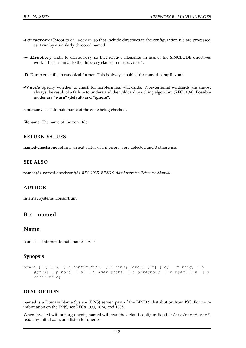- **-t directory** Chroot to directory so that include directives in the configuration file are processed as if run by a similarly chrooted named.
- **-w directory** chdir to directory so that relative filenames in master file \$INCLUDE directives work. This is similar to the directory clause in named.conf.
- **-D** Dump zone file in canonical format. This is always enabled for **named-compilezone**.
- **-W mode** Specify whether to check for non-terminal wildcards. Non-terminal wildcards are almost always the result of a failure to understand the wildcard matching algorithm (RFC 1034). Possible modes are **"warn"** (default) and **"ignore"**.

**zonename** The domain name of the zone being checked.

**filename** The name of the zone file.

### **RETURN VALUES**

**named-checkzone** returns an exit status of 1 if errors were detected and 0 otherwise.

### **SEE ALSO**

named(8), named-checkconf(8), *RFC 1035*, *BIND 9 Administrator Reference Manual*.

### **AUTHOR**

Internet Systems Consortium

# **B.7 named**

## **Name**

named — Internet domain name server

## **Synopsis**

```
named [-4] [-6] [-c config-file] [-d debug-level] [-f] [-g] [-m flag] [-n
    #cpus] [-p port] [-s] [-S #max-socks] [-t directory] [-u user] [-v] [-x
    cache-file]
```
## **DESCRIPTION**

**named** is a Domain Name System (DNS) server, part of the BIND 9 distribution from ISC. For more information on the DNS, see RFCs 1033, 1034, and 1035.

When invoked without arguments, named will read the default configuration file /etc/named.conf, read any initial data, and listen for queries.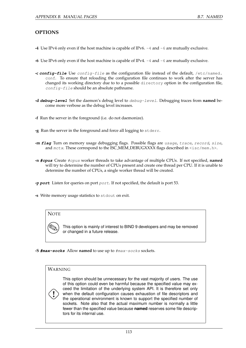### **OPTIONS**

- **-4** Use IPv4 only even if the host machine is capable of IPv6. -4 and -6 are mutually exclusive.
- **-6** Use IPv6 only even if the host machine is capable of IPv4. -4 and -6 are mutually exclusive.
- **-c config-file** Use config-file as the configuration file instead of the default, /etc/named. conf. To ensure that reloading the configuration file continues to work after the server has changed its working directory due to to a possible directory option in the configuration file, config-file should be an absolute pathname.
- **-d debug-level** Set the daemon's debug level to debug-level. Debugging traces from **named** become more verbose as the debug level increases.
- **-f** Run the server in the foreground (i.e. do not daemonize).
- **-g** Run the server in the foreground and force all logging to stderr.
- **-m flag** Turn on memory usage debugging flags. Possible flags are usage, trace, record, size, and  $mctx$ . These correspond to the ISC\_MEM\_DEBUGXXXX flags described in  $\langle$ isc/mem.h>.
- **-n #cpus** Create #cpus worker threads to take advantage of multiple CPUs. If not specified, **named** will try to determine the number of CPUs present and create one thread per CPU. If it is unable to determine the number of CPUs, a single worker thread will be created.
- **-p port** Listen for queries on port port. If not specified, the default is port 53.
- **-s** Write memory usage statistics to stdout on exit.

### **NOTE**



This option is mainly of interest to BIND 9 developers and may be removed or changed in a future release.

**-S #max-socks** Allow **named** to use up to #max-socks sockets.

### WARNING

This option should be unnecessary for the vast majority of users. The use of this option could even be harmful because the specified value may exceed the limitation of the underlying system API. It is therefore set only when the default configuration causes exhaustion of file descriptors and the operational environment is known to support the specified number of sockets. Note also that the actual maximum number is normally a little fewer than the specified value because **named** reserves some file descriptors for its internal use.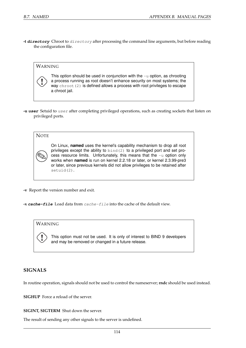**-t directory** Chroot to directory after processing the command line arguments, but before reading the configuration file.

## WARNING

This option should be used in conjunction with the  $-u$  option, as chrooting a process running as root doesn't enhance security on most systems; the way chroot  $(2)$  is defined allows a process with root privileges to escape a chroot jail.

**-u user** Setuid to user after completing privileged operations, such as creating sockets that listen on privileged ports.

**NOTE** 



On Linux, **named** uses the kernel's capability mechanism to drop all root privileges except the ability to bind(2) to a privileged port and set process resource limits. Unfortunately, this means that the -u option only works when **named** is run on kernel 2.2.18 or later, or kernel 2.3.99-pre3 or later, since previous kernels did not allow privileges to be retained after setuid(2).

- **-v** Report the version number and exit.
- **-x cache-file** Load data from cache-file into the cache of the default view.

### WARNING

This option must not be used. It is only of interest to BIND 9 developers and may be removed or changed in a future release.

### **SIGNALS**

In routine operation, signals should not be used to control the nameserver; **rndc** should be used instead.

**SIGHUP** Force a reload of the server.

**SIGINT, SIGTERM** Shut down the server.

The result of sending any other signals to the server is undefined.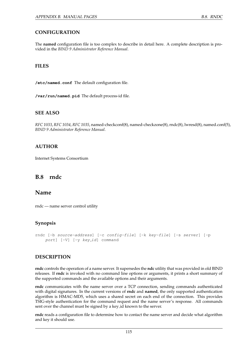## **CONFIGURATION**

The **named** configuration file is too complex to describe in detail here. A complete description is provided in the *BIND 9 Administrator Reference Manual*.

### **FILES**

**/etc/named.conf** The default configuration file.

**/var/run/named.pid** The default process-id file.

### **SEE ALSO**

*RFC 1033*, *RFC 1034*, *RFC 1035*, named-checkconf(8), named-checkzone(8), rndc(8), lwresd(8), named.conf(5), *BIND 9 Administrator Reference Manual*.

## **AUTHOR**

Internet Systems Consortium

# **B.8 rndc**

## **Name**

rndc — name server control utility

## **Synopsis**

```
rndc [-b source-address] [-c config-file] [-k key-file] [-s server] [-p
   port] [-V] [-y key_id] command
```
### **DESCRIPTION**

**rndc** controls the operation of a name server. It supersedes the **ndc** utility that was provided in old BIND releases. If **rndc** is invoked with no command line options or arguments, it prints a short summary of the supported commands and the available options and their arguments.

**rndc** communicates with the name server over a TCP connection, sending commands authenticated with digital signatures. In the current versions of **rndc** and **named**, the only supported authentication algorithm is HMAC-MD5, which uses a shared secret on each end of the connection. This provides TSIG-style authentication for the command request and the name server's response. All commands sent over the channel must be signed by a key id known to the server.

**rndc** reads a configuration file to determine how to contact the name server and decide what algorithm and key it should use.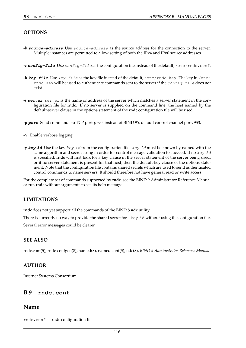### **OPTIONS**

- **-b source-address** Use source-address as the source address for the connection to the server. Multiple instances are permitted to allow setting of both the IPv4 and IPv6 source addresses.
- **-c config-file** Use config-file as the configuration file instead of the default, /etc/rndc.conf.
- **-k key-file** Use key-file as the key file instead of the default, /etc/rndc.key. The key in /etc/ rndc.key will be used to authenticate commands sent to the server if the config-file does not exist.
- **-s server** server is the name or address of the server which matches a server statement in the configuration file for **rndc**. If no server is supplied on the command line, the host named by the default-server clause in the options statement of the **rndc** configuration file will be used.
- **-p port** Send commands to TCP port port instead of BIND 9's default control channel port, 953.
- **-V** Enable verbose logging.
- **-y key id** Use the key key id from the configuration file. key id must be known by named with the same algorithm and secret string in order for control message validation to succeed. If no  $key\_id$ is specified, **rndc** will first look for a key clause in the server statement of the server being used, or if no server statement is present for that host, then the default-key clause of the options statement. Note that the configuration file contains shared secrets which are used to send authenticated control commands to name servers. It should therefore not have general read or write access.

For the complete set of commands supported by **rndc**, see the BIND 9 Administrator Reference Manual or run **rndc** without arguments to see its help message.

### **LIMITATIONS**

**rndc** does not yet support all the commands of the BIND 8 **ndc** utility.

There is currently no way to provide the shared secret for a key id without using the configuration file.

Several error messages could be clearer.

## **SEE ALSO**

rndc.conf(5), rndc-confgen(8), named(8), named.conf(5), ndc(8), *BIND 9 Administrator Reference Manual*.

### **AUTHOR**

Internet Systems Consortium

## **B.9 rndc.conf**

## **Name**

rndc.conf — rndc configuration file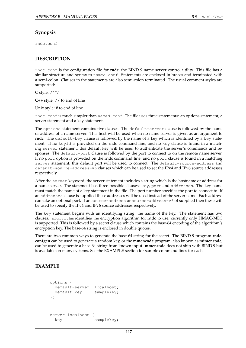## **Synopsis**

rndc.conf

## **DESCRIPTION**

rndc.conf is the configuration file for **rndc**, the BIND 9 name server control utility. This file has a similar structure and syntax to named.conf. Statements are enclosed in braces and terminated with a semi-colon. Clauses in the statements are also semi-colon terminated. The usual comment styles are supported:

C style:  $/**/$ 

C++ style: // to end of line

Unix style: # to end of line

rndc.conf is much simpler than named.conf. The file uses three statements: an options statement, a server statement and a key statement.

The options statement contains five clauses. The default-server clause is followed by the name or address of a name server. This host will be used when no name server is given as an argument to **rndc**. The default-key clause is followed by the name of a key which is identified by a key statement. If no keyid is provided on the rndc command line, and no key clause is found in a matching server statement, this default key will be used to authenticate the server's commands and responses. The default-port clause is followed by the port to connect to on the remote name server. If no port option is provided on the rndc command line, and no port clause is found in a matching server statement, this default port will be used to connect. The default-source-address and default-source-address-v6 clauses which can be used to set the IPv4 and IPv6 source addresses respectively.

After the server keyword, the server statement includes a string which is the hostname or address for a name server. The statement has three possible clauses: key, port and addresses. The key name must match the name of a key statement in the file. The port number specifies the port to connect to. If an addresses clause is supplied these addresses will be used instead of the server name. Each address can take an optional port. If an source-address or source-address-v6 of supplied then these will be used to specify the IPv4 and IPv6 source addresses respectively.

The key statement begins with an identifying string, the name of the key. The statement has two clauses. algorithm identifies the encryption algorithm for **rndc** to use; currently only HMAC-MD5 is supported. This is followed by a secret clause which contains the base-64 encoding of the algorithm's encryption key. The base-64 string is enclosed in double quotes.

There are two common ways to generate the base-64 string for the secret. The BIND 9 program **rndcconfgen** can be used to generate a random key, or the **mmencode** program, also known as **mimencode**, can be used to generate a base-64 string from known input. **mmencode** does not ship with BIND 9 but is available on many systems. See the EXAMPLE section for sample command lines for each.

## **EXAMPLE**

```
options {
 default-server localhost;
 default-key samplekey;
};
server localhost {
 key samplekey;
```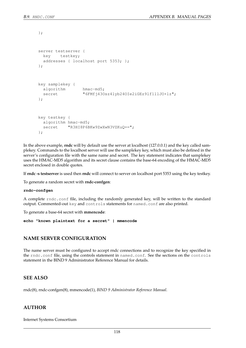```
};
server testserver {
 key testkey;
 addresses { localhost port 5353; };
};
key samplekey {
 algorithm hmac-md5;
 secret "6FMfj43Osz4lyb24OIe2iGEz9lf1llJO+lz";
};
key testkey {
 algorithm hmac-md5;
 secret "R3HI8P6BKw9ZwXwN3VZKuQ == ";
};
```
In the above example, **rndc** will by default use the server at localhost (127.0.0.1) and the key called samplekey. Commands to the localhost server will use the samplekey key, which must also be defined in the server's configuration file with the same name and secret. The key statement indicates that samplekey uses the HMAC-MD5 algorithm and its secret clause contains the base-64 encoding of the HMAC-MD5 secret enclosed in double quotes.

If **rndc -s testserver** is used then **rndc** will connect to server on localhost port 5353 using the key testkey.

To generate a random secret with **rndc-confgen**:

#### **rndc-confgen**

A complete rndc.conf file, including the randomly generated key, will be written to the standard output. Commented-out key and controls statements for named.conf are also printed.

To generate a base-64 secret with **mmencode**:

```
echo "known plaintext for a secret" | mmencode
```
### **NAME SERVER CONFIGURATION**

The name server must be configured to accept rndc connections and to recognize the key specified in the rndc.conf file, using the controls statement in named.conf. See the sections on the controls statement in the BIND 9 Administrator Reference Manual for details.

### **SEE ALSO**

rndc(8), rndc-confgen(8), mmencode(1), *BIND 9 Administrator Reference Manual*.

### **AUTHOR**

Internet Systems Consortium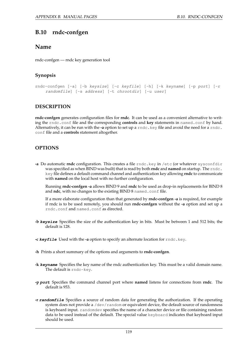# **B.10 rndc-confgen**

## **Name**

rndc-confgen — rndc key generation tool

## **Synopsis**

```
rndc-confgen [-a] [-b keysize] [-c keyfile] [-h] [-k keyname] [-p port] [-r
    randomfile] [-s address] [-t chrootdir] [-u user]
```
## **DESCRIPTION**

**rndc-confgen** generates configuration files for **rndc**. It can be used as a convenient alternative to writing the rndc.conf file and the corresponding **controls** and **key** statements in named.conf by hand. Alternatively, it can be run with the **-a** option to set up a rndc.key file and avoid the need for a rndc. conf file and a **controls** statement altogether.

## **OPTIONS**

**-a** Do automatic **rndc** configuration. This creates a file rndc.key in /etc (or whatever sysconfdir was specified as when BIND was built) that is read by both **rndc** and **named** on startup. The rndc. key file defines a default command channel and authentication key allowing **rndc** to communicate with **named** on the local host with no further configuration.

Running **rndc-confgen -a** allows BIND 9 and **rndc** to be used as drop-in replacements for BIND 8 and ndc, with no changes to the existing BIND 8 named.conf file.

If a more elaborate configuration than that generated by **rndc-confgen -a** is required, for example if rndc is to be used remotely, you should run **rndc-confgen** without the **-a** option and set up a rndc.conf and named.conf as directed.

- **-b keysize** Specifies the size of the authentication key in bits. Must be between 1 and 512 bits; the default is 128.
- **-c keyfile** Used with the **-a** option to specify an alternate location for rndc.key.
- **-h** Prints a short summary of the options and arguments to **rndc-confgen**.
- **-k keyname** Specifies the key name of the rndc authentication key. This must be a valid domain name. The default is rndc-key.
- **-p port** Specifies the command channel port where **named** listens for connections from **rndc**. The default is 953.
- **-r randomfile** Specifies a source of random data for generating the authorization. If the operating system does not provide a /dev/random or equivalent device, the default source of randomness is keyboard input. randomdev specifies the name of a character device or file containing random data to be used instead of the default. The special value keyboard indicates that keyboard input should be used.